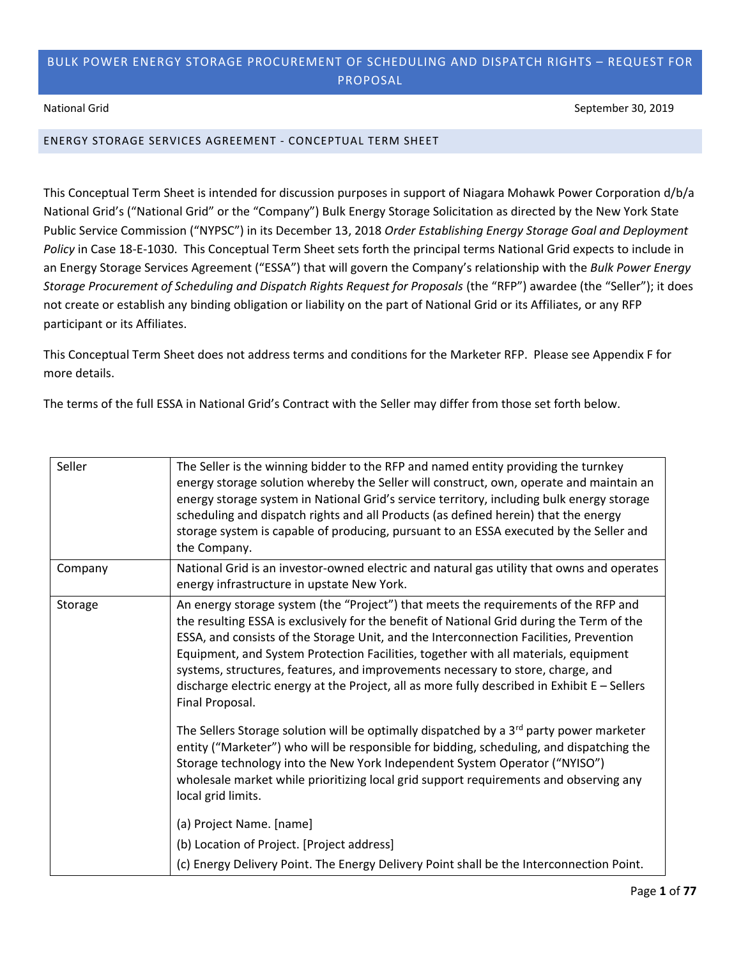## BULK POWER ENERGY STORAGE PROCUREMENT OF SCHEDULING AND DISPATCH RIGHTS – REQUEST FOR PROPOSAL

National Grid September 30, 2019

## ENERGY STORAGE SERVICES AGREEMENT - CONCEPTUAL TERM SHEET

This Conceptual Term Sheet is intended for discussion purposes in support of Niagara Mohawk Power Corporation d/b/a National Grid's ("National Grid" or the "Company") Bulk Energy Storage Solicitation as directed by the New York State Public Service Commission ("NYPSC") in its December 13, 2018 *Order Establishing Energy Storage Goal and Deployment Policy* in Case 18-E-1030. This Conceptual Term Sheet sets forth the principal terms National Grid expects to include in an Energy Storage Services Agreement ("ESSA") that will govern the Company's relationship with the *Bulk Power Energy Storage Procurement of Scheduling and Dispatch Rights Request for Proposals* (the "RFP") awardee (the "Seller"); it does not create or establish any binding obligation or liability on the part of National Grid or its Affiliates, or any RFP participant or its Affiliates.

This Conceptual Term Sheet does not address terms and conditions for the Marketer RFP. Please see Appendix F for more details.

The terms of the full ESSA in National Grid's Contract with the Seller may differ from those set forth below.

| Seller  | The Seller is the winning bidder to the RFP and named entity providing the turnkey<br>energy storage solution whereby the Seller will construct, own, operate and maintain an<br>energy storage system in National Grid's service territory, including bulk energy storage<br>scheduling and dispatch rights and all Products (as defined herein) that the energy<br>storage system is capable of producing, pursuant to an ESSA executed by the Seller and<br>the Company.                                                                                             |
|---------|-------------------------------------------------------------------------------------------------------------------------------------------------------------------------------------------------------------------------------------------------------------------------------------------------------------------------------------------------------------------------------------------------------------------------------------------------------------------------------------------------------------------------------------------------------------------------|
| Company | National Grid is an investor-owned electric and natural gas utility that owns and operates<br>energy infrastructure in upstate New York.                                                                                                                                                                                                                                                                                                                                                                                                                                |
| Storage | An energy storage system (the "Project") that meets the requirements of the RFP and<br>the resulting ESSA is exclusively for the benefit of National Grid during the Term of the<br>ESSA, and consists of the Storage Unit, and the Interconnection Facilities, Prevention<br>Equipment, and System Protection Facilities, together with all materials, equipment<br>systems, structures, features, and improvements necessary to store, charge, and<br>discharge electric energy at the Project, all as more fully described in Exhibit E - Sellers<br>Final Proposal. |
|         | The Sellers Storage solution will be optimally dispatched by a 3 <sup>rd</sup> party power marketer<br>entity ("Marketer") who will be responsible for bidding, scheduling, and dispatching the<br>Storage technology into the New York Independent System Operator ("NYISO")<br>wholesale market while prioritizing local grid support requirements and observing any<br>local grid limits.                                                                                                                                                                            |
|         | (a) Project Name. [name]                                                                                                                                                                                                                                                                                                                                                                                                                                                                                                                                                |
|         | (b) Location of Project. [Project address]                                                                                                                                                                                                                                                                                                                                                                                                                                                                                                                              |
|         | (c) Energy Delivery Point. The Energy Delivery Point shall be the Interconnection Point.                                                                                                                                                                                                                                                                                                                                                                                                                                                                                |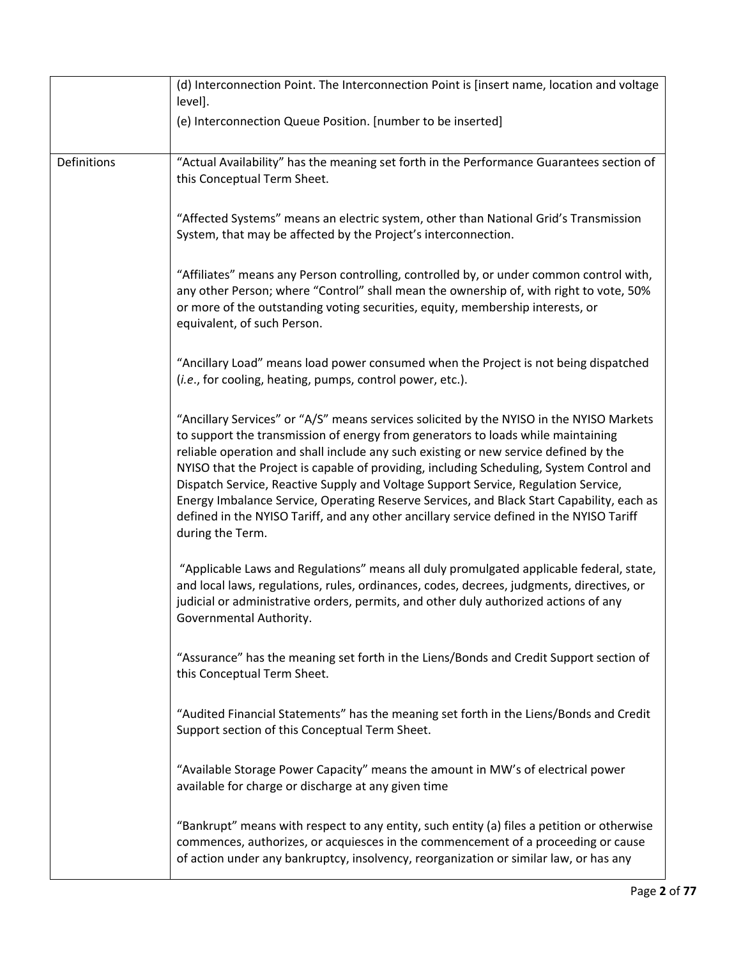|             | (d) Interconnection Point. The Interconnection Point is [insert name, location and voltage<br>level].                                                                                                                                                                                                                                                                                                                                                                                                                                                                                                                                                               |
|-------------|---------------------------------------------------------------------------------------------------------------------------------------------------------------------------------------------------------------------------------------------------------------------------------------------------------------------------------------------------------------------------------------------------------------------------------------------------------------------------------------------------------------------------------------------------------------------------------------------------------------------------------------------------------------------|
|             | (e) Interconnection Queue Position. [number to be inserted]                                                                                                                                                                                                                                                                                                                                                                                                                                                                                                                                                                                                         |
| Definitions | "Actual Availability" has the meaning set forth in the Performance Guarantees section of<br>this Conceptual Term Sheet.                                                                                                                                                                                                                                                                                                                                                                                                                                                                                                                                             |
|             | "Affected Systems" means an electric system, other than National Grid's Transmission<br>System, that may be affected by the Project's interconnection.                                                                                                                                                                                                                                                                                                                                                                                                                                                                                                              |
|             | "Affiliates" means any Person controlling, controlled by, or under common control with,<br>any other Person; where "Control" shall mean the ownership of, with right to vote, 50%<br>or more of the outstanding voting securities, equity, membership interests, or<br>equivalent, of such Person.                                                                                                                                                                                                                                                                                                                                                                  |
|             | "Ancillary Load" means load power consumed when the Project is not being dispatched<br>(i.e., for cooling, heating, pumps, control power, etc.).                                                                                                                                                                                                                                                                                                                                                                                                                                                                                                                    |
|             | "Ancillary Services" or "A/S" means services solicited by the NYISO in the NYISO Markets<br>to support the transmission of energy from generators to loads while maintaining<br>reliable operation and shall include any such existing or new service defined by the<br>NYISO that the Project is capable of providing, including Scheduling, System Control and<br>Dispatch Service, Reactive Supply and Voltage Support Service, Regulation Service,<br>Energy Imbalance Service, Operating Reserve Services, and Black Start Capability, each as<br>defined in the NYISO Tariff, and any other ancillary service defined in the NYISO Tariff<br>during the Term. |
|             | "Applicable Laws and Regulations" means all duly promulgated applicable federal, state,<br>and local laws, regulations, rules, ordinances, codes, decrees, judgments, directives, or<br>judicial or administrative orders, permits, and other duly authorized actions of any<br>Governmental Authority.                                                                                                                                                                                                                                                                                                                                                             |
|             | "Assurance" has the meaning set forth in the Liens/Bonds and Credit Support section of<br>this Conceptual Term Sheet.                                                                                                                                                                                                                                                                                                                                                                                                                                                                                                                                               |
|             | "Audited Financial Statements" has the meaning set forth in the Liens/Bonds and Credit<br>Support section of this Conceptual Term Sheet.                                                                                                                                                                                                                                                                                                                                                                                                                                                                                                                            |
|             | "Available Storage Power Capacity" means the amount in MW's of electrical power<br>available for charge or discharge at any given time                                                                                                                                                                                                                                                                                                                                                                                                                                                                                                                              |
|             | "Bankrupt" means with respect to any entity, such entity (a) files a petition or otherwise<br>commences, authorizes, or acquiesces in the commencement of a proceeding or cause<br>of action under any bankruptcy, insolvency, reorganization or similar law, or has any                                                                                                                                                                                                                                                                                                                                                                                            |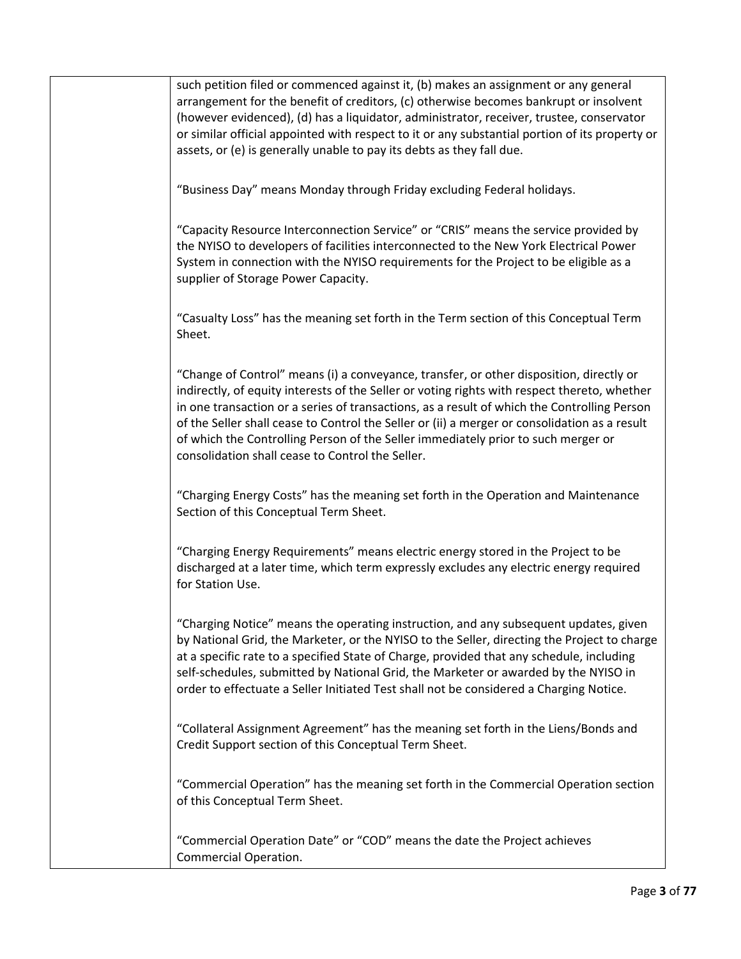such petition filed or commenced against it, (b) makes an assignment or any general arrangement for the benefit of creditors, (c) otherwise becomes bankrupt or insolvent (however evidenced), (d) has a liquidator, administrator, receiver, trustee, conservator or similar official appointed with respect to it or any substantial portion of its property or assets, or (e) is generally unable to pay its debts as they fall due. "Business Day" means Monday through Friday excluding Federal holidays. "Capacity Resource Interconnection Service" or "CRIS" means the service provided by the NYISO to developers of facilities interconnected to the New York Electrical Power System in connection with the NYISO requirements for the Project to be eligible as a supplier of Storage Power Capacity. "Casualty Loss" has the meaning set forth in the Term section of this Conceptual Term Sheet. "Change of Control" means (i) a conveyance, transfer, or other disposition, directly or indirectly, of equity interests of the Seller or voting rights with respect thereto, whether in one transaction or a series of transactions, as a result of which the Controlling Person of the Seller shall cease to Control the Seller or (ii) a merger or consolidation as a result of which the Controlling Person of the Seller immediately prior to such merger or consolidation shall cease to Control the Seller. "Charging Energy Costs" has the meaning set forth in the Operation and Maintenance Section of this Conceptual Term Sheet. "Charging Energy Requirements" means electric energy stored in the Project to be discharged at a later time, which term expressly excludes any electric energy required for Station Use. "Charging Notice" means the operating instruction, and any subsequent updates, given by National Grid, the Marketer, or the NYISO to the Seller, directing the Project to charge at a specific rate to a specified State of Charge, provided that any schedule, including self-schedules, submitted by National Grid, the Marketer or awarded by the NYISO in order to effectuate a Seller Initiated Test shall not be considered a Charging Notice. "Collateral Assignment Agreement" has the meaning set forth in the Liens/Bonds and Credit Support section of this Conceptual Term Sheet. "Commercial Operation" has the meaning set forth in the Commercial Operation section of this Conceptual Term Sheet. "Commercial Operation Date" or "COD" means the date the Project achieves Commercial Operation.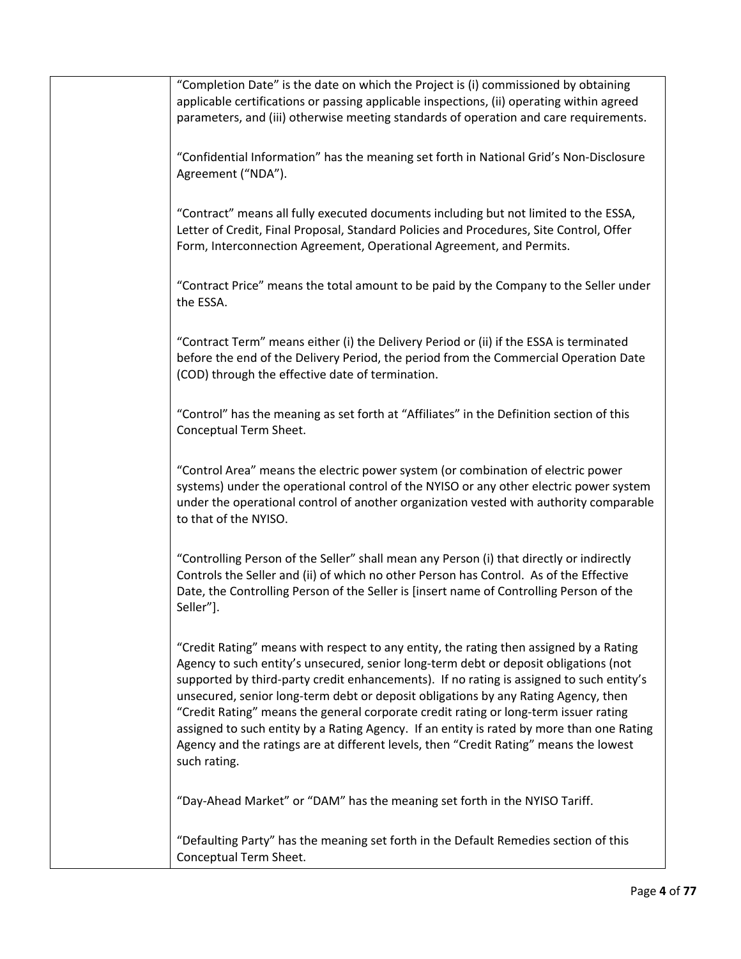| "Completion Date" is the date on which the Project is (i) commissioned by obtaining<br>applicable certifications or passing applicable inspections, (ii) operating within agreed<br>parameters, and (iii) otherwise meeting standards of operation and care requirements.                                                                                                                                                                                                                                                                                                                                                                                      |
|----------------------------------------------------------------------------------------------------------------------------------------------------------------------------------------------------------------------------------------------------------------------------------------------------------------------------------------------------------------------------------------------------------------------------------------------------------------------------------------------------------------------------------------------------------------------------------------------------------------------------------------------------------------|
| "Confidential Information" has the meaning set forth in National Grid's Non-Disclosure<br>Agreement ("NDA").                                                                                                                                                                                                                                                                                                                                                                                                                                                                                                                                                   |
| "Contract" means all fully executed documents including but not limited to the ESSA,<br>Letter of Credit, Final Proposal, Standard Policies and Procedures, Site Control, Offer<br>Form, Interconnection Agreement, Operational Agreement, and Permits.                                                                                                                                                                                                                                                                                                                                                                                                        |
| "Contract Price" means the total amount to be paid by the Company to the Seller under<br>the ESSA.                                                                                                                                                                                                                                                                                                                                                                                                                                                                                                                                                             |
| "Contract Term" means either (i) the Delivery Period or (ii) if the ESSA is terminated<br>before the end of the Delivery Period, the period from the Commercial Operation Date<br>(COD) through the effective date of termination.                                                                                                                                                                                                                                                                                                                                                                                                                             |
| "Control" has the meaning as set forth at "Affiliates" in the Definition section of this<br>Conceptual Term Sheet.                                                                                                                                                                                                                                                                                                                                                                                                                                                                                                                                             |
| "Control Area" means the electric power system (or combination of electric power<br>systems) under the operational control of the NYISO or any other electric power system<br>under the operational control of another organization vested with authority comparable<br>to that of the NYISO.                                                                                                                                                                                                                                                                                                                                                                  |
| "Controlling Person of the Seller" shall mean any Person (i) that directly or indirectly<br>Controls the Seller and (ii) of which no other Person has Control. As of the Effective<br>Date, the Controlling Person of the Seller is [insert name of Controlling Person of the<br>Seller"].                                                                                                                                                                                                                                                                                                                                                                     |
| "Credit Rating" means with respect to any entity, the rating then assigned by a Rating<br>Agency to such entity's unsecured, senior long-term debt or deposit obligations (not<br>supported by third-party credit enhancements). If no rating is assigned to such entity's<br>unsecured, senior long-term debt or deposit obligations by any Rating Agency, then<br>"Credit Rating" means the general corporate credit rating or long-term issuer rating<br>assigned to such entity by a Rating Agency. If an entity is rated by more than one Rating<br>Agency and the ratings are at different levels, then "Credit Rating" means the lowest<br>such rating. |
| "Day-Ahead Market" or "DAM" has the meaning set forth in the NYISO Tariff.                                                                                                                                                                                                                                                                                                                                                                                                                                                                                                                                                                                     |
| "Defaulting Party" has the meaning set forth in the Default Remedies section of this<br>Conceptual Term Sheet.                                                                                                                                                                                                                                                                                                                                                                                                                                                                                                                                                 |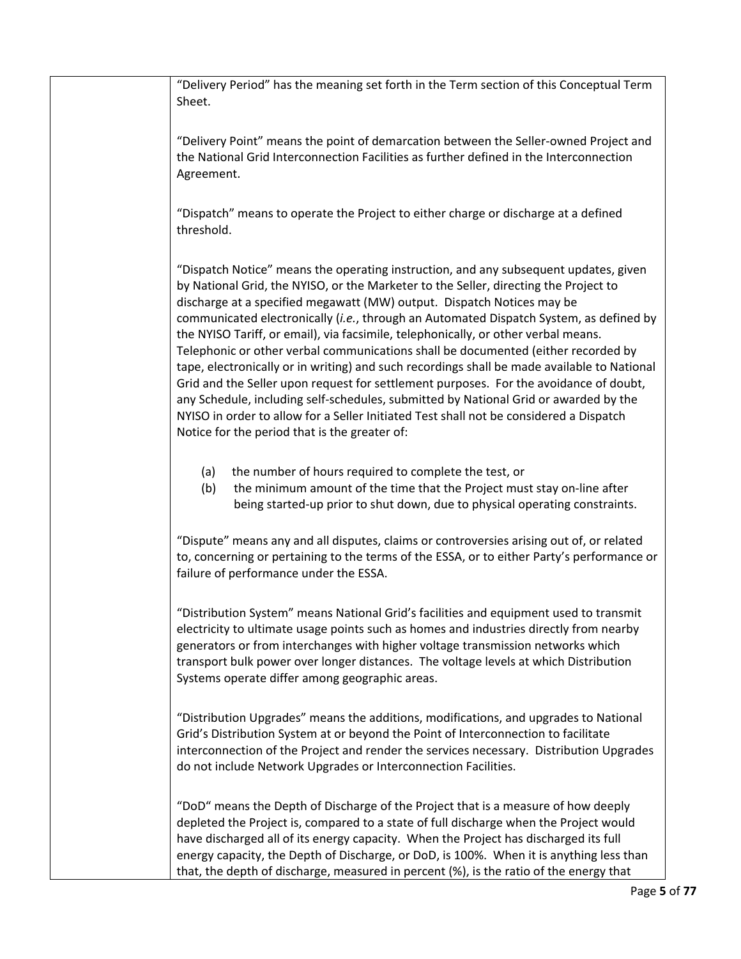"Delivery Period" has the meaning set forth in the Term section of this Conceptual Term Sheet. "Delivery Point" means the point of demarcation between the Seller-owned Project and the National Grid Interconnection Facilities as further defined in the Interconnection Agreement. "Dispatch" means to operate the Project to either charge or discharge at a defined threshold. "Dispatch Notice" means the operating instruction, and any subsequent updates, given by National Grid, the NYISO, or the Marketer to the Seller, directing the Project to discharge at a specified megawatt (MW) output. Dispatch Notices may be communicated electronically (*i.e.*, through an Automated Dispatch System, as defined by the NYISO Tariff, or email), via facsimile, telephonically, or other verbal means. Telephonic or other verbal communications shall be documented (either recorded by tape, electronically or in writing) and such recordings shall be made available to National Grid and the Seller upon request for settlement purposes. For the avoidance of doubt, any Schedule, including self-schedules, submitted by National Grid or awarded by the NYISO in order to allow for a Seller Initiated Test shall not be considered a Dispatch Notice for the period that is the greater of: (a) the number of hours required to complete the test, or (b) the minimum amount of the time that the Project must stay on-line after being started-up prior to shut down, due to physical operating constraints. "Dispute" means any and all disputes, claims or controversies arising out of, or related to, concerning or pertaining to the terms of the ESSA, or to either Party's performance or failure of performance under the ESSA. "Distribution System" means National Grid's facilities and equipment used to transmit electricity to ultimate usage points such as homes and industries directly from nearby generators or from interchanges with higher voltage transmission networks which transport bulk power over longer distances. The voltage levels at which Distribution Systems operate differ among geographic areas. "Distribution Upgrades" means the additions, modifications, and upgrades to National Grid's Distribution System at or beyond the Point of Interconnection to facilitate interconnection of the Project and render the services necessary. Distribution Upgrades do not include Network Upgrades or Interconnection Facilities. "DoD" means the Depth of Discharge of the Project that is a measure of how deeply depleted the Project is, compared to a state of full discharge when the Project would have discharged all of its energy capacity. When the Project has discharged its full energy capacity, the Depth of Discharge, or DoD, is 100%. When it is anything less than that, the depth of discharge, measured in percent (%), is the ratio of the energy that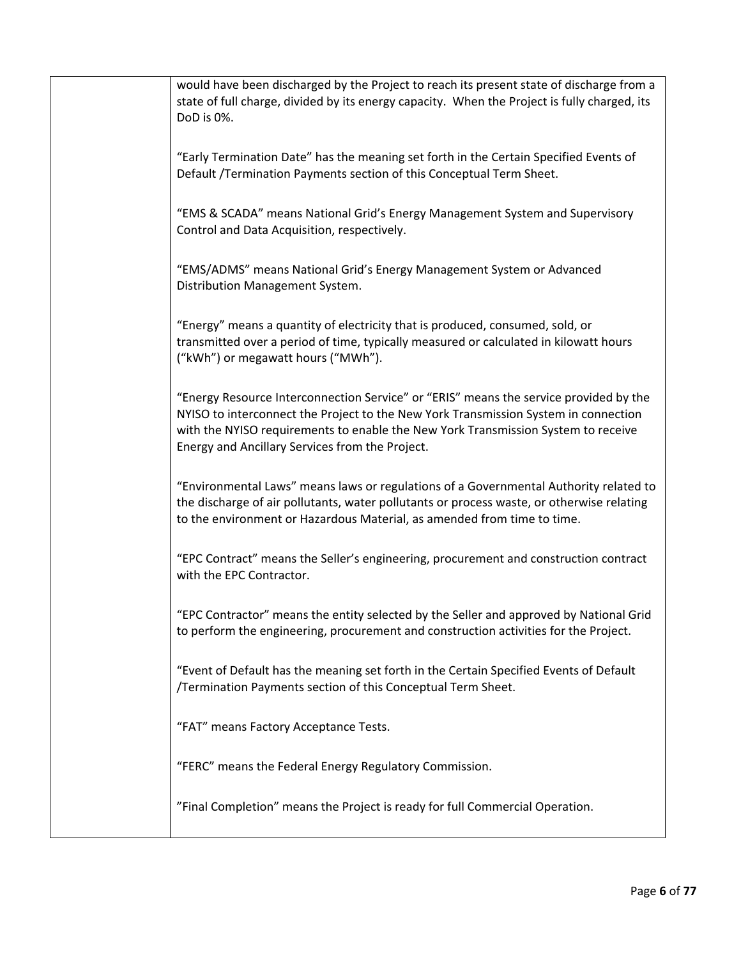| would have been discharged by the Project to reach its present state of discharge from a<br>state of full charge, divided by its energy capacity. When the Project is fully charged, its<br>DoD is 0%.                                                                                                               |
|----------------------------------------------------------------------------------------------------------------------------------------------------------------------------------------------------------------------------------------------------------------------------------------------------------------------|
| "Early Termination Date" has the meaning set forth in the Certain Specified Events of<br>Default /Termination Payments section of this Conceptual Term Sheet.                                                                                                                                                        |
| "EMS & SCADA" means National Grid's Energy Management System and Supervisory<br>Control and Data Acquisition, respectively.                                                                                                                                                                                          |
| "EMS/ADMS" means National Grid's Energy Management System or Advanced<br>Distribution Management System.                                                                                                                                                                                                             |
| "Energy" means a quantity of electricity that is produced, consumed, sold, or<br>transmitted over a period of time, typically measured or calculated in kilowatt hours<br>("kWh") or megawatt hours ("MWh").                                                                                                         |
| "Energy Resource Interconnection Service" or "ERIS" means the service provided by the<br>NYISO to interconnect the Project to the New York Transmission System in connection<br>with the NYISO requirements to enable the New York Transmission System to receive<br>Energy and Ancillary Services from the Project. |
| "Environmental Laws" means laws or regulations of a Governmental Authority related to<br>the discharge of air pollutants, water pollutants or process waste, or otherwise relating<br>to the environment or Hazardous Material, as amended from time to time.                                                        |
| "EPC Contract" means the Seller's engineering, procurement and construction contract<br>with the EPC Contractor.                                                                                                                                                                                                     |
| "EPC Contractor" means the entity selected by the Seller and approved by National Grid<br>to perform the engineering, procurement and construction activities for the Project.                                                                                                                                       |
| "Event of Default has the meaning set forth in the Certain Specified Events of Default<br>/Termination Payments section of this Conceptual Term Sheet.                                                                                                                                                               |
| "FAT" means Factory Acceptance Tests.                                                                                                                                                                                                                                                                                |
| "FERC" means the Federal Energy Regulatory Commission.                                                                                                                                                                                                                                                               |
| "Final Completion" means the Project is ready for full Commercial Operation.                                                                                                                                                                                                                                         |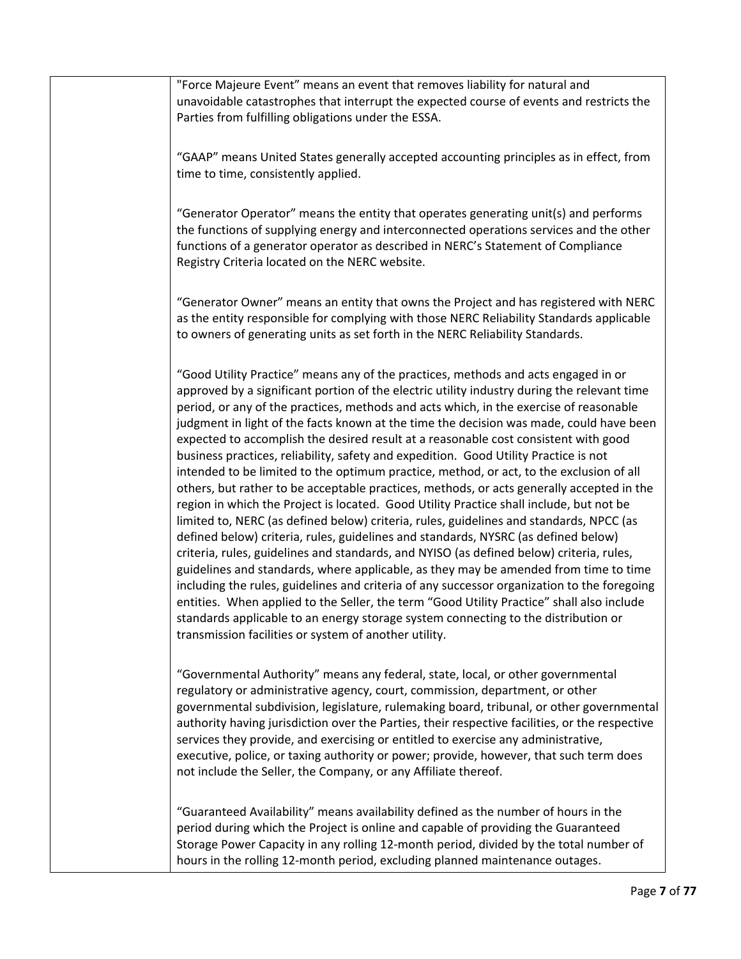"Force Majeure Event" means an event that removes liability for natural and unavoidable catastrophes that interrupt the expected course of events and restricts the Parties from fulfilling obligations under the ESSA.

"GAAP" means United States generally accepted accounting principles as in effect, from time to time, consistently applied.

"Generator Operator" means the entity that operates generating unit(s) and performs the functions of supplying energy and interconnected operations services and the other functions of a generator operator as described in NERC's Statement of Compliance Registry Criteria located on the NERC website.

"Generator Owner" means an entity that owns the Project and has registered with NERC as the entity responsible for complying with those NERC Reliability Standards applicable to owners of generating units as set forth in the NERC Reliability Standards.

"Good Utility Practice" means any of the practices, methods and acts engaged in or approved by a significant portion of the electric utility industry during the relevant time period, or any of the practices, methods and acts which, in the exercise of reasonable judgment in light of the facts known at the time the decision was made, could have been expected to accomplish the desired result at a reasonable cost consistent with good business practices, reliability, safety and expedition. Good Utility Practice is not intended to be limited to the optimum practice, method, or act, to the exclusion of all others, but rather to be acceptable practices, methods, or acts generally accepted in the region in which the Project is located. Good Utility Practice shall include, but not be limited to, NERC (as defined below) criteria, rules, guidelines and standards, NPCC (as defined below) criteria, rules, guidelines and standards, NYSRC (as defined below) criteria, rules, guidelines and standards, and NYISO (as defined below) criteria, rules, guidelines and standards, where applicable, as they may be amended from time to time including the rules, guidelines and criteria of any successor organization to the foregoing entities. When applied to the Seller, the term "Good Utility Practice" shall also include standards applicable to an energy storage system connecting to the distribution or transmission facilities or system of another utility.

"Governmental Authority" means any federal, state, local, or other governmental regulatory or administrative agency, court, commission, department, or other governmental subdivision, legislature, rulemaking board, tribunal, or other governmental authority having jurisdiction over the Parties, their respective facilities, or the respective services they provide, and exercising or entitled to exercise any administrative, executive, police, or taxing authority or power; provide, however, that such term does not include the Seller, the Company, or any Affiliate thereof.

"Guaranteed Availability" means availability defined as the number of hours in the period during which the Project is online and capable of providing the Guaranteed Storage Power Capacity in any rolling 12-month period, divided by the total number of hours in the rolling 12-month period, excluding planned maintenance outages.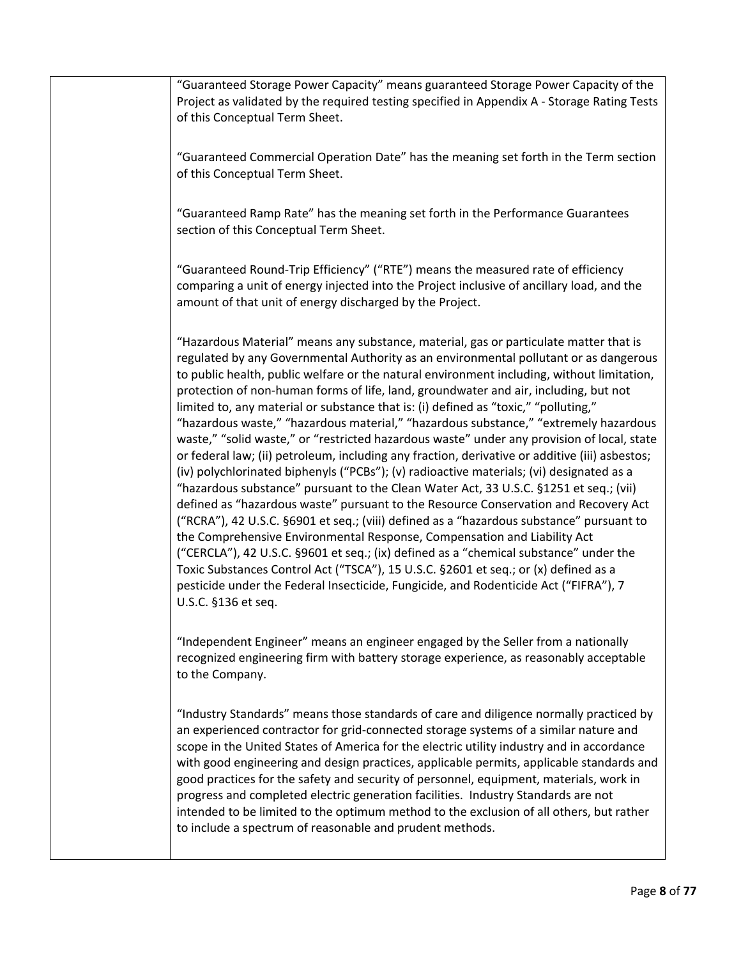"Guaranteed Storage Power Capacity" means guaranteed Storage Power Capacity of the Project as validated by the required testing specified in Appendix A - Storage Rating Tests of this Conceptual Term Sheet.

"Guaranteed Commercial Operation Date" has the meaning set forth in the Term section of this Conceptual Term Sheet.

"Guaranteed Ramp Rate" has the meaning set forth in the Performance Guarantees section of this Conceptual Term Sheet.

"Guaranteed Round-Trip Efficiency" ("RTE") means the measured rate of efficiency comparing a unit of energy injected into the Project inclusive of ancillary load, and the amount of that unit of energy discharged by the Project.

"Hazardous Material" means any substance, material, gas or particulate matter that is regulated by any Governmental Authority as an environmental pollutant or as dangerous to public health, public welfare or the natural environment including, without limitation, protection of non-human forms of life, land, groundwater and air, including, but not limited to, any material or substance that is: (i) defined as "toxic," "polluting," "hazardous waste," "hazardous material," "hazardous substance," "extremely hazardous waste," "solid waste," or "restricted hazardous waste" under any provision of local, state or federal law; (ii) petroleum, including any fraction, derivative or additive (iii) asbestos; (iv) polychlorinated biphenyls ("PCBs"); (v) radioactive materials; (vi) designated as a "hazardous substance" pursuant to the Clean Water Act, 33 U.S.C. §1251 et seq.; (vii) defined as "hazardous waste" pursuant to the Resource Conservation and Recovery Act ("RCRA"), 42 U.S.C. §6901 et seq.; (viii) defined as a "hazardous substance" pursuant to the Comprehensive Environmental Response, Compensation and Liability Act ("CERCLA"), 42 U.S.C. §9601 et seq.; (ix) defined as a "chemical substance" under the Toxic Substances Control Act ("TSCA"), 15 U.S.C. §2601 et seq.; or (x) defined as a pesticide under the Federal Insecticide, Fungicide, and Rodenticide Act ("FIFRA"), 7 U.S.C. §136 et seq.

"Independent Engineer" means an engineer engaged by the Seller from a nationally recognized engineering firm with battery storage experience, as reasonably acceptable to the Company.

"Industry Standards" means those standards of care and diligence normally practiced by an experienced contractor for grid-connected storage systems of a similar nature and scope in the United States of America for the electric utility industry and in accordance with good engineering and design practices, applicable permits, applicable standards and good practices for the safety and security of personnel, equipment, materials, work in progress and completed electric generation facilities. Industry Standards are not intended to be limited to the optimum method to the exclusion of all others, but rather to include a spectrum of reasonable and prudent methods.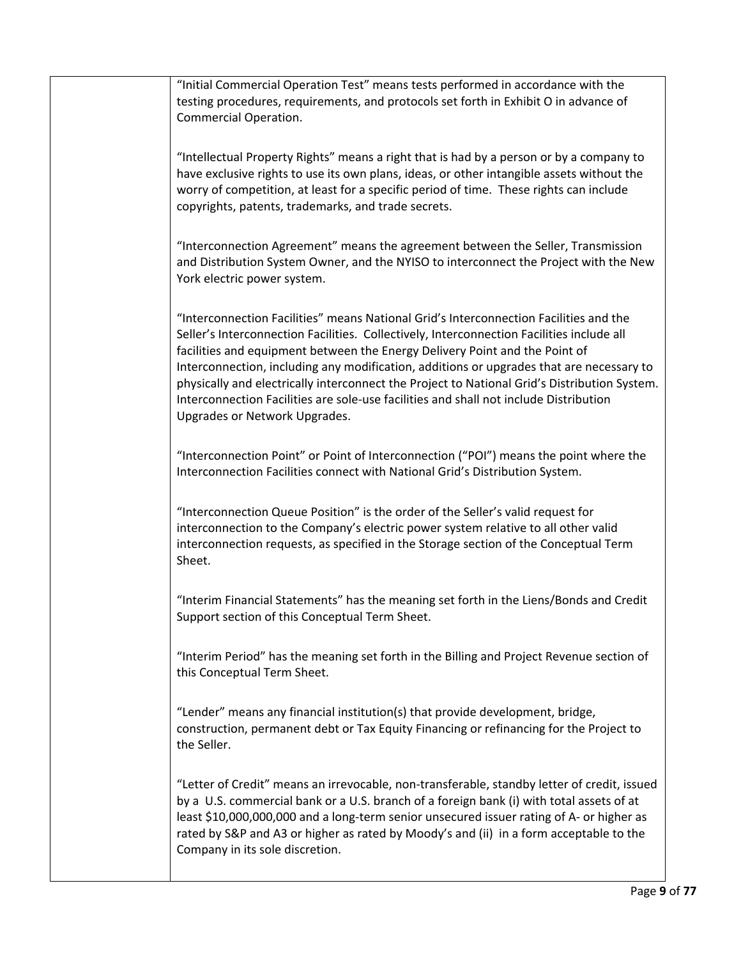"Initial Commercial Operation Test" means tests performed in accordance with the testing procedures, requirements, and protocols set forth in Exhibit O in advance of Commercial Operation.

"Intellectual Property Rights" means a right that is had by a person or by a company to have exclusive rights to use its own plans, ideas, or other intangible assets without the worry of competition, at least for a specific period of time. These rights can include copyrights, patents, trademarks, and trade secrets.

"Interconnection Agreement" means the agreement between the Seller, Transmission and Distribution System Owner, and the NYISO to interconnect the Project with the New York electric power system.

"Interconnection Facilities" means National Grid's Interconnection Facilities and the Seller's Interconnection Facilities. Collectively, Interconnection Facilities include all facilities and equipment between the Energy Delivery Point and the Point of Interconnection, including any modification, additions or upgrades that are necessary to physically and electrically interconnect the Project to National Grid's Distribution System. Interconnection Facilities are sole-use facilities and shall not include Distribution Upgrades or Network Upgrades.

"Interconnection Point" or Point of Interconnection ("POI") means the point where the Interconnection Facilities connect with National Grid's Distribution System.

"Interconnection Queue Position" is the order of the Seller's valid request for interconnection to the Company's electric power system relative to all other valid interconnection requests, as specified in the Storage section of the Conceptual Term Sheet.

"Interim Financial Statements" has the meaning set forth in the Liens/Bonds and Credit Support section of this Conceptual Term Sheet.

"Interim Period" has the meaning set forth in the Billing and Project Revenue section of this Conceptual Term Sheet.

"Lender" means any financial institution(s) that provide development, bridge, construction, permanent debt or Tax Equity Financing or refinancing for the Project to the Seller.

"Letter of Credit" means an irrevocable, non-transferable, standby letter of credit, issued by a U.S. commercial bank or a U.S. branch of a foreign bank (i) with total assets of at least \$10,000,000,000 and a long-term senior unsecured issuer rating of A- or higher as rated by S&P and A3 or higher as rated by Moody's and (ii) in a form acceptable to the Company in its sole discretion.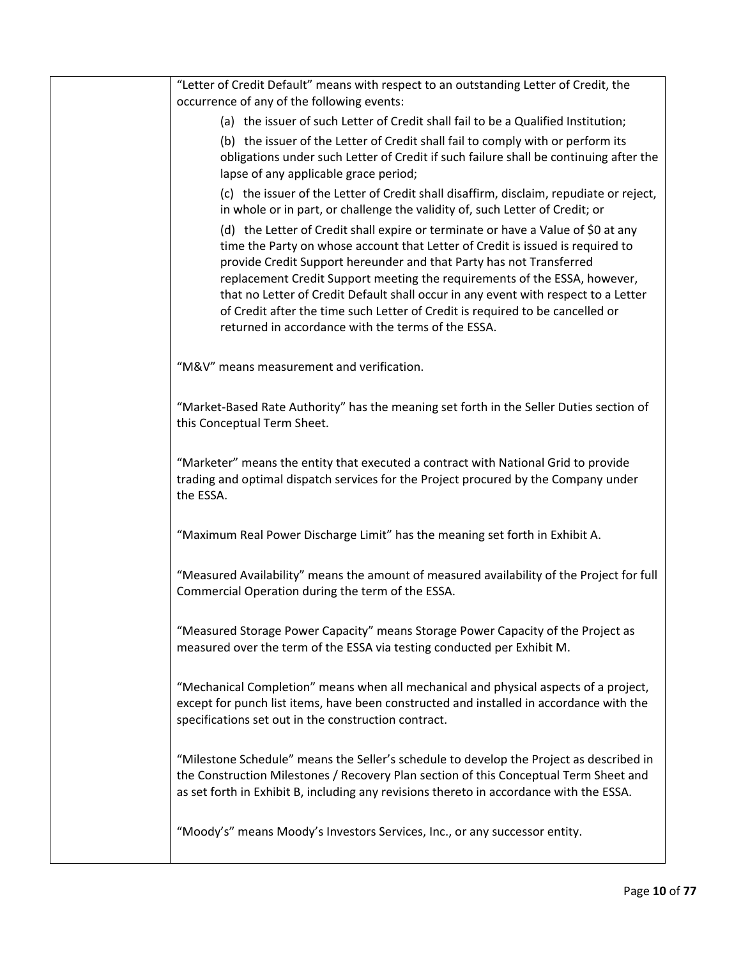| "Letter of Credit Default" means with respect to an outstanding Letter of Credit, the<br>occurrence of any of the following events:                                                                                                                                                                                                                                                                                                                                                                                                                 |
|-----------------------------------------------------------------------------------------------------------------------------------------------------------------------------------------------------------------------------------------------------------------------------------------------------------------------------------------------------------------------------------------------------------------------------------------------------------------------------------------------------------------------------------------------------|
| (a) the issuer of such Letter of Credit shall fail to be a Qualified Institution;                                                                                                                                                                                                                                                                                                                                                                                                                                                                   |
| (b) the issuer of the Letter of Credit shall fail to comply with or perform its<br>obligations under such Letter of Credit if such failure shall be continuing after the<br>lapse of any applicable grace period;                                                                                                                                                                                                                                                                                                                                   |
| (c) the issuer of the Letter of Credit shall disaffirm, disclaim, repudiate or reject,<br>in whole or in part, or challenge the validity of, such Letter of Credit; or                                                                                                                                                                                                                                                                                                                                                                              |
| (d) the Letter of Credit shall expire or terminate or have a Value of \$0 at any<br>time the Party on whose account that Letter of Credit is issued is required to<br>provide Credit Support hereunder and that Party has not Transferred<br>replacement Credit Support meeting the requirements of the ESSA, however,<br>that no Letter of Credit Default shall occur in any event with respect to a Letter<br>of Credit after the time such Letter of Credit is required to be cancelled or<br>returned in accordance with the terms of the ESSA. |
| "M&V" means measurement and verification.                                                                                                                                                                                                                                                                                                                                                                                                                                                                                                           |
| "Market-Based Rate Authority" has the meaning set forth in the Seller Duties section of<br>this Conceptual Term Sheet.                                                                                                                                                                                                                                                                                                                                                                                                                              |
| "Marketer" means the entity that executed a contract with National Grid to provide<br>trading and optimal dispatch services for the Project procured by the Company under<br>the ESSA.                                                                                                                                                                                                                                                                                                                                                              |
| "Maximum Real Power Discharge Limit" has the meaning set forth in Exhibit A.                                                                                                                                                                                                                                                                                                                                                                                                                                                                        |
| "Measured Availability" means the amount of measured availability of the Project for full<br>Commercial Operation during the term of the ESSA.                                                                                                                                                                                                                                                                                                                                                                                                      |
| "Measured Storage Power Capacity" means Storage Power Capacity of the Project as<br>measured over the term of the ESSA via testing conducted per Exhibit M.                                                                                                                                                                                                                                                                                                                                                                                         |
| "Mechanical Completion" means when all mechanical and physical aspects of a project,<br>except for punch list items, have been constructed and installed in accordance with the<br>specifications set out in the construction contract.                                                                                                                                                                                                                                                                                                             |
| "Milestone Schedule" means the Seller's schedule to develop the Project as described in<br>the Construction Milestones / Recovery Plan section of this Conceptual Term Sheet and<br>as set forth in Exhibit B, including any revisions thereto in accordance with the ESSA.                                                                                                                                                                                                                                                                         |
| "Moody's" means Moody's Investors Services, Inc., or any successor entity.                                                                                                                                                                                                                                                                                                                                                                                                                                                                          |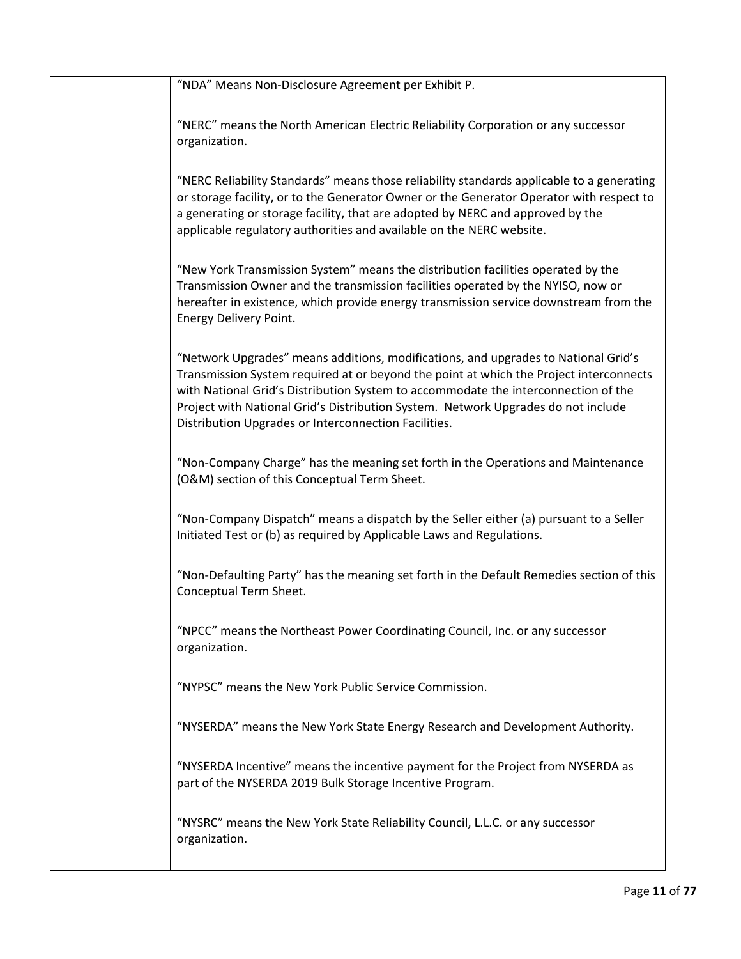| "NDA" Means Non-Disclosure Agreement per Exhibit P.                                                                                                                                                                                                                                                                                                                                                             |
|-----------------------------------------------------------------------------------------------------------------------------------------------------------------------------------------------------------------------------------------------------------------------------------------------------------------------------------------------------------------------------------------------------------------|
| "NERC" means the North American Electric Reliability Corporation or any successor<br>organization.                                                                                                                                                                                                                                                                                                              |
| "NERC Reliability Standards" means those reliability standards applicable to a generating<br>or storage facility, or to the Generator Owner or the Generator Operator with respect to<br>a generating or storage facility, that are adopted by NERC and approved by the<br>applicable regulatory authorities and available on the NERC website.                                                                 |
| "New York Transmission System" means the distribution facilities operated by the<br>Transmission Owner and the transmission facilities operated by the NYISO, now or<br>hereafter in existence, which provide energy transmission service downstream from the<br>Energy Delivery Point.                                                                                                                         |
| "Network Upgrades" means additions, modifications, and upgrades to National Grid's<br>Transmission System required at or beyond the point at which the Project interconnects<br>with National Grid's Distribution System to accommodate the interconnection of the<br>Project with National Grid's Distribution System. Network Upgrades do not include<br>Distribution Upgrades or Interconnection Facilities. |
| "Non-Company Charge" has the meaning set forth in the Operations and Maintenance<br>(O&M) section of this Conceptual Term Sheet.                                                                                                                                                                                                                                                                                |
| "Non-Company Dispatch" means a dispatch by the Seller either (a) pursuant to a Seller<br>Initiated Test or (b) as required by Applicable Laws and Regulations.                                                                                                                                                                                                                                                  |
| "Non-Defaulting Party" has the meaning set forth in the Default Remedies section of this<br>Conceptual Term Sheet.                                                                                                                                                                                                                                                                                              |
| "NPCC" means the Northeast Power Coordinating Council, Inc. or any successor<br>organization.                                                                                                                                                                                                                                                                                                                   |
| "NYPSC" means the New York Public Service Commission.                                                                                                                                                                                                                                                                                                                                                           |
| "NYSERDA" means the New York State Energy Research and Development Authority.                                                                                                                                                                                                                                                                                                                                   |
| "NYSERDA Incentive" means the incentive payment for the Project from NYSERDA as<br>part of the NYSERDA 2019 Bulk Storage Incentive Program.                                                                                                                                                                                                                                                                     |
| "NYSRC" means the New York State Reliability Council, L.L.C. or any successor<br>organization.                                                                                                                                                                                                                                                                                                                  |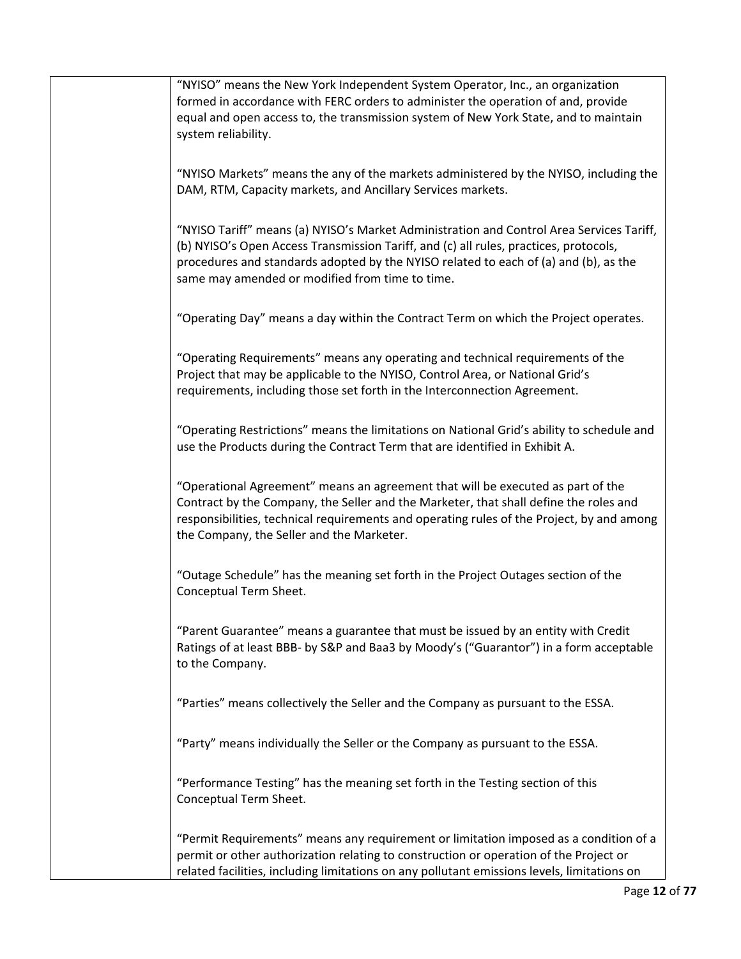| "NYISO" means the New York Independent System Operator, Inc., an organization<br>formed in accordance with FERC orders to administer the operation of and, provide<br>equal and open access to, the transmission system of New York State, and to maintain<br>system reliability.                                            |
|------------------------------------------------------------------------------------------------------------------------------------------------------------------------------------------------------------------------------------------------------------------------------------------------------------------------------|
| "NYISO Markets" means the any of the markets administered by the NYISO, including the<br>DAM, RTM, Capacity markets, and Ancillary Services markets.                                                                                                                                                                         |
| "NYISO Tariff" means (a) NYISO's Market Administration and Control Area Services Tariff,<br>(b) NYISO's Open Access Transmission Tariff, and (c) all rules, practices, protocols,<br>procedures and standards adopted by the NYISO related to each of (a) and (b), as the<br>same may amended or modified from time to time. |
| "Operating Day" means a day within the Contract Term on which the Project operates.                                                                                                                                                                                                                                          |
| "Operating Requirements" means any operating and technical requirements of the<br>Project that may be applicable to the NYISO, Control Area, or National Grid's<br>requirements, including those set forth in the Interconnection Agreement.                                                                                 |
| "Operating Restrictions" means the limitations on National Grid's ability to schedule and<br>use the Products during the Contract Term that are identified in Exhibit A.                                                                                                                                                     |
| "Operational Agreement" means an agreement that will be executed as part of the<br>Contract by the Company, the Seller and the Marketer, that shall define the roles and<br>responsibilities, technical requirements and operating rules of the Project, by and among<br>the Company, the Seller and the Marketer.           |
| "Outage Schedule" has the meaning set forth in the Project Outages section of the<br>Conceptual Term Sheet.                                                                                                                                                                                                                  |
| "Parent Guarantee" means a guarantee that must be issued by an entity with Credit<br>Ratings of at least BBB- by S&P and Baa3 by Moody's ("Guarantor") in a form acceptable<br>to the Company.                                                                                                                               |
| "Parties" means collectively the Seller and the Company as pursuant to the ESSA.                                                                                                                                                                                                                                             |
| "Party" means individually the Seller or the Company as pursuant to the ESSA.                                                                                                                                                                                                                                                |
| "Performance Testing" has the meaning set forth in the Testing section of this<br>Conceptual Term Sheet.                                                                                                                                                                                                                     |
| "Permit Requirements" means any requirement or limitation imposed as a condition of a<br>permit or other authorization relating to construction or operation of the Project or<br>related facilities, including limitations on any pollutant emissions levels, limitations on                                                |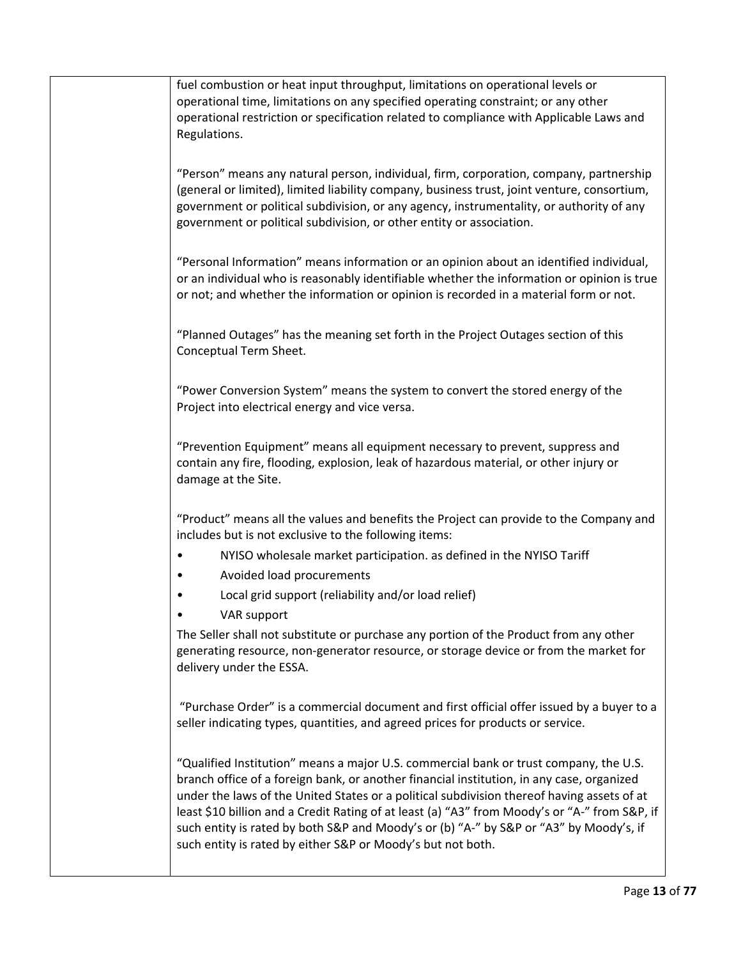fuel combustion or heat input throughput, limitations on operational levels or operational time, limitations on any specified operating constraint; or any other operational restriction or specification related to compliance with Applicable Laws and Regulations. "Person" means any natural person, individual, firm, corporation, company, partnership (general or limited), limited liability company, business trust, joint venture, consortium, government or political subdivision, or any agency, instrumentality, or authority of any government or political subdivision, or other entity or association. "Personal Information" means information or an opinion about an identified individual, or an individual who is reasonably identifiable whether the information or opinion is true or not; and whether the information or opinion is recorded in a material form or not. "Planned Outages" has the meaning set forth in the Project Outages section of this Conceptual Term Sheet. "Power Conversion System" means the system to convert the stored energy of the Project into electrical energy and vice versa. "Prevention Equipment" means all equipment necessary to prevent, suppress and contain any fire, flooding, explosion, leak of hazardous material, or other injury or damage at the Site. "Product" means all the values and benefits the Project can provide to the Company and includes but is not exclusive to the following items: • NYISO wholesale market participation. as defined in the NYISO Tariff • Avoided load procurements • Local grid support (reliability and/or load relief) • VAR support The Seller shall not substitute or purchase any portion of the Product from any other generating resource, non-generator resource, or storage device or from the market for delivery under the ESSA. "Purchase Order" is a commercial document and first official offer issued by a buyer to a seller indicating types, quantities, and agreed prices for products or service. "Qualified Institution" means a major U.S. commercial bank or trust company, the U.S. branch office of a foreign bank, or another financial institution, in any case, organized under the laws of the United States or a political subdivision thereof having assets of at least \$10 billion and a Credit Rating of at least (a) "A3" from Moody's or "A-" from S&P, if such entity is rated by both S&P and Moody's or (b) "A-" by S&P or "A3" by Moody's, if such entity is rated by either S&P or Moody's but not both.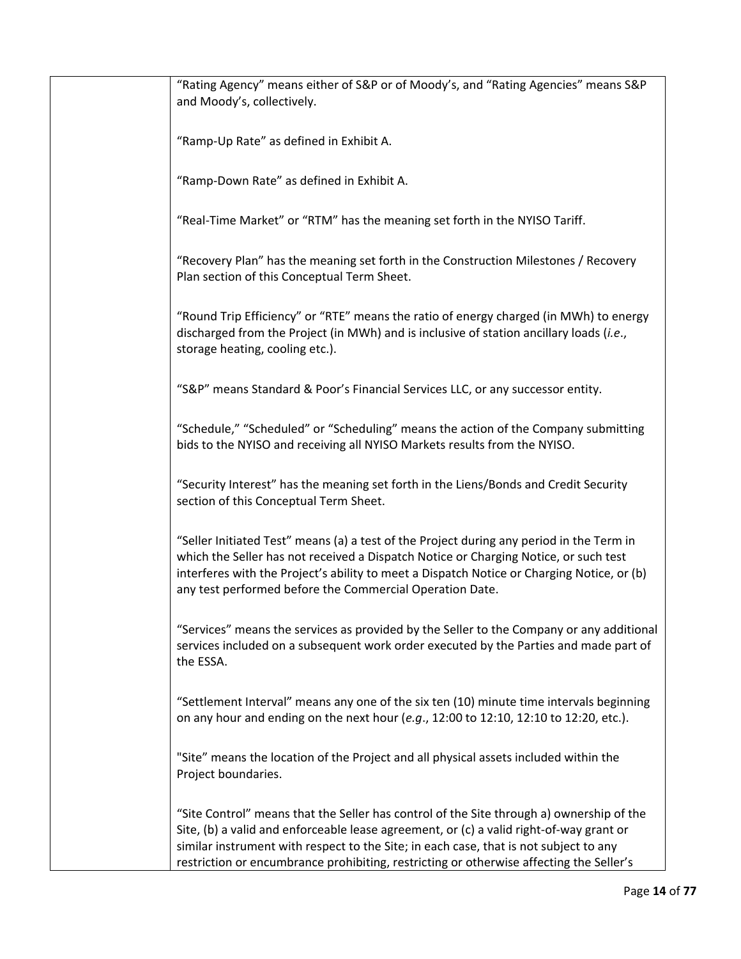| "Rating Agency" means either of S&P or of Moody's, and "Rating Agencies" means S&P                                                                                                                                                                                                                                                                                      |
|-------------------------------------------------------------------------------------------------------------------------------------------------------------------------------------------------------------------------------------------------------------------------------------------------------------------------------------------------------------------------|
| and Moody's, collectively.                                                                                                                                                                                                                                                                                                                                              |
| "Ramp-Up Rate" as defined in Exhibit A.                                                                                                                                                                                                                                                                                                                                 |
| "Ramp-Down Rate" as defined in Exhibit A.                                                                                                                                                                                                                                                                                                                               |
| "Real-Time Market" or "RTM" has the meaning set forth in the NYISO Tariff.                                                                                                                                                                                                                                                                                              |
| "Recovery Plan" has the meaning set forth in the Construction Milestones / Recovery<br>Plan section of this Conceptual Term Sheet.                                                                                                                                                                                                                                      |
| "Round Trip Efficiency" or "RTE" means the ratio of energy charged (in MWh) to energy<br>discharged from the Project (in MWh) and is inclusive of station ancillary loads (i.e.,<br>storage heating, cooling etc.).                                                                                                                                                     |
| "S&P" means Standard & Poor's Financial Services LLC, or any successor entity.                                                                                                                                                                                                                                                                                          |
| "Schedule," "Scheduled" or "Scheduling" means the action of the Company submitting<br>bids to the NYISO and receiving all NYISO Markets results from the NYISO.                                                                                                                                                                                                         |
| "Security Interest" has the meaning set forth in the Liens/Bonds and Credit Security<br>section of this Conceptual Term Sheet.                                                                                                                                                                                                                                          |
| "Seller Initiated Test" means (a) a test of the Project during any period in the Term in<br>which the Seller has not received a Dispatch Notice or Charging Notice, or such test<br>interferes with the Project's ability to meet a Dispatch Notice or Charging Notice, or (b)<br>any test performed before the Commercial Operation Date.                              |
| "Services" means the services as provided by the Seller to the Company or any additional<br>services included on a subsequent work order executed by the Parties and made part of<br>the ESSA.                                                                                                                                                                          |
| "Settlement Interval" means any one of the six ten (10) minute time intervals beginning<br>on any hour and ending on the next hour (e.g., 12:00 to 12:10, 12:10 to 12:20, etc.).                                                                                                                                                                                        |
| "Site" means the location of the Project and all physical assets included within the<br>Project boundaries.                                                                                                                                                                                                                                                             |
| "Site Control" means that the Seller has control of the Site through a) ownership of the<br>Site, (b) a valid and enforceable lease agreement, or (c) a valid right-of-way grant or<br>similar instrument with respect to the Site; in each case, that is not subject to any<br>restriction or encumbrance prohibiting, restricting or otherwise affecting the Seller's |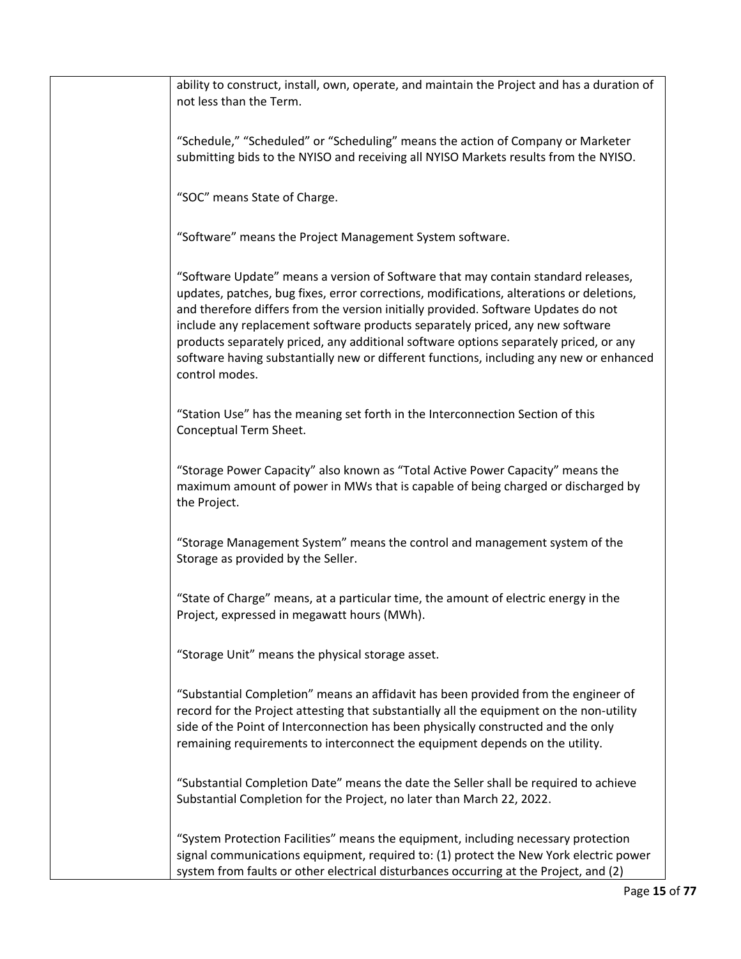ability to construct, install, own, operate, and maintain the Project and has a duration of not less than the Term. "Schedule," "Scheduled" or "Scheduling" means the action of Company or Marketer submitting bids to the NYISO and receiving all NYISO Markets results from the NYISO. "SOC" means State of Charge. "Software" means the Project Management System software. "Software Update" means a version of Software that may contain standard releases, updates, patches, bug fixes, error corrections, modifications, alterations or deletions, and therefore differs from the version initially provided. Software Updates do not include any replacement software products separately priced, any new software products separately priced, any additional software options separately priced, or any software having substantially new or different functions, including any new or enhanced control modes. "Station Use" has the meaning set forth in the Interconnection Section of this Conceptual Term Sheet. "Storage Power Capacity" also known as "Total Active Power Capacity" means the maximum amount of power in MWs that is capable of being charged or discharged by the Project. "Storage Management System" means the control and management system of the Storage as provided by the Seller. "State of Charge" means, at a particular time, the amount of electric energy in the Project, expressed in megawatt hours (MWh). "Storage Unit" means the physical storage asset. "Substantial Completion" means an affidavit has been provided from the engineer of record for the Project attesting that substantially all the equipment on the non-utility side of the Point of Interconnection has been physically constructed and the only remaining requirements to interconnect the equipment depends on the utility. "Substantial Completion Date" means the date the Seller shall be required to achieve Substantial Completion for the Project, no later than March 22, 2022. "System Protection Facilities" means the equipment, including necessary protection signal communications equipment, required to: (1) protect the New York electric power system from faults or other electrical disturbances occurring at the Project, and (2)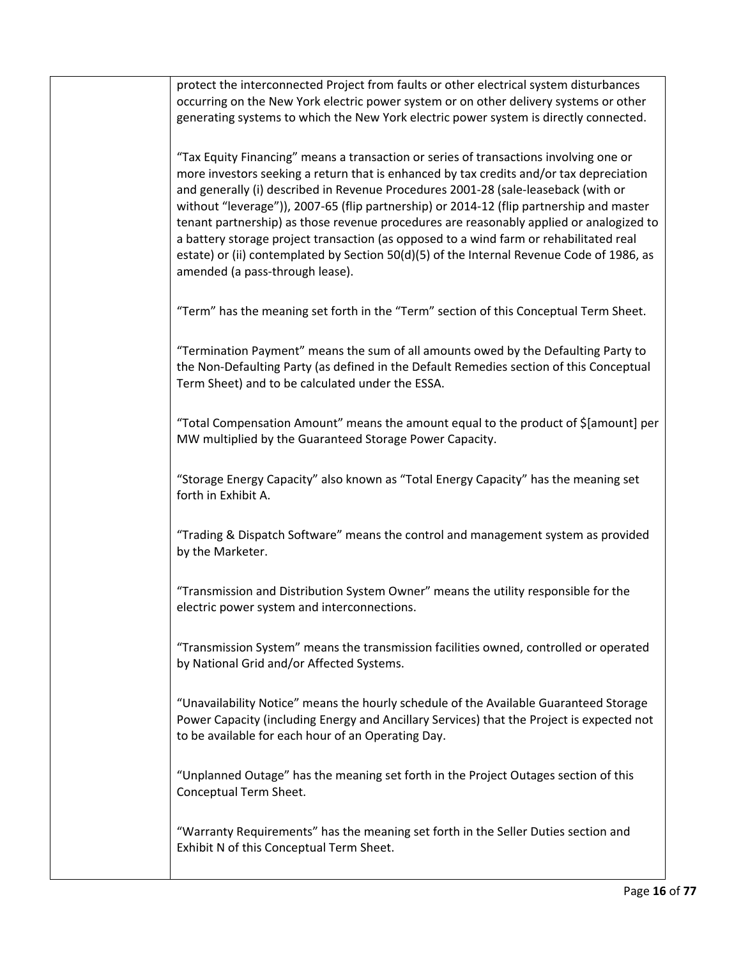protect the interconnected Project from faults or other electrical system disturbances occurring on the New York electric power system or on other delivery systems or other generating systems to which the New York electric power system is directly connected.

"Tax Equity Financing" means a transaction or series of transactions involving one or more investors seeking a return that is enhanced by tax credits and/or tax depreciation and generally (i) described in Revenue Procedures 2001-28 (sale-leaseback (with or without "leverage")), 2007-65 (flip partnership) or 2014-12 (flip partnership and master tenant partnership) as those revenue procedures are reasonably applied or analogized to a battery storage project transaction (as opposed to a wind farm or rehabilitated real estate) or (ii) contemplated by Section 50(d)(5) of the Internal Revenue Code of 1986, as amended (a pass-through lease).

"Term" has the meaning set forth in the "Term" section of this Conceptual Term Sheet.

"Termination Payment" means the sum of all amounts owed by the Defaulting Party to the Non-Defaulting Party (as defined in the Default Remedies section of this Conceptual Term Sheet) and to be calculated under the ESSA.

"Total Compensation Amount" means the amount equal to the product of \$[amount] per MW multiplied by the Guaranteed Storage Power Capacity.

"Storage Energy Capacity" also known as "Total Energy Capacity" has the meaning set forth in Exhibit A.

"Trading & Dispatch Software" means the control and management system as provided by the Marketer.

"Transmission and Distribution System Owner" means the utility responsible for the electric power system and interconnections.

"Transmission System" means the transmission facilities owned, controlled or operated by National Grid and/or Affected Systems.

"Unavailability Notice" means the hourly schedule of the Available Guaranteed Storage Power Capacity (including Energy and Ancillary Services) that the Project is expected not to be available for each hour of an Operating Day.

"Unplanned Outage" has the meaning set forth in the Project Outages section of this Conceptual Term Sheet.

"Warranty Requirements" has the meaning set forth in the Seller Duties section and Exhibit N of this Conceptual Term Sheet.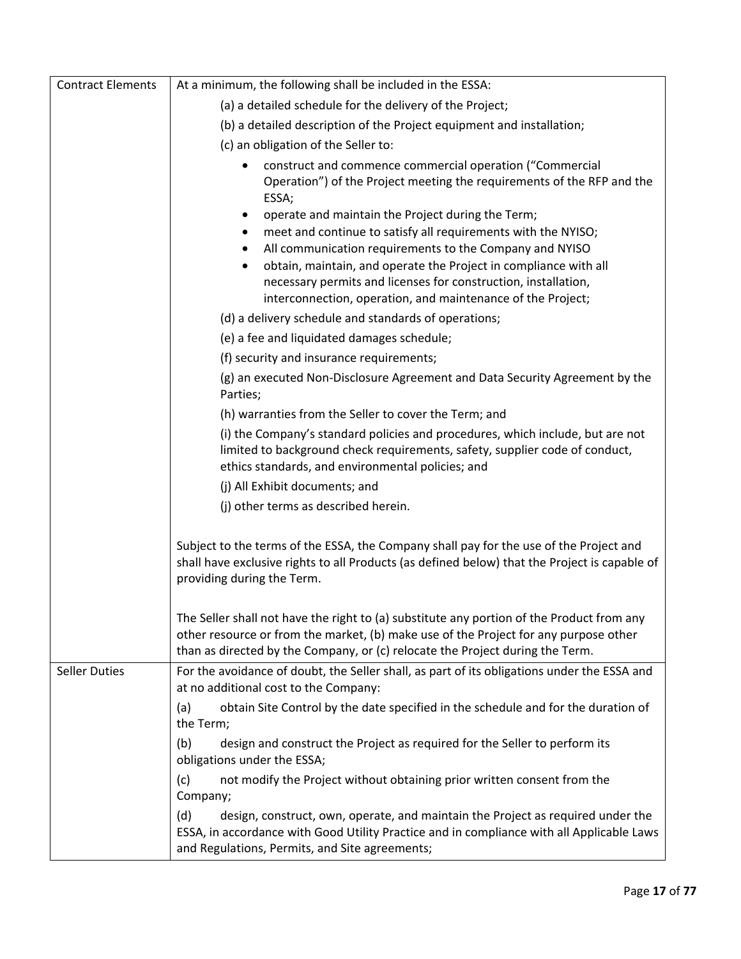| <b>Contract Elements</b> | At a minimum, the following shall be included in the ESSA:                                                                                                                                                                                                                                                                                                                                                        |
|--------------------------|-------------------------------------------------------------------------------------------------------------------------------------------------------------------------------------------------------------------------------------------------------------------------------------------------------------------------------------------------------------------------------------------------------------------|
|                          | (a) a detailed schedule for the delivery of the Project;                                                                                                                                                                                                                                                                                                                                                          |
|                          | (b) a detailed description of the Project equipment and installation;                                                                                                                                                                                                                                                                                                                                             |
|                          | (c) an obligation of the Seller to:                                                                                                                                                                                                                                                                                                                                                                               |
|                          | construct and commence commercial operation ("Commercial<br>٠<br>Operation") of the Project meeting the requirements of the RFP and the<br>ESSA;                                                                                                                                                                                                                                                                  |
|                          | operate and maintain the Project during the Term;<br>٠<br>meet and continue to satisfy all requirements with the NYISO;<br>All communication requirements to the Company and NYISO<br>$\bullet$<br>obtain, maintain, and operate the Project in compliance with all<br>$\bullet$<br>necessary permits and licenses for construction, installation,<br>interconnection, operation, and maintenance of the Project; |
|                          | (d) a delivery schedule and standards of operations;                                                                                                                                                                                                                                                                                                                                                              |
|                          | (e) a fee and liquidated damages schedule;                                                                                                                                                                                                                                                                                                                                                                        |
|                          | (f) security and insurance requirements;                                                                                                                                                                                                                                                                                                                                                                          |
|                          | (g) an executed Non-Disclosure Agreement and Data Security Agreement by the<br>Parties;                                                                                                                                                                                                                                                                                                                           |
|                          | (h) warranties from the Seller to cover the Term; and                                                                                                                                                                                                                                                                                                                                                             |
|                          | (i) the Company's standard policies and procedures, which include, but are not<br>limited to background check requirements, safety, supplier code of conduct,<br>ethics standards, and environmental policies; and                                                                                                                                                                                                |
|                          | (j) All Exhibit documents; and                                                                                                                                                                                                                                                                                                                                                                                    |
|                          | (j) other terms as described herein.                                                                                                                                                                                                                                                                                                                                                                              |
|                          | Subject to the terms of the ESSA, the Company shall pay for the use of the Project and<br>shall have exclusive rights to all Products (as defined below) that the Project is capable of<br>providing during the Term.                                                                                                                                                                                             |
|                          | The Seller shall not have the right to (a) substitute any portion of the Product from any<br>other resource or from the market, (b) make use of the Project for any purpose other<br>than as directed by the Company, or (c) relocate the Project during the Term.                                                                                                                                                |
| <b>Seller Duties</b>     | For the avoidance of doubt, the Seller shall, as part of its obligations under the ESSA and<br>at no additional cost to the Company:                                                                                                                                                                                                                                                                              |
|                          | obtain Site Control by the date specified in the schedule and for the duration of<br>(a)<br>the Term;                                                                                                                                                                                                                                                                                                             |
|                          | design and construct the Project as required for the Seller to perform its<br>(b)<br>obligations under the ESSA;                                                                                                                                                                                                                                                                                                  |
|                          | not modify the Project without obtaining prior written consent from the<br>(c)<br>Company;                                                                                                                                                                                                                                                                                                                        |
|                          | (d)<br>design, construct, own, operate, and maintain the Project as required under the<br>ESSA, in accordance with Good Utility Practice and in compliance with all Applicable Laws<br>and Regulations, Permits, and Site agreements;                                                                                                                                                                             |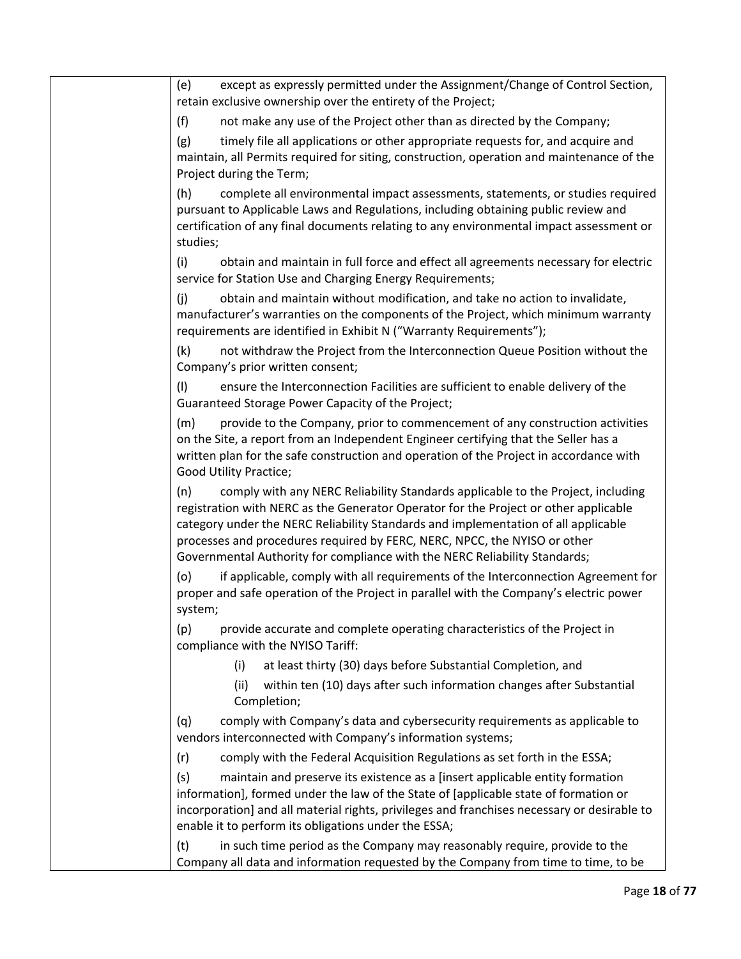| (e)<br>except as expressly permitted under the Assignment/Change of Control Section,<br>retain exclusive ownership over the entirety of the Project;                                                                                                                                                                                                                                                                            |
|---------------------------------------------------------------------------------------------------------------------------------------------------------------------------------------------------------------------------------------------------------------------------------------------------------------------------------------------------------------------------------------------------------------------------------|
| (f)<br>not make any use of the Project other than as directed by the Company;                                                                                                                                                                                                                                                                                                                                                   |
| (g)<br>timely file all applications or other appropriate requests for, and acquire and<br>maintain, all Permits required for siting, construction, operation and maintenance of the<br>Project during the Term;                                                                                                                                                                                                                 |
| (h)<br>complete all environmental impact assessments, statements, or studies required<br>pursuant to Applicable Laws and Regulations, including obtaining public review and<br>certification of any final documents relating to any environmental impact assessment or<br>studies;                                                                                                                                              |
| (i)<br>obtain and maintain in full force and effect all agreements necessary for electric<br>service for Station Use and Charging Energy Requirements;                                                                                                                                                                                                                                                                          |
| obtain and maintain without modification, and take no action to invalidate,<br>(i)<br>manufacturer's warranties on the components of the Project, which minimum warranty<br>requirements are identified in Exhibit N ("Warranty Requirements");                                                                                                                                                                                 |
| (k)<br>not withdraw the Project from the Interconnection Queue Position without the<br>Company's prior written consent;                                                                                                                                                                                                                                                                                                         |
| (1)<br>ensure the Interconnection Facilities are sufficient to enable delivery of the<br>Guaranteed Storage Power Capacity of the Project;                                                                                                                                                                                                                                                                                      |
| (m)<br>provide to the Company, prior to commencement of any construction activities<br>on the Site, a report from an Independent Engineer certifying that the Seller has a<br>written plan for the safe construction and operation of the Project in accordance with<br>Good Utility Practice;                                                                                                                                  |
| (n)<br>comply with any NERC Reliability Standards applicable to the Project, including<br>registration with NERC as the Generator Operator for the Project or other applicable<br>category under the NERC Reliability Standards and implementation of all applicable<br>processes and procedures required by FERC, NERC, NPCC, the NYISO or other<br>Governmental Authority for compliance with the NERC Reliability Standards; |
| if applicable, comply with all requirements of the Interconnection Agreement for<br>(o)<br>proper and safe operation of the Project in parallel with the Company's electric power<br>system;                                                                                                                                                                                                                                    |
| provide accurate and complete operating characteristics of the Project in<br>(p)<br>compliance with the NYISO Tariff:                                                                                                                                                                                                                                                                                                           |
| at least thirty (30) days before Substantial Completion, and<br>(i)                                                                                                                                                                                                                                                                                                                                                             |
| within ten (10) days after such information changes after Substantial<br>(ii)<br>Completion;                                                                                                                                                                                                                                                                                                                                    |
| comply with Company's data and cybersecurity requirements as applicable to<br>(q)<br>vendors interconnected with Company's information systems;                                                                                                                                                                                                                                                                                 |
| comply with the Federal Acquisition Regulations as set forth in the ESSA;<br>(r)                                                                                                                                                                                                                                                                                                                                                |
| (s)<br>maintain and preserve its existence as a [insert applicable entity formation<br>information], formed under the law of the State of [applicable state of formation or<br>incorporation] and all material rights, privileges and franchises necessary or desirable to<br>enable it to perform its obligations under the ESSA;                                                                                              |
| (t)<br>in such time period as the Company may reasonably require, provide to the<br>Company all data and information requested by the Company from time to time, to be                                                                                                                                                                                                                                                          |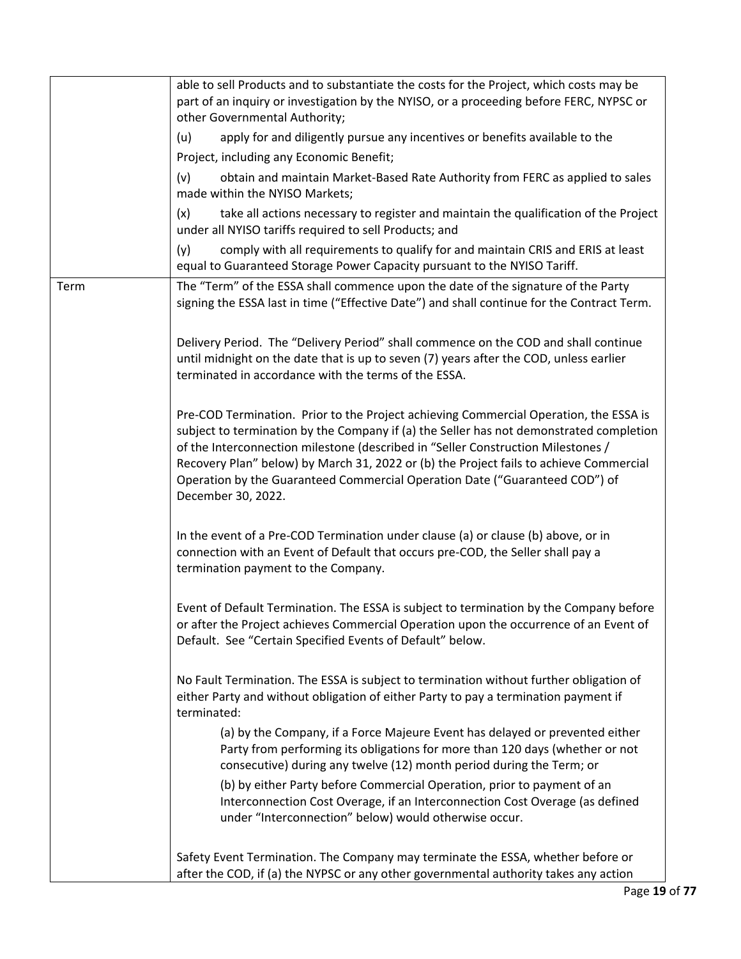|      | able to sell Products and to substantiate the costs for the Project, which costs may be<br>part of an inquiry or investigation by the NYISO, or a proceeding before FERC, NYPSC or<br>other Governmental Authority;                                                                                                                                                                                                                                                 |
|------|---------------------------------------------------------------------------------------------------------------------------------------------------------------------------------------------------------------------------------------------------------------------------------------------------------------------------------------------------------------------------------------------------------------------------------------------------------------------|
|      | apply for and diligently pursue any incentives or benefits available to the<br>(u)                                                                                                                                                                                                                                                                                                                                                                                  |
|      | Project, including any Economic Benefit;                                                                                                                                                                                                                                                                                                                                                                                                                            |
|      | obtain and maintain Market-Based Rate Authority from FERC as applied to sales<br>(v)<br>made within the NYISO Markets;                                                                                                                                                                                                                                                                                                                                              |
|      | (x)<br>take all actions necessary to register and maintain the qualification of the Project<br>under all NYISO tariffs required to sell Products; and                                                                                                                                                                                                                                                                                                               |
|      | (y)<br>comply with all requirements to qualify for and maintain CRIS and ERIS at least<br>equal to Guaranteed Storage Power Capacity pursuant to the NYISO Tariff.                                                                                                                                                                                                                                                                                                  |
| Term | The "Term" of the ESSA shall commence upon the date of the signature of the Party<br>signing the ESSA last in time ("Effective Date") and shall continue for the Contract Term.                                                                                                                                                                                                                                                                                     |
|      | Delivery Period. The "Delivery Period" shall commence on the COD and shall continue<br>until midnight on the date that is up to seven (7) years after the COD, unless earlier<br>terminated in accordance with the terms of the ESSA.                                                                                                                                                                                                                               |
|      | Pre-COD Termination. Prior to the Project achieving Commercial Operation, the ESSA is<br>subject to termination by the Company if (a) the Seller has not demonstrated completion<br>of the Interconnection milestone (described in "Seller Construction Milestones /<br>Recovery Plan" below) by March 31, 2022 or (b) the Project fails to achieve Commercial<br>Operation by the Guaranteed Commercial Operation Date ("Guaranteed COD") of<br>December 30, 2022. |
|      | In the event of a Pre-COD Termination under clause (a) or clause (b) above, or in<br>connection with an Event of Default that occurs pre-COD, the Seller shall pay a<br>termination payment to the Company.                                                                                                                                                                                                                                                         |
|      | Event of Default Termination. The ESSA is subject to termination by the Company before<br>or after the Project achieves Commercial Operation upon the occurrence of an Event of<br>Default. See "Certain Specified Events of Default" below.                                                                                                                                                                                                                        |
|      | No Fault Termination. The ESSA is subject to termination without further obligation of<br>either Party and without obligation of either Party to pay a termination payment if<br>terminated:                                                                                                                                                                                                                                                                        |
|      | (a) by the Company, if a Force Majeure Event has delayed or prevented either<br>Party from performing its obligations for more than 120 days (whether or not<br>consecutive) during any twelve (12) month period during the Term; or                                                                                                                                                                                                                                |
|      | (b) by either Party before Commercial Operation, prior to payment of an<br>Interconnection Cost Overage, if an Interconnection Cost Overage (as defined<br>under "Interconnection" below) would otherwise occur.                                                                                                                                                                                                                                                    |
|      | Safety Event Termination. The Company may terminate the ESSA, whether before or<br>after the COD, if (a) the NYPSC or any other governmental authority takes any action                                                                                                                                                                                                                                                                                             |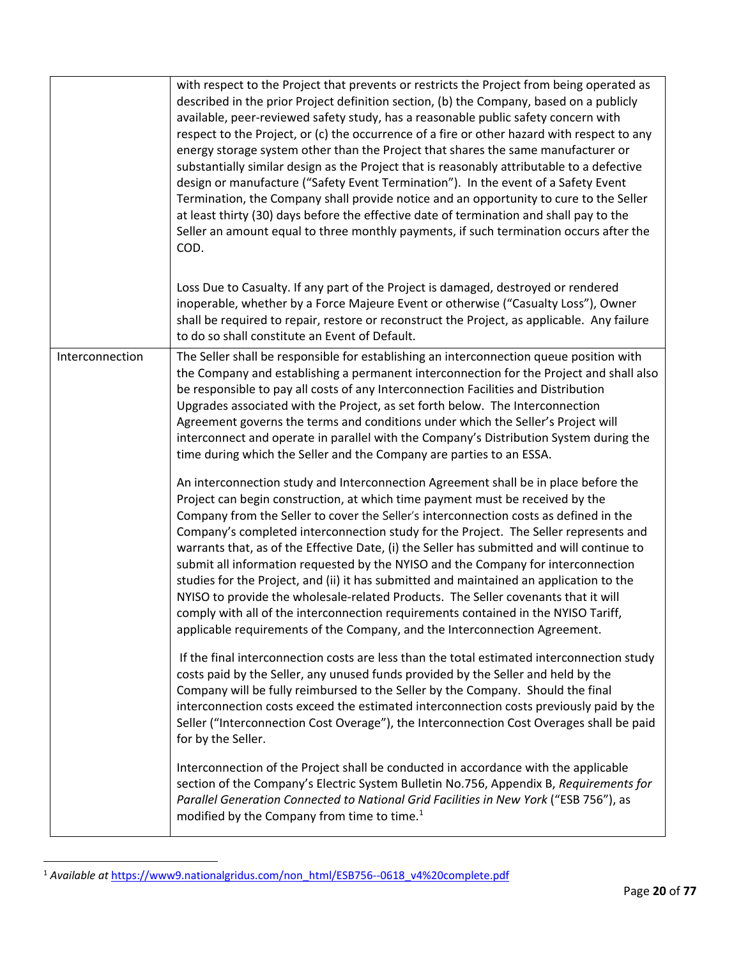|                 | with respect to the Project that prevents or restricts the Project from being operated as<br>described in the prior Project definition section, (b) the Company, based on a publicly<br>available, peer-reviewed safety study, has a reasonable public safety concern with<br>respect to the Project, or (c) the occurrence of a fire or other hazard with respect to any<br>energy storage system other than the Project that shares the same manufacturer or<br>substantially similar design as the Project that is reasonably attributable to a defective<br>design or manufacture ("Safety Event Termination"). In the event of a Safety Event<br>Termination, the Company shall provide notice and an opportunity to cure to the Seller<br>at least thirty (30) days before the effective date of termination and shall pay to the<br>Seller an amount equal to three monthly payments, if such termination occurs after the<br>COD. |
|-----------------|-------------------------------------------------------------------------------------------------------------------------------------------------------------------------------------------------------------------------------------------------------------------------------------------------------------------------------------------------------------------------------------------------------------------------------------------------------------------------------------------------------------------------------------------------------------------------------------------------------------------------------------------------------------------------------------------------------------------------------------------------------------------------------------------------------------------------------------------------------------------------------------------------------------------------------------------|
|                 | Loss Due to Casualty. If any part of the Project is damaged, destroyed or rendered<br>inoperable, whether by a Force Majeure Event or otherwise ("Casualty Loss"), Owner<br>shall be required to repair, restore or reconstruct the Project, as applicable. Any failure<br>to do so shall constitute an Event of Default.                                                                                                                                                                                                                                                                                                                                                                                                                                                                                                                                                                                                                 |
| Interconnection | The Seller shall be responsible for establishing an interconnection queue position with<br>the Company and establishing a permanent interconnection for the Project and shall also<br>be responsible to pay all costs of any Interconnection Facilities and Distribution<br>Upgrades associated with the Project, as set forth below. The Interconnection<br>Agreement governs the terms and conditions under which the Seller's Project will<br>interconnect and operate in parallel with the Company's Distribution System during the<br>time during which the Seller and the Company are parties to an ESSA.                                                                                                                                                                                                                                                                                                                           |
|                 | An interconnection study and Interconnection Agreement shall be in place before the<br>Project can begin construction, at which time payment must be received by the<br>Company from the Seller to cover the Seller's interconnection costs as defined in the<br>Company's completed interconnection study for the Project. The Seller represents and<br>warrants that, as of the Effective Date, (i) the Seller has submitted and will continue to<br>submit all information requested by the NYISO and the Company for interconnection<br>studies for the Project, and (ii) it has submitted and maintained an application to the<br>NYISO to provide the wholesale-related Products. The Seller covenants that it will<br>comply with all of the interconnection requirements contained in the NYISO Tariff,<br>applicable requirements of the Company, and the Interconnection Agreement.                                             |
|                 | If the final interconnection costs are less than the total estimated interconnection study<br>costs paid by the Seller, any unused funds provided by the Seller and held by the<br>Company will be fully reimbursed to the Seller by the Company. Should the final<br>interconnection costs exceed the estimated interconnection costs previously paid by the<br>Seller ("Interconnection Cost Overage"), the Interconnection Cost Overages shall be paid<br>for by the Seller.                                                                                                                                                                                                                                                                                                                                                                                                                                                           |
|                 | Interconnection of the Project shall be conducted in accordance with the applicable<br>section of the Company's Electric System Bulletin No.756, Appendix B, Requirements for<br>Parallel Generation Connected to National Grid Facilities in New York ("ESB 756"), as<br>modified by the Company from time to time. <sup>1</sup>                                                                                                                                                                                                                                                                                                                                                                                                                                                                                                                                                                                                         |

<sup>&</sup>lt;sup>1</sup> Available at https://www9.nationalgridus.com/non\_html/ESB756--0618\_v4%20complete.pdf

 $\overline{\phantom{a}}$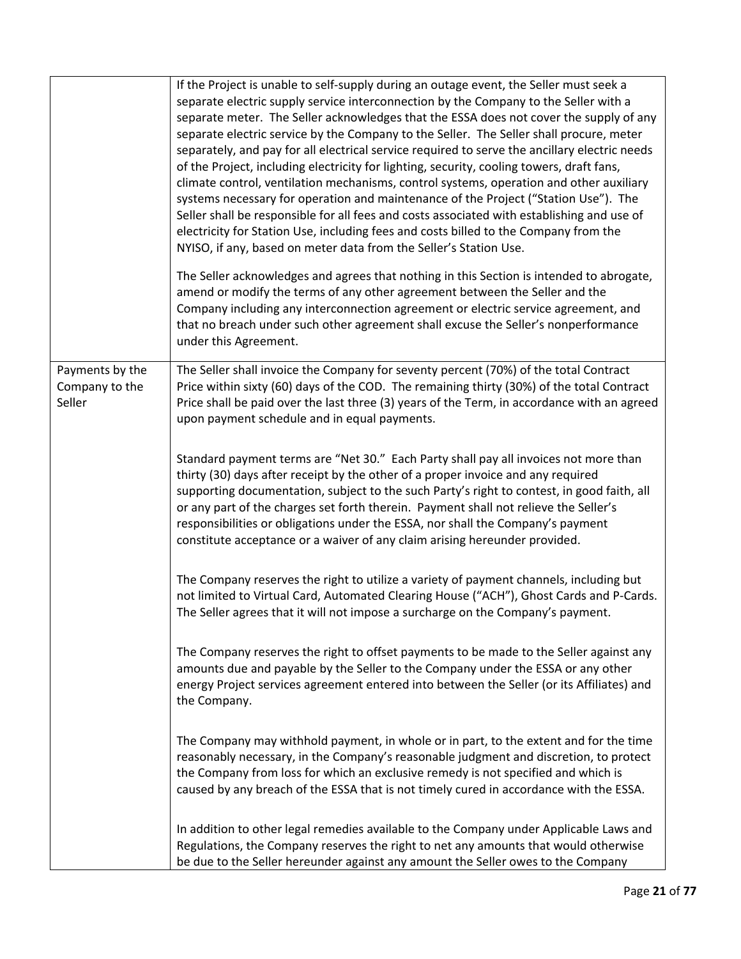|                                             | If the Project is unable to self-supply during an outage event, the Seller must seek a<br>separate electric supply service interconnection by the Company to the Seller with a<br>separate meter. The Seller acknowledges that the ESSA does not cover the supply of any<br>separate electric service by the Company to the Seller. The Seller shall procure, meter<br>separately, and pay for all electrical service required to serve the ancillary electric needs<br>of the Project, including electricity for lighting, security, cooling towers, draft fans,<br>climate control, ventilation mechanisms, control systems, operation and other auxiliary<br>systems necessary for operation and maintenance of the Project ("Station Use"). The<br>Seller shall be responsible for all fees and costs associated with establishing and use of<br>electricity for Station Use, including fees and costs billed to the Company from the<br>NYISO, if any, based on meter data from the Seller's Station Use. |
|---------------------------------------------|----------------------------------------------------------------------------------------------------------------------------------------------------------------------------------------------------------------------------------------------------------------------------------------------------------------------------------------------------------------------------------------------------------------------------------------------------------------------------------------------------------------------------------------------------------------------------------------------------------------------------------------------------------------------------------------------------------------------------------------------------------------------------------------------------------------------------------------------------------------------------------------------------------------------------------------------------------------------------------------------------------------|
|                                             | The Seller acknowledges and agrees that nothing in this Section is intended to abrogate,<br>amend or modify the terms of any other agreement between the Seller and the<br>Company including any interconnection agreement or electric service agreement, and<br>that no breach under such other agreement shall excuse the Seller's nonperformance<br>under this Agreement.                                                                                                                                                                                                                                                                                                                                                                                                                                                                                                                                                                                                                                   |
| Payments by the<br>Company to the<br>Seller | The Seller shall invoice the Company for seventy percent (70%) of the total Contract<br>Price within sixty (60) days of the COD. The remaining thirty (30%) of the total Contract<br>Price shall be paid over the last three (3) years of the Term, in accordance with an agreed<br>upon payment schedule and in equal payments.                                                                                                                                                                                                                                                                                                                                                                                                                                                                                                                                                                                                                                                                               |
|                                             | Standard payment terms are "Net 30." Each Party shall pay all invoices not more than<br>thirty (30) days after receipt by the other of a proper invoice and any required<br>supporting documentation, subject to the such Party's right to contest, in good faith, all<br>or any part of the charges set forth therein. Payment shall not relieve the Seller's<br>responsibilities or obligations under the ESSA, nor shall the Company's payment<br>constitute acceptance or a waiver of any claim arising hereunder provided.                                                                                                                                                                                                                                                                                                                                                                                                                                                                                |
|                                             | The Company reserves the right to utilize a variety of payment channels, including but<br>not limited to Virtual Card, Automated Clearing House ("ACH"), Ghost Cards and P-Cards.<br>The Seller agrees that it will not impose a surcharge on the Company's payment.                                                                                                                                                                                                                                                                                                                                                                                                                                                                                                                                                                                                                                                                                                                                           |
|                                             | The Company reserves the right to offset payments to be made to the Seller against any<br>amounts due and payable by the Seller to the Company under the ESSA or any other<br>energy Project services agreement entered into between the Seller (or its Affiliates) and<br>the Company.                                                                                                                                                                                                                                                                                                                                                                                                                                                                                                                                                                                                                                                                                                                        |
|                                             | The Company may withhold payment, in whole or in part, to the extent and for the time<br>reasonably necessary, in the Company's reasonable judgment and discretion, to protect<br>the Company from loss for which an exclusive remedy is not specified and which is<br>caused by any breach of the ESSA that is not timely cured in accordance with the ESSA.                                                                                                                                                                                                                                                                                                                                                                                                                                                                                                                                                                                                                                                  |
|                                             | In addition to other legal remedies available to the Company under Applicable Laws and<br>Regulations, the Company reserves the right to net any amounts that would otherwise<br>be due to the Seller hereunder against any amount the Seller owes to the Company                                                                                                                                                                                                                                                                                                                                                                                                                                                                                                                                                                                                                                                                                                                                              |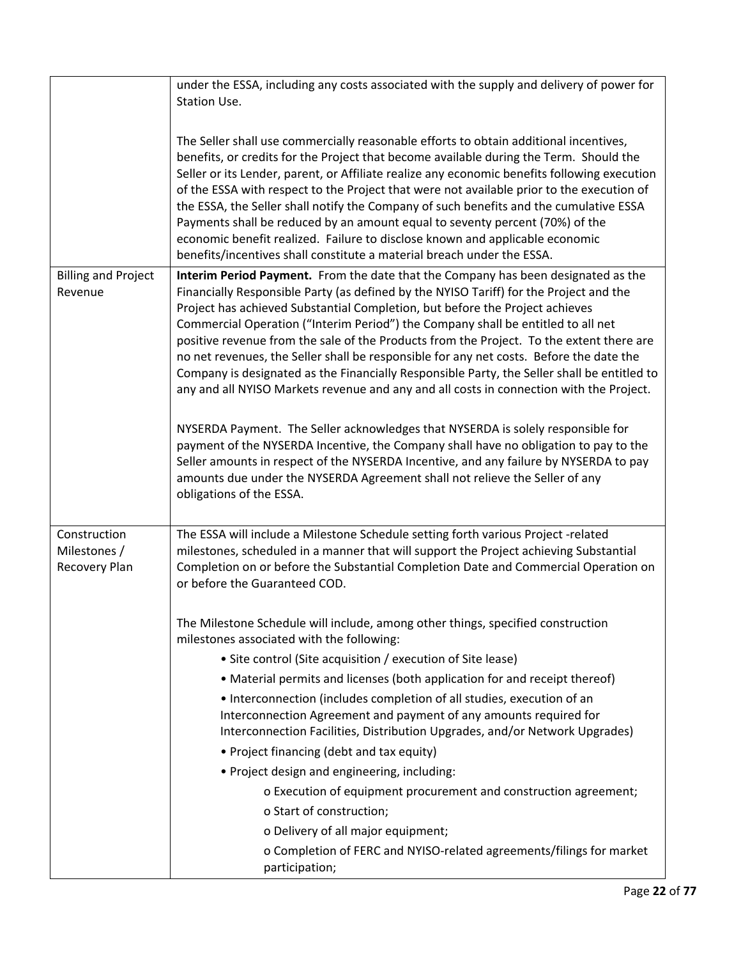|                                       | under the ESSA, including any costs associated with the supply and delivery of power for<br>Station Use.                                                                                                                                                                                                                                                                                                                                                                                                                                                                                                                                                                                                                                                                                                                                                                                                                                                                                                                                                                                                        |
|---------------------------------------|-----------------------------------------------------------------------------------------------------------------------------------------------------------------------------------------------------------------------------------------------------------------------------------------------------------------------------------------------------------------------------------------------------------------------------------------------------------------------------------------------------------------------------------------------------------------------------------------------------------------------------------------------------------------------------------------------------------------------------------------------------------------------------------------------------------------------------------------------------------------------------------------------------------------------------------------------------------------------------------------------------------------------------------------------------------------------------------------------------------------|
|                                       | The Seller shall use commercially reasonable efforts to obtain additional incentives,<br>benefits, or credits for the Project that become available during the Term. Should the<br>Seller or its Lender, parent, or Affiliate realize any economic benefits following execution<br>of the ESSA with respect to the Project that were not available prior to the execution of<br>the ESSA, the Seller shall notify the Company of such benefits and the cumulative ESSA<br>Payments shall be reduced by an amount equal to seventy percent (70%) of the<br>economic benefit realized. Failure to disclose known and applicable economic<br>benefits/incentives shall constitute a material breach under the ESSA.                                                                                                                                                                                                                                                                                                                                                                                                |
| <b>Billing and Project</b><br>Revenue | Interim Period Payment. From the date that the Company has been designated as the<br>Financially Responsible Party (as defined by the NYISO Tariff) for the Project and the<br>Project has achieved Substantial Completion, but before the Project achieves<br>Commercial Operation ("Interim Period") the Company shall be entitled to all net<br>positive revenue from the sale of the Products from the Project. To the extent there are<br>no net revenues, the Seller shall be responsible for any net costs. Before the date the<br>Company is designated as the Financially Responsible Party, the Seller shall be entitled to<br>any and all NYISO Markets revenue and any and all costs in connection with the Project.<br>NYSERDA Payment. The Seller acknowledges that NYSERDA is solely responsible for<br>payment of the NYSERDA Incentive, the Company shall have no obligation to pay to the<br>Seller amounts in respect of the NYSERDA Incentive, and any failure by NYSERDA to pay<br>amounts due under the NYSERDA Agreement shall not relieve the Seller of any<br>obligations of the ESSA. |
| Construction                          |                                                                                                                                                                                                                                                                                                                                                                                                                                                                                                                                                                                                                                                                                                                                                                                                                                                                                                                                                                                                                                                                                                                 |
| Milestones /<br>Recovery Plan         | The ESSA will include a Milestone Schedule setting forth various Project -related<br>milestones, scheduled in a manner that will support the Project achieving Substantial<br>Completion on or before the Substantial Completion Date and Commercial Operation on<br>or before the Guaranteed COD.                                                                                                                                                                                                                                                                                                                                                                                                                                                                                                                                                                                                                                                                                                                                                                                                              |
|                                       | The Milestone Schedule will include, among other things, specified construction<br>milestones associated with the following:                                                                                                                                                                                                                                                                                                                                                                                                                                                                                                                                                                                                                                                                                                                                                                                                                                                                                                                                                                                    |
|                                       | • Site control (Site acquisition / execution of Site lease)                                                                                                                                                                                                                                                                                                                                                                                                                                                                                                                                                                                                                                                                                                                                                                                                                                                                                                                                                                                                                                                     |
|                                       | • Material permits and licenses (both application for and receipt thereof)                                                                                                                                                                                                                                                                                                                                                                                                                                                                                                                                                                                                                                                                                                                                                                                                                                                                                                                                                                                                                                      |
|                                       | • Interconnection (includes completion of all studies, execution of an<br>Interconnection Agreement and payment of any amounts required for<br>Interconnection Facilities, Distribution Upgrades, and/or Network Upgrades)                                                                                                                                                                                                                                                                                                                                                                                                                                                                                                                                                                                                                                                                                                                                                                                                                                                                                      |
|                                       | • Project financing (debt and tax equity)                                                                                                                                                                                                                                                                                                                                                                                                                                                                                                                                                                                                                                                                                                                                                                                                                                                                                                                                                                                                                                                                       |
|                                       | • Project design and engineering, including:                                                                                                                                                                                                                                                                                                                                                                                                                                                                                                                                                                                                                                                                                                                                                                                                                                                                                                                                                                                                                                                                    |
|                                       | o Execution of equipment procurement and construction agreement;                                                                                                                                                                                                                                                                                                                                                                                                                                                                                                                                                                                                                                                                                                                                                                                                                                                                                                                                                                                                                                                |
|                                       | o Start of construction;                                                                                                                                                                                                                                                                                                                                                                                                                                                                                                                                                                                                                                                                                                                                                                                                                                                                                                                                                                                                                                                                                        |
|                                       | o Delivery of all major equipment;                                                                                                                                                                                                                                                                                                                                                                                                                                                                                                                                                                                                                                                                                                                                                                                                                                                                                                                                                                                                                                                                              |
|                                       | o Completion of FERC and NYISO-related agreements/filings for market<br>participation;                                                                                                                                                                                                                                                                                                                                                                                                                                                                                                                                                                                                                                                                                                                                                                                                                                                                                                                                                                                                                          |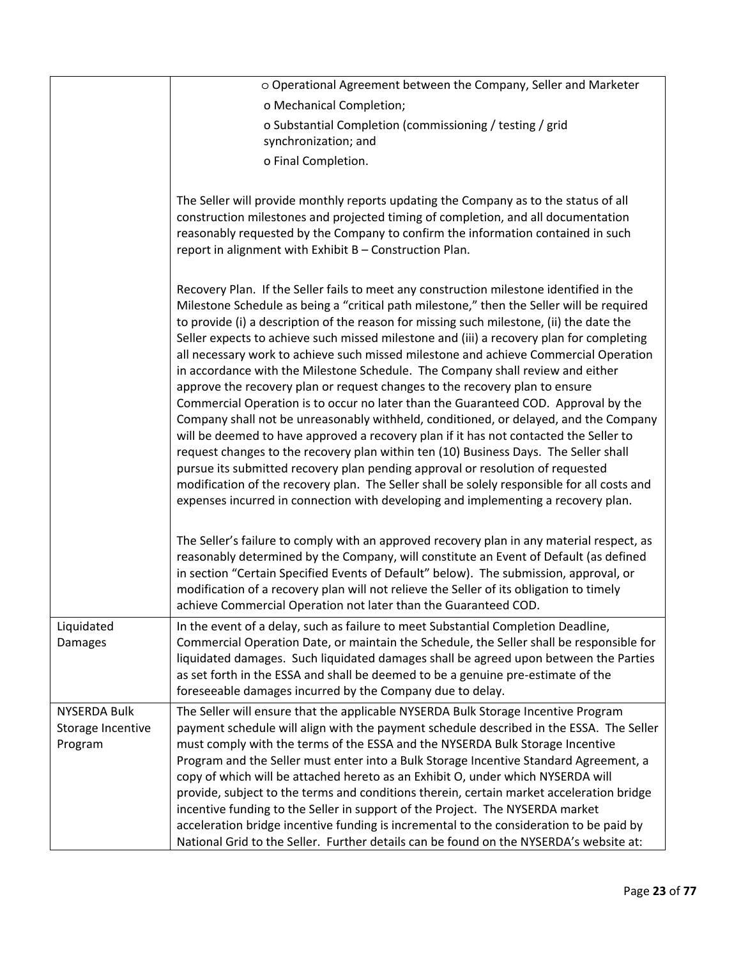|                                                     | o Operational Agreement between the Company, Seller and Marketer                                                                                                                                                                                                                                                                                                                                                                                                                                                                                                                                                                                                                                                                                                                                                                                                                                                                                                                                                                                                                                                                                                                                                                                                           |
|-----------------------------------------------------|----------------------------------------------------------------------------------------------------------------------------------------------------------------------------------------------------------------------------------------------------------------------------------------------------------------------------------------------------------------------------------------------------------------------------------------------------------------------------------------------------------------------------------------------------------------------------------------------------------------------------------------------------------------------------------------------------------------------------------------------------------------------------------------------------------------------------------------------------------------------------------------------------------------------------------------------------------------------------------------------------------------------------------------------------------------------------------------------------------------------------------------------------------------------------------------------------------------------------------------------------------------------------|
|                                                     | o Mechanical Completion;                                                                                                                                                                                                                                                                                                                                                                                                                                                                                                                                                                                                                                                                                                                                                                                                                                                                                                                                                                                                                                                                                                                                                                                                                                                   |
|                                                     | o Substantial Completion (commissioning / testing / grid<br>synchronization; and                                                                                                                                                                                                                                                                                                                                                                                                                                                                                                                                                                                                                                                                                                                                                                                                                                                                                                                                                                                                                                                                                                                                                                                           |
|                                                     | o Final Completion.                                                                                                                                                                                                                                                                                                                                                                                                                                                                                                                                                                                                                                                                                                                                                                                                                                                                                                                                                                                                                                                                                                                                                                                                                                                        |
|                                                     |                                                                                                                                                                                                                                                                                                                                                                                                                                                                                                                                                                                                                                                                                                                                                                                                                                                                                                                                                                                                                                                                                                                                                                                                                                                                            |
|                                                     | The Seller will provide monthly reports updating the Company as to the status of all<br>construction milestones and projected timing of completion, and all documentation<br>reasonably requested by the Company to confirm the information contained in such<br>report in alignment with Exhibit B - Construction Plan.                                                                                                                                                                                                                                                                                                                                                                                                                                                                                                                                                                                                                                                                                                                                                                                                                                                                                                                                                   |
|                                                     | Recovery Plan. If the Seller fails to meet any construction milestone identified in the<br>Milestone Schedule as being a "critical path milestone," then the Seller will be required<br>to provide (i) a description of the reason for missing such milestone, (ii) the date the<br>Seller expects to achieve such missed milestone and (iii) a recovery plan for completing<br>all necessary work to achieve such missed milestone and achieve Commercial Operation<br>in accordance with the Milestone Schedule. The Company shall review and either<br>approve the recovery plan or request changes to the recovery plan to ensure<br>Commercial Operation is to occur no later than the Guaranteed COD. Approval by the<br>Company shall not be unreasonably withheld, conditioned, or delayed, and the Company<br>will be deemed to have approved a recovery plan if it has not contacted the Seller to<br>request changes to the recovery plan within ten (10) Business Days. The Seller shall<br>pursue its submitted recovery plan pending approval or resolution of requested<br>modification of the recovery plan. The Seller shall be solely responsible for all costs and<br>expenses incurred in connection with developing and implementing a recovery plan. |
|                                                     | The Seller's failure to comply with an approved recovery plan in any material respect, as<br>reasonably determined by the Company, will constitute an Event of Default (as defined<br>in section "Certain Specified Events of Default" below). The submission, approval, or<br>modification of a recovery plan will not relieve the Seller of its obligation to timely<br>achieve Commercial Operation not later than the Guaranteed COD.                                                                                                                                                                                                                                                                                                                                                                                                                                                                                                                                                                                                                                                                                                                                                                                                                                  |
| Liquidated<br><b>Damages</b>                        | In the event of a delay, such as failure to meet Substantial Completion Deadline,<br>Commercial Operation Date, or maintain the Schedule, the Seller shall be responsible for<br>liquidated damages. Such liquidated damages shall be agreed upon between the Parties<br>as set forth in the ESSA and shall be deemed to be a genuine pre-estimate of the<br>foreseeable damages incurred by the Company due to delay.                                                                                                                                                                                                                                                                                                                                                                                                                                                                                                                                                                                                                                                                                                                                                                                                                                                     |
| <b>NYSERDA Bulk</b><br>Storage Incentive<br>Program | The Seller will ensure that the applicable NYSERDA Bulk Storage Incentive Program<br>payment schedule will align with the payment schedule described in the ESSA. The Seller<br>must comply with the terms of the ESSA and the NYSERDA Bulk Storage Incentive<br>Program and the Seller must enter into a Bulk Storage Incentive Standard Agreement, a<br>copy of which will be attached hereto as an Exhibit O, under which NYSERDA will<br>provide, subject to the terms and conditions therein, certain market acceleration bridge<br>incentive funding to the Seller in support of the Project. The NYSERDA market<br>acceleration bridge incentive funding is incremental to the consideration to be paid by<br>National Grid to the Seller. Further details can be found on the NYSERDA's website at:                                                                                                                                                                                                                                                                                                                                                                                                                                                                |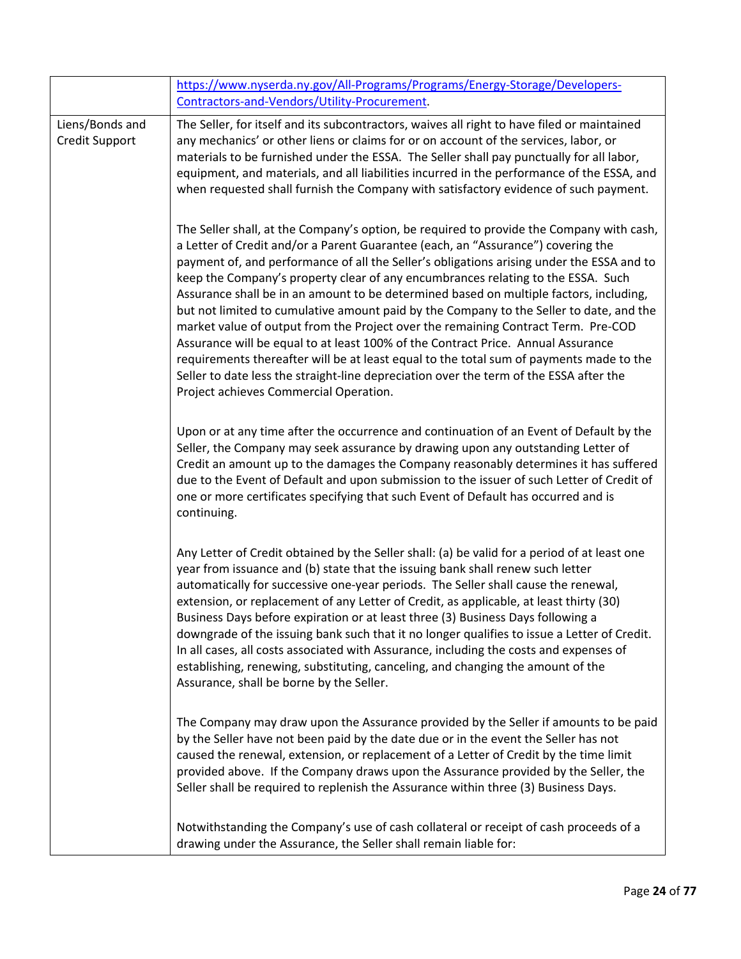|                                   | https://www.nyserda.ny.gov/All-Programs/Programs/Energy-Storage/Developers-<br>Contractors-and-Vendors/Utility-Procurement.                                                                                                                                                                                                                                                                                                                                                                                                                                                                                                                                                                                                                                                                                                                                                                                                                                |
|-----------------------------------|------------------------------------------------------------------------------------------------------------------------------------------------------------------------------------------------------------------------------------------------------------------------------------------------------------------------------------------------------------------------------------------------------------------------------------------------------------------------------------------------------------------------------------------------------------------------------------------------------------------------------------------------------------------------------------------------------------------------------------------------------------------------------------------------------------------------------------------------------------------------------------------------------------------------------------------------------------|
| Liens/Bonds and<br>Credit Support | The Seller, for itself and its subcontractors, waives all right to have filed or maintained<br>any mechanics' or other liens or claims for or on account of the services, labor, or<br>materials to be furnished under the ESSA. The Seller shall pay punctually for all labor,<br>equipment, and materials, and all liabilities incurred in the performance of the ESSA, and<br>when requested shall furnish the Company with satisfactory evidence of such payment.                                                                                                                                                                                                                                                                                                                                                                                                                                                                                      |
|                                   | The Seller shall, at the Company's option, be required to provide the Company with cash,<br>a Letter of Credit and/or a Parent Guarantee (each, an "Assurance") covering the<br>payment of, and performance of all the Seller's obligations arising under the ESSA and to<br>keep the Company's property clear of any encumbrances relating to the ESSA. Such<br>Assurance shall be in an amount to be determined based on multiple factors, including,<br>but not limited to cumulative amount paid by the Company to the Seller to date, and the<br>market value of output from the Project over the remaining Contract Term. Pre-COD<br>Assurance will be equal to at least 100% of the Contract Price. Annual Assurance<br>requirements thereafter will be at least equal to the total sum of payments made to the<br>Seller to date less the straight-line depreciation over the term of the ESSA after the<br>Project achieves Commercial Operation. |
|                                   | Upon or at any time after the occurrence and continuation of an Event of Default by the<br>Seller, the Company may seek assurance by drawing upon any outstanding Letter of<br>Credit an amount up to the damages the Company reasonably determines it has suffered<br>due to the Event of Default and upon submission to the issuer of such Letter of Credit of<br>one or more certificates specifying that such Event of Default has occurred and is<br>continuing.                                                                                                                                                                                                                                                                                                                                                                                                                                                                                      |
|                                   | Any Letter of Credit obtained by the Seller shall: (a) be valid for a period of at least one<br>year from issuance and (b) state that the issuing bank shall renew such letter<br>automatically for successive one-year periods. The Seller shall cause the renewal,<br>extension, or replacement of any Letter of Credit, as applicable, at least thirty (30)<br>Business Days before expiration or at least three (3) Business Days following a<br>downgrade of the issuing bank such that it no longer qualifies to issue a Letter of Credit.<br>In all cases, all costs associated with Assurance, including the costs and expenses of<br>establishing, renewing, substituting, canceling, and changing the amount of the<br>Assurance, shall be borne by the Seller.                                                                                                                                                                                  |
|                                   | The Company may draw upon the Assurance provided by the Seller if amounts to be paid<br>by the Seller have not been paid by the date due or in the event the Seller has not<br>caused the renewal, extension, or replacement of a Letter of Credit by the time limit<br>provided above. If the Company draws upon the Assurance provided by the Seller, the<br>Seller shall be required to replenish the Assurance within three (3) Business Days.                                                                                                                                                                                                                                                                                                                                                                                                                                                                                                         |
|                                   | Notwithstanding the Company's use of cash collateral or receipt of cash proceeds of a<br>drawing under the Assurance, the Seller shall remain liable for:                                                                                                                                                                                                                                                                                                                                                                                                                                                                                                                                                                                                                                                                                                                                                                                                  |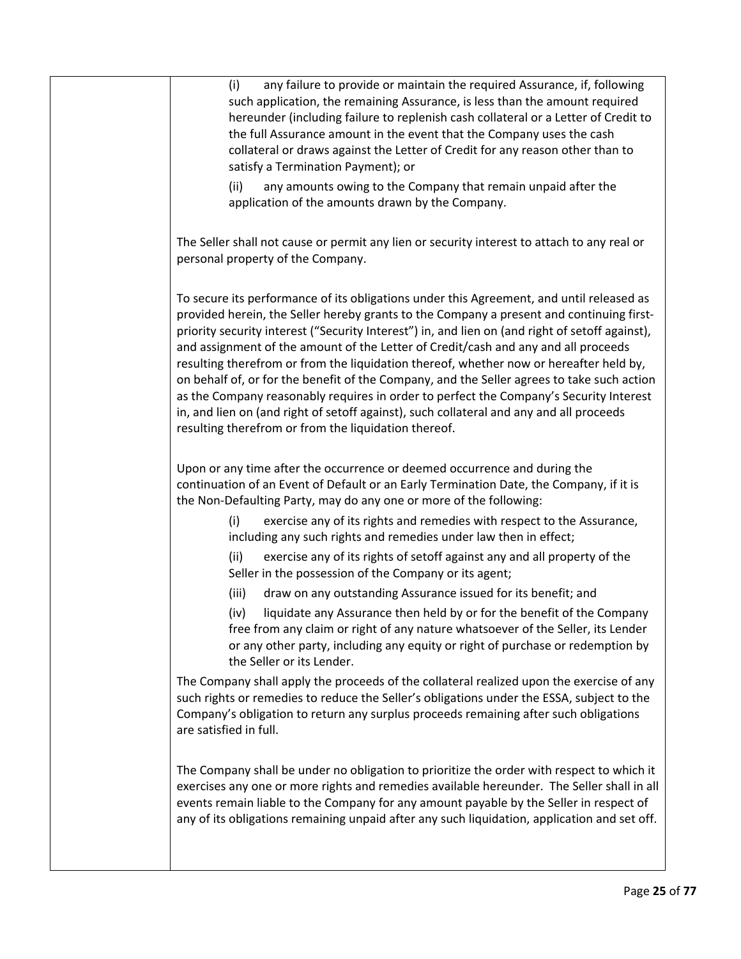| any failure to provide or maintain the required Assurance, if, following<br>(i)<br>such application, the remaining Assurance, is less than the amount required<br>hereunder (including failure to replenish cash collateral or a Letter of Credit to<br>the full Assurance amount in the event that the Company uses the cash<br>collateral or draws against the Letter of Credit for any reason other than to<br>satisfy a Termination Payment); or                                                                                                                                                                                                                                                                                                                                                               |
|--------------------------------------------------------------------------------------------------------------------------------------------------------------------------------------------------------------------------------------------------------------------------------------------------------------------------------------------------------------------------------------------------------------------------------------------------------------------------------------------------------------------------------------------------------------------------------------------------------------------------------------------------------------------------------------------------------------------------------------------------------------------------------------------------------------------|
| (ii)<br>any amounts owing to the Company that remain unpaid after the<br>application of the amounts drawn by the Company.                                                                                                                                                                                                                                                                                                                                                                                                                                                                                                                                                                                                                                                                                          |
| The Seller shall not cause or permit any lien or security interest to attach to any real or<br>personal property of the Company.                                                                                                                                                                                                                                                                                                                                                                                                                                                                                                                                                                                                                                                                                   |
| To secure its performance of its obligations under this Agreement, and until released as<br>provided herein, the Seller hereby grants to the Company a present and continuing first-<br>priority security interest ("Security Interest") in, and lien on (and right of setoff against),<br>and assignment of the amount of the Letter of Credit/cash and any and all proceeds<br>resulting therefrom or from the liquidation thereof, whether now or hereafter held by,<br>on behalf of, or for the benefit of the Company, and the Seller agrees to take such action<br>as the Company reasonably requires in order to perfect the Company's Security Interest<br>in, and lien on (and right of setoff against), such collateral and any and all proceeds<br>resulting therefrom or from the liquidation thereof. |
| Upon or any time after the occurrence or deemed occurrence and during the<br>continuation of an Event of Default or an Early Termination Date, the Company, if it is<br>the Non-Defaulting Party, may do any one or more of the following:<br>exercise any of its rights and remedies with respect to the Assurance,<br>(i)<br>including any such rights and remedies under law then in effect;<br>exercise any of its rights of setoff against any and all property of the<br>(ii)<br>Seller in the possession of the Company or its agent;                                                                                                                                                                                                                                                                       |
| (iii)<br>draw on any outstanding Assurance issued for its benefit; and<br>(iv) liquidate any Assurance then held by or for the benefit of the Company<br>free from any claim or right of any nature whatsoever of the Seller, its Lender<br>or any other party, including any equity or right of purchase or redemption by<br>the Seller or its Lender.                                                                                                                                                                                                                                                                                                                                                                                                                                                            |
| The Company shall apply the proceeds of the collateral realized upon the exercise of any<br>such rights or remedies to reduce the Seller's obligations under the ESSA, subject to the<br>Company's obligation to return any surplus proceeds remaining after such obligations<br>are satisfied in full.                                                                                                                                                                                                                                                                                                                                                                                                                                                                                                            |
| The Company shall be under no obligation to prioritize the order with respect to which it<br>exercises any one or more rights and remedies available hereunder. The Seller shall in all<br>events remain liable to the Company for any amount payable by the Seller in respect of<br>any of its obligations remaining unpaid after any such liquidation, application and set off.                                                                                                                                                                                                                                                                                                                                                                                                                                  |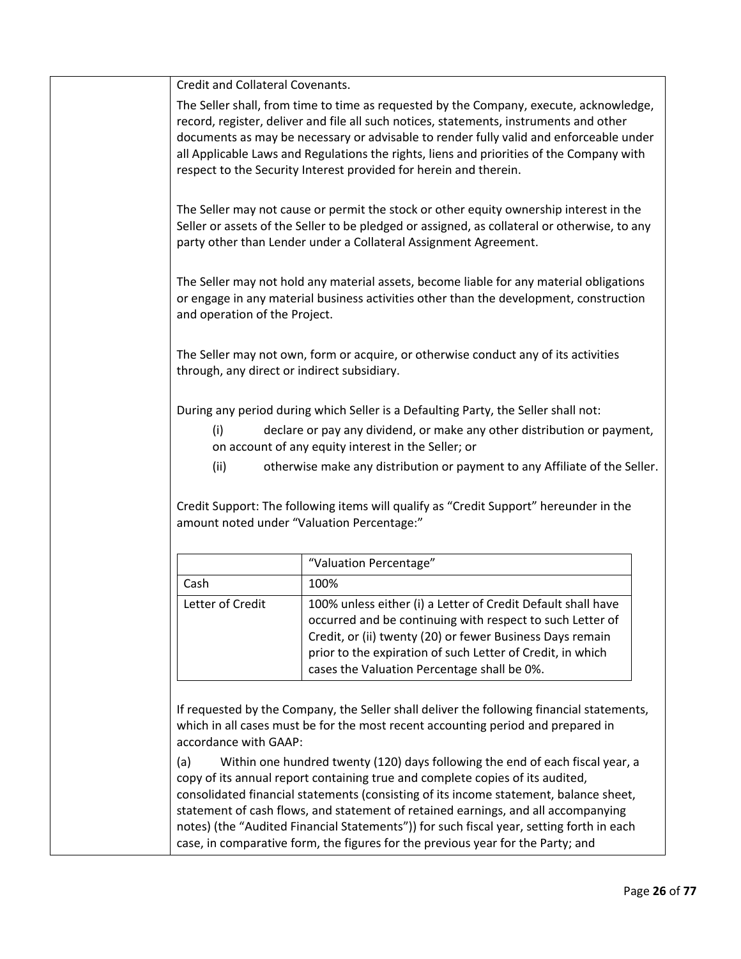Credit and Collateral Covenants.

The Seller shall, from time to time as requested by the Company, execute, acknowledge, record, register, deliver and file all such notices, statements, instruments and other documents as may be necessary or advisable to render fully valid and enforceable under all Applicable Laws and Regulations the rights, liens and priorities of the Company with respect to the Security Interest provided for herein and therein.

The Seller may not cause or permit the stock or other equity ownership interest in the Seller or assets of the Seller to be pledged or assigned, as collateral or otherwise, to any party other than Lender under a Collateral Assignment Agreement.

The Seller may not hold any material assets, become liable for any material obligations or engage in any material business activities other than the development, construction and operation of the Project.

The Seller may not own, form or acquire, or otherwise conduct any of its activities through, any direct or indirect subsidiary.

During any period during which Seller is a Defaulting Party, the Seller shall not:

- (i) declare or pay any dividend, or make any other distribution or payment, on account of any equity interest in the Seller; or
- (ii) otherwise make any distribution or payment to any Affiliate of the Seller.

Credit Support: The following items will qualify as "Credit Support" hereunder in the amount noted under "Valuation Percentage:"

|                  | "Valuation Percentage"                                                                                                                                                                                                                                                                              |
|------------------|-----------------------------------------------------------------------------------------------------------------------------------------------------------------------------------------------------------------------------------------------------------------------------------------------------|
| Cash             | 100%                                                                                                                                                                                                                                                                                                |
| Letter of Credit | 100% unless either (i) a Letter of Credit Default shall have<br>occurred and be continuing with respect to such Letter of<br>Credit, or (ii) twenty (20) or fewer Business Days remain<br>prior to the expiration of such Letter of Credit, in which<br>cases the Valuation Percentage shall be 0%. |

If requested by the Company, the Seller shall deliver the following financial statements, which in all cases must be for the most recent accounting period and prepared in accordance with GAAP:

(a) Within one hundred twenty (120) days following the end of each fiscal year, a copy of its annual report containing true and complete copies of its audited, consolidated financial statements (consisting of its income statement, balance sheet, statement of cash flows, and statement of retained earnings, and all accompanying notes) (the "Audited Financial Statements")) for such fiscal year, setting forth in each case, in comparative form, the figures for the previous year for the Party; and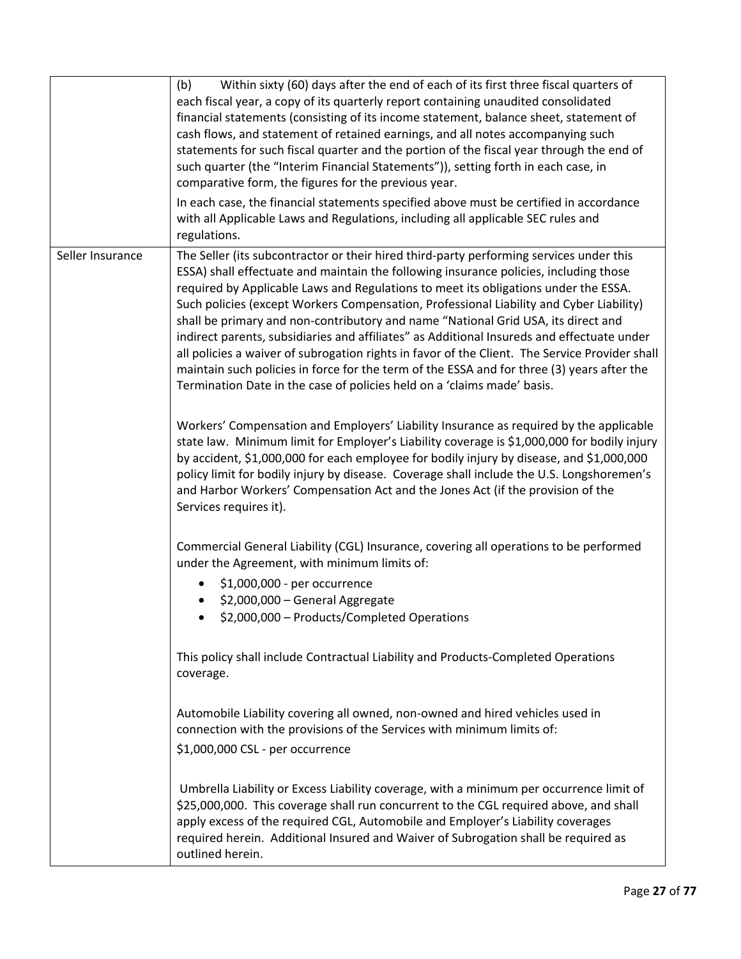|                  | (b)<br>Within sixty (60) days after the end of each of its first three fiscal quarters of<br>each fiscal year, a copy of its quarterly report containing unaudited consolidated<br>financial statements (consisting of its income statement, balance sheet, statement of<br>cash flows, and statement of retained earnings, and all notes accompanying such<br>statements for such fiscal quarter and the portion of the fiscal year through the end of<br>such quarter (the "Interim Financial Statements")), setting forth in each case, in<br>comparative form, the figures for the previous year.<br>In each case, the financial statements specified above must be certified in accordance                                                                                                                                  |
|------------------|----------------------------------------------------------------------------------------------------------------------------------------------------------------------------------------------------------------------------------------------------------------------------------------------------------------------------------------------------------------------------------------------------------------------------------------------------------------------------------------------------------------------------------------------------------------------------------------------------------------------------------------------------------------------------------------------------------------------------------------------------------------------------------------------------------------------------------|
|                  | with all Applicable Laws and Regulations, including all applicable SEC rules and<br>regulations.                                                                                                                                                                                                                                                                                                                                                                                                                                                                                                                                                                                                                                                                                                                                 |
| Seller Insurance | The Seller (its subcontractor or their hired third-party performing services under this<br>ESSA) shall effectuate and maintain the following insurance policies, including those<br>required by Applicable Laws and Regulations to meet its obligations under the ESSA.<br>Such policies (except Workers Compensation, Professional Liability and Cyber Liability)<br>shall be primary and non-contributory and name "National Grid USA, its direct and<br>indirect parents, subsidiaries and affiliates" as Additional Insureds and effectuate under<br>all policies a waiver of subrogation rights in favor of the Client. The Service Provider shall<br>maintain such policies in force for the term of the ESSA and for three (3) years after the<br>Termination Date in the case of policies held on a 'claims made' basis. |
|                  | Workers' Compensation and Employers' Liability Insurance as required by the applicable<br>state law. Minimum limit for Employer's Liability coverage is \$1,000,000 for bodily injury<br>by accident, \$1,000,000 for each employee for bodily injury by disease, and \$1,000,000<br>policy limit for bodily injury by disease. Coverage shall include the U.S. Longshoremen's<br>and Harbor Workers' Compensation Act and the Jones Act (if the provision of the<br>Services requires it).                                                                                                                                                                                                                                                                                                                                      |
|                  | Commercial General Liability (CGL) Insurance, covering all operations to be performed<br>under the Agreement, with minimum limits of:                                                                                                                                                                                                                                                                                                                                                                                                                                                                                                                                                                                                                                                                                            |
|                  | \$1,000,000 - per occurrence                                                                                                                                                                                                                                                                                                                                                                                                                                                                                                                                                                                                                                                                                                                                                                                                     |
|                  | \$2,000,000 - General Aggregate                                                                                                                                                                                                                                                                                                                                                                                                                                                                                                                                                                                                                                                                                                                                                                                                  |
|                  | \$2,000,000 - Products/Completed Operations                                                                                                                                                                                                                                                                                                                                                                                                                                                                                                                                                                                                                                                                                                                                                                                      |
|                  | This policy shall include Contractual Liability and Products-Completed Operations<br>coverage.                                                                                                                                                                                                                                                                                                                                                                                                                                                                                                                                                                                                                                                                                                                                   |
|                  | Automobile Liability covering all owned, non-owned and hired vehicles used in<br>connection with the provisions of the Services with minimum limits of:                                                                                                                                                                                                                                                                                                                                                                                                                                                                                                                                                                                                                                                                          |
|                  | \$1,000,000 CSL - per occurrence                                                                                                                                                                                                                                                                                                                                                                                                                                                                                                                                                                                                                                                                                                                                                                                                 |
|                  | Umbrella Liability or Excess Liability coverage, with a minimum per occurrence limit of<br>\$25,000,000. This coverage shall run concurrent to the CGL required above, and shall<br>apply excess of the required CGL, Automobile and Employer's Liability coverages<br>required herein. Additional Insured and Waiver of Subrogation shall be required as<br>outlined herein.                                                                                                                                                                                                                                                                                                                                                                                                                                                    |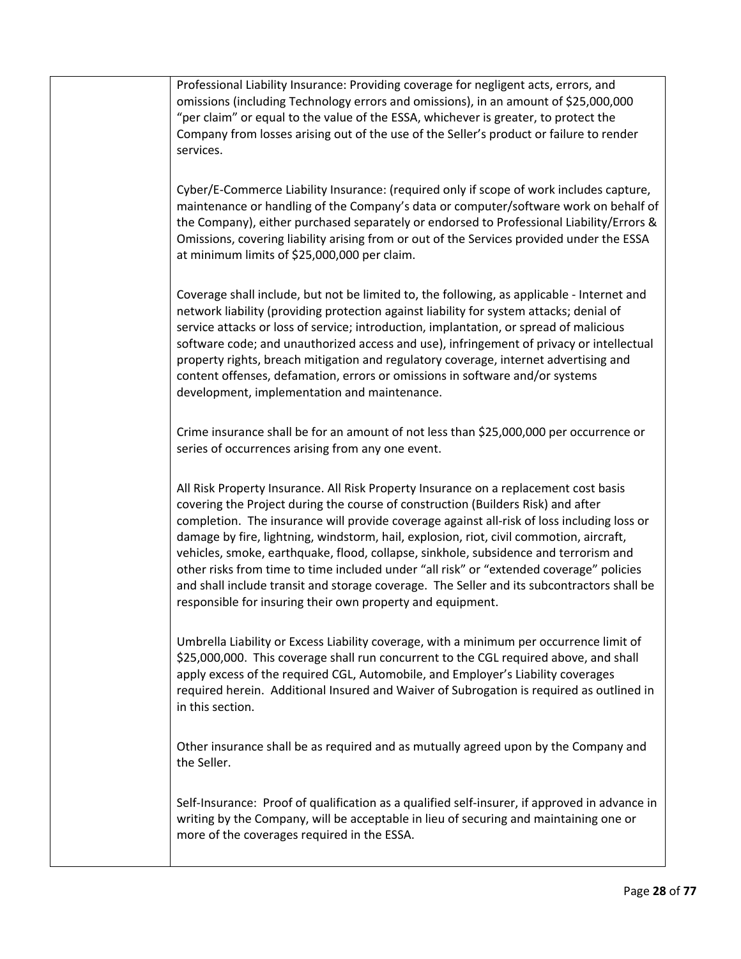Professional Liability Insurance: Providing coverage for negligent acts, errors, and omissions (including Technology errors and omissions), in an amount of \$25,000,000 "per claim" or equal to the value of the ESSA, whichever is greater, to protect the Company from losses arising out of the use of the Seller's product or failure to render services.

Cyber/E-Commerce Liability Insurance: (required only if scope of work includes capture, maintenance or handling of the Company's data or computer/software work on behalf of the Company), either purchased separately or endorsed to Professional Liability/Errors & Omissions, covering liability arising from or out of the Services provided under the ESSA at minimum limits of \$25,000,000 per claim.

Coverage shall include, but not be limited to, the following, as applicable - Internet and network liability (providing protection against liability for system attacks; denial of service attacks or loss of service; introduction, implantation, or spread of malicious software code; and unauthorized access and use), infringement of privacy or intellectual property rights, breach mitigation and regulatory coverage, internet advertising and content offenses, defamation, errors or omissions in software and/or systems development, implementation and maintenance.

Crime insurance shall be for an amount of not less than \$25,000,000 per occurrence or series of occurrences arising from any one event.

All Risk Property Insurance. All Risk Property Insurance on a replacement cost basis covering the Project during the course of construction (Builders Risk) and after completion. The insurance will provide coverage against all-risk of loss including loss or damage by fire, lightning, windstorm, hail, explosion, riot, civil commotion, aircraft, vehicles, smoke, earthquake, flood, collapse, sinkhole, subsidence and terrorism and other risks from time to time included under "all risk" or "extended coverage" policies and shall include transit and storage coverage. The Seller and its subcontractors shall be responsible for insuring their own property and equipment.

Umbrella Liability or Excess Liability coverage, with a minimum per occurrence limit of \$25,000,000. This coverage shall run concurrent to the CGL required above, and shall apply excess of the required CGL, Automobile, and Employer's Liability coverages required herein. Additional Insured and Waiver of Subrogation is required as outlined in in this section.

Other insurance shall be as required and as mutually agreed upon by the Company and the Seller.

Self-Insurance: Proof of qualification as a qualified self-insurer, if approved in advance in writing by the Company, will be acceptable in lieu of securing and maintaining one or more of the coverages required in the ESSA.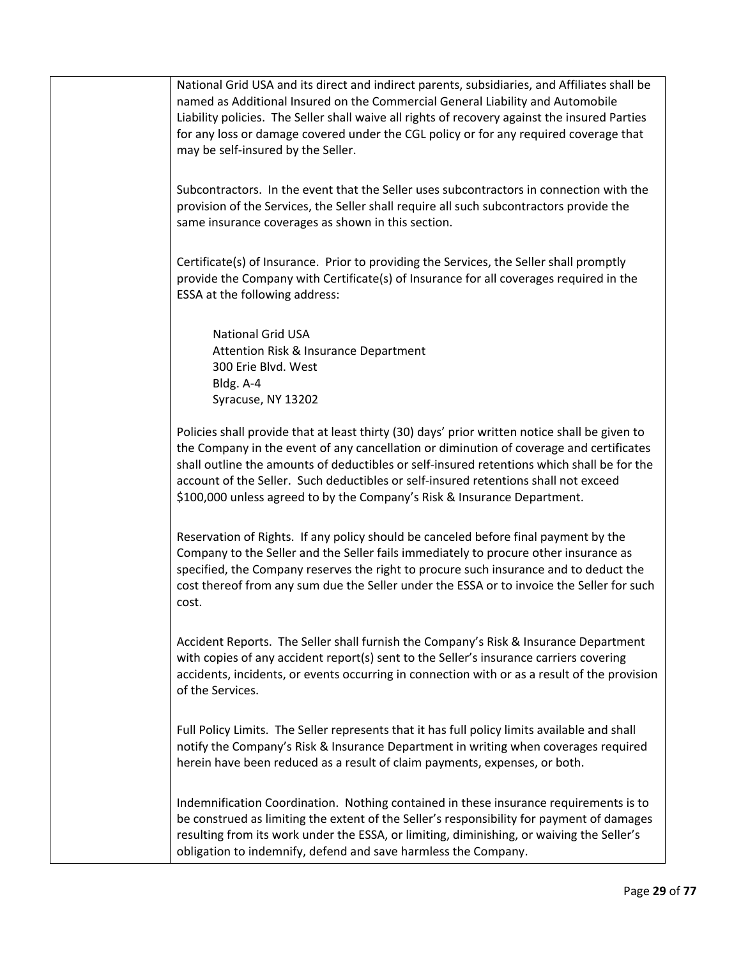National Grid USA and its direct and indirect parents, subsidiaries, and Affiliates shall be named as Additional Insured on the Commercial General Liability and Automobile Liability policies. The Seller shall waive all rights of recovery against the insured Parties for any loss or damage covered under the CGL policy or for any required coverage that may be self-insured by the Seller.

Subcontractors. In the event that the Seller uses subcontractors in connection with the provision of the Services, the Seller shall require all such subcontractors provide the same insurance coverages as shown in this section.

Certificate(s) of Insurance. Prior to providing the Services, the Seller shall promptly provide the Company with Certificate(s) of Insurance for all coverages required in the ESSA at the following address:

 National Grid USA Attention Risk & Insurance Department 300 Erie Blvd. West Bldg. A-4 Syracuse, NY 13202

Policies shall provide that at least thirty (30) days' prior written notice shall be given to the Company in the event of any cancellation or diminution of coverage and certificates shall outline the amounts of deductibles or self-insured retentions which shall be for the account of the Seller. Such deductibles or self-insured retentions shall not exceed \$100,000 unless agreed to by the Company's Risk & Insurance Department.

Reservation of Rights. If any policy should be canceled before final payment by the Company to the Seller and the Seller fails immediately to procure other insurance as specified, the Company reserves the right to procure such insurance and to deduct the cost thereof from any sum due the Seller under the ESSA or to invoice the Seller for such cost.

Accident Reports. The Seller shall furnish the Company's Risk & Insurance Department with copies of any accident report(s) sent to the Seller's insurance carriers covering accidents, incidents, or events occurring in connection with or as a result of the provision of the Services.

Full Policy Limits. The Seller represents that it has full policy limits available and shall notify the Company's Risk & Insurance Department in writing when coverages required herein have been reduced as a result of claim payments, expenses, or both.

Indemnification Coordination. Nothing contained in these insurance requirements is to be construed as limiting the extent of the Seller's responsibility for payment of damages resulting from its work under the ESSA, or limiting, diminishing, or waiving the Seller's obligation to indemnify, defend and save harmless the Company.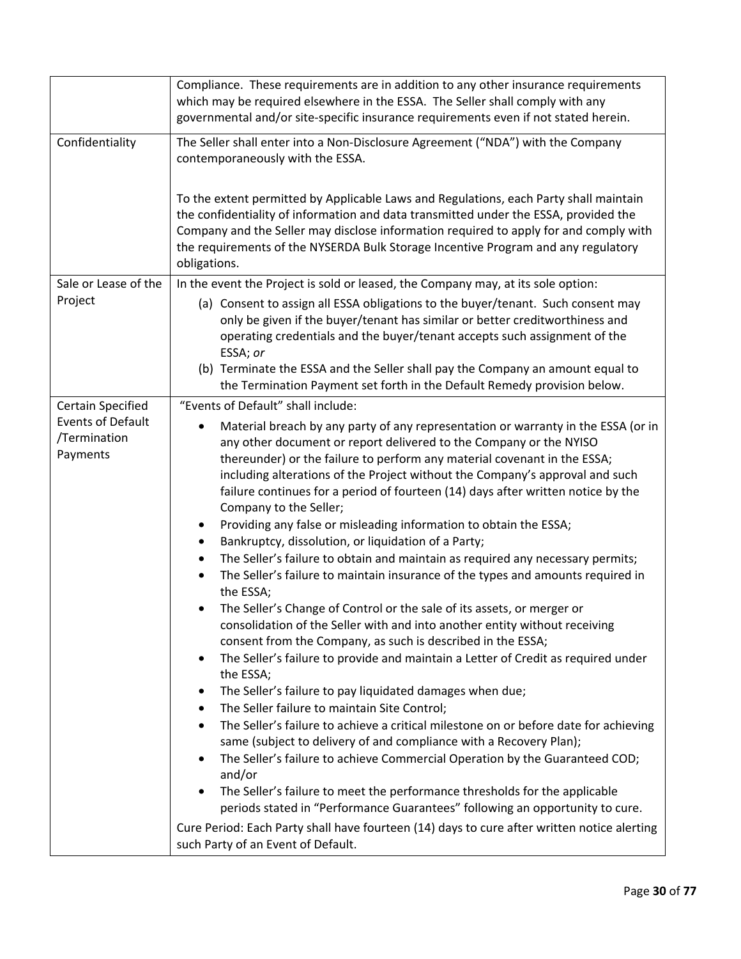|                                                                                  | Compliance. These requirements are in addition to any other insurance requirements<br>which may be required elsewhere in the ESSA. The Seller shall comply with any<br>governmental and/or site-specific insurance requirements even if not stated herein.                                                                                                                                                                                                                                                                                                                                                                                                                                                                                                                                                                                                                                                                                                                                                                                                                                                                                                                                                                                                                                                                                                                                                                                                                                                          |
|----------------------------------------------------------------------------------|---------------------------------------------------------------------------------------------------------------------------------------------------------------------------------------------------------------------------------------------------------------------------------------------------------------------------------------------------------------------------------------------------------------------------------------------------------------------------------------------------------------------------------------------------------------------------------------------------------------------------------------------------------------------------------------------------------------------------------------------------------------------------------------------------------------------------------------------------------------------------------------------------------------------------------------------------------------------------------------------------------------------------------------------------------------------------------------------------------------------------------------------------------------------------------------------------------------------------------------------------------------------------------------------------------------------------------------------------------------------------------------------------------------------------------------------------------------------------------------------------------------------|
| Confidentiality                                                                  | The Seller shall enter into a Non-Disclosure Agreement ("NDA") with the Company<br>contemporaneously with the ESSA.                                                                                                                                                                                                                                                                                                                                                                                                                                                                                                                                                                                                                                                                                                                                                                                                                                                                                                                                                                                                                                                                                                                                                                                                                                                                                                                                                                                                 |
|                                                                                  | To the extent permitted by Applicable Laws and Regulations, each Party shall maintain<br>the confidentiality of information and data transmitted under the ESSA, provided the<br>Company and the Seller may disclose information required to apply for and comply with<br>the requirements of the NYSERDA Bulk Storage Incentive Program and any regulatory<br>obligations.                                                                                                                                                                                                                                                                                                                                                                                                                                                                                                                                                                                                                                                                                                                                                                                                                                                                                                                                                                                                                                                                                                                                         |
| Sale or Lease of the                                                             | In the event the Project is sold or leased, the Company may, at its sole option:                                                                                                                                                                                                                                                                                                                                                                                                                                                                                                                                                                                                                                                                                                                                                                                                                                                                                                                                                                                                                                                                                                                                                                                                                                                                                                                                                                                                                                    |
| Project                                                                          | (a) Consent to assign all ESSA obligations to the buyer/tenant. Such consent may<br>only be given if the buyer/tenant has similar or better creditworthiness and<br>operating credentials and the buyer/tenant accepts such assignment of the<br>ESSA; or                                                                                                                                                                                                                                                                                                                                                                                                                                                                                                                                                                                                                                                                                                                                                                                                                                                                                                                                                                                                                                                                                                                                                                                                                                                           |
|                                                                                  | (b) Terminate the ESSA and the Seller shall pay the Company an amount equal to<br>the Termination Payment set forth in the Default Remedy provision below.                                                                                                                                                                                                                                                                                                                                                                                                                                                                                                                                                                                                                                                                                                                                                                                                                                                                                                                                                                                                                                                                                                                                                                                                                                                                                                                                                          |
|                                                                                  | "Events of Default" shall include:                                                                                                                                                                                                                                                                                                                                                                                                                                                                                                                                                                                                                                                                                                                                                                                                                                                                                                                                                                                                                                                                                                                                                                                                                                                                                                                                                                                                                                                                                  |
| <b>Certain Specified</b><br><b>Events of Default</b><br>/Termination<br>Payments | Material breach by any party of any representation or warranty in the ESSA (or in<br>$\bullet$<br>any other document or report delivered to the Company or the NYISO<br>thereunder) or the failure to perform any material covenant in the ESSA;<br>including alterations of the Project without the Company's approval and such<br>failure continues for a period of fourteen (14) days after written notice by the<br>Company to the Seller;<br>Providing any false or misleading information to obtain the ESSA;<br>٠<br>Bankruptcy, dissolution, or liquidation of a Party;<br>٠<br>The Seller's failure to obtain and maintain as required any necessary permits;<br>$\bullet$<br>The Seller's failure to maintain insurance of the types and amounts required in<br>the ESSA;<br>The Seller's Change of Control or the sale of its assets, or merger or<br>$\bullet$<br>consolidation of the Seller with and into another entity without receiving<br>consent from the Company, as such is described in the ESSA;<br>The Seller's failure to provide and maintain a Letter of Credit as required under<br>٠<br>the ESSA;<br>The Seller's failure to pay liquidated damages when due;<br>٠<br>The Seller failure to maintain Site Control;<br>٠<br>The Seller's failure to achieve a critical milestone on or before date for achieving<br>$\bullet$<br>same (subject to delivery of and compliance with a Recovery Plan);<br>The Seller's failure to achieve Commercial Operation by the Guaranteed COD;<br>٠ |
|                                                                                  | and/or<br>The Seller's failure to meet the performance thresholds for the applicable<br>$\bullet$<br>periods stated in "Performance Guarantees" following an opportunity to cure.<br>Cure Period: Each Party shall have fourteen (14) days to cure after written notice alerting<br>such Party of an Event of Default.                                                                                                                                                                                                                                                                                                                                                                                                                                                                                                                                                                                                                                                                                                                                                                                                                                                                                                                                                                                                                                                                                                                                                                                              |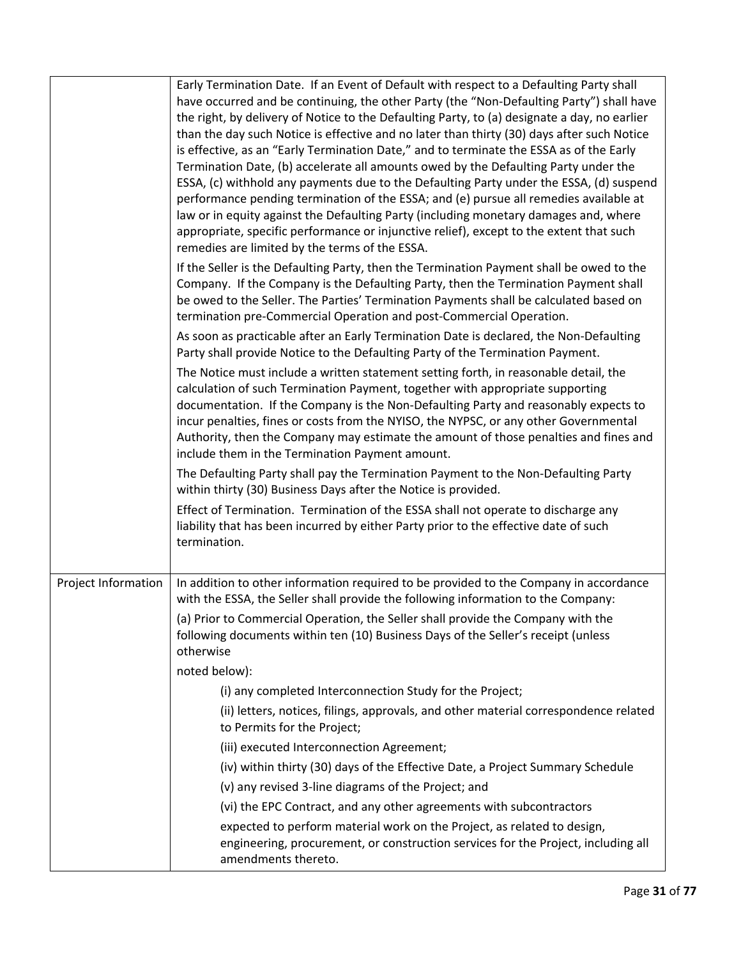|                     | Early Termination Date. If an Event of Default with respect to a Defaulting Party shall<br>have occurred and be continuing, the other Party (the "Non-Defaulting Party") shall have<br>the right, by delivery of Notice to the Defaulting Party, to (a) designate a day, no earlier<br>than the day such Notice is effective and no later than thirty (30) days after such Notice<br>is effective, as an "Early Termination Date," and to terminate the ESSA as of the Early<br>Termination Date, (b) accelerate all amounts owed by the Defaulting Party under the<br>ESSA, (c) withhold any payments due to the Defaulting Party under the ESSA, (d) suspend<br>performance pending termination of the ESSA; and (e) pursue all remedies available at<br>law or in equity against the Defaulting Party (including monetary damages and, where<br>appropriate, specific performance or injunctive relief), except to the extent that such<br>remedies are limited by the terms of the ESSA. |
|---------------------|----------------------------------------------------------------------------------------------------------------------------------------------------------------------------------------------------------------------------------------------------------------------------------------------------------------------------------------------------------------------------------------------------------------------------------------------------------------------------------------------------------------------------------------------------------------------------------------------------------------------------------------------------------------------------------------------------------------------------------------------------------------------------------------------------------------------------------------------------------------------------------------------------------------------------------------------------------------------------------------------|
|                     | If the Seller is the Defaulting Party, then the Termination Payment shall be owed to the<br>Company. If the Company is the Defaulting Party, then the Termination Payment shall<br>be owed to the Seller. The Parties' Termination Payments shall be calculated based on<br>termination pre-Commercial Operation and post-Commercial Operation.                                                                                                                                                                                                                                                                                                                                                                                                                                                                                                                                                                                                                                              |
|                     | As soon as practicable after an Early Termination Date is declared, the Non-Defaulting<br>Party shall provide Notice to the Defaulting Party of the Termination Payment.                                                                                                                                                                                                                                                                                                                                                                                                                                                                                                                                                                                                                                                                                                                                                                                                                     |
|                     | The Notice must include a written statement setting forth, in reasonable detail, the<br>calculation of such Termination Payment, together with appropriate supporting<br>documentation. If the Company is the Non-Defaulting Party and reasonably expects to<br>incur penalties, fines or costs from the NYISO, the NYPSC, or any other Governmental<br>Authority, then the Company may estimate the amount of those penalties and fines and<br>include them in the Termination Payment amount.                                                                                                                                                                                                                                                                                                                                                                                                                                                                                              |
|                     | The Defaulting Party shall pay the Termination Payment to the Non-Defaulting Party<br>within thirty (30) Business Days after the Notice is provided.                                                                                                                                                                                                                                                                                                                                                                                                                                                                                                                                                                                                                                                                                                                                                                                                                                         |
|                     | Effect of Termination. Termination of the ESSA shall not operate to discharge any<br>liability that has been incurred by either Party prior to the effective date of such<br>termination.                                                                                                                                                                                                                                                                                                                                                                                                                                                                                                                                                                                                                                                                                                                                                                                                    |
| Project Information | In addition to other information required to be provided to the Company in accordance<br>with the ESSA, the Seller shall provide the following information to the Company:                                                                                                                                                                                                                                                                                                                                                                                                                                                                                                                                                                                                                                                                                                                                                                                                                   |
|                     | (a) Prior to Commercial Operation, the Seller shall provide the Company with the<br>following documents within ten (10) Business Days of the Seller's receipt (unless<br>otherwise                                                                                                                                                                                                                                                                                                                                                                                                                                                                                                                                                                                                                                                                                                                                                                                                           |
|                     | noted below):                                                                                                                                                                                                                                                                                                                                                                                                                                                                                                                                                                                                                                                                                                                                                                                                                                                                                                                                                                                |
|                     | (i) any completed Interconnection Study for the Project;                                                                                                                                                                                                                                                                                                                                                                                                                                                                                                                                                                                                                                                                                                                                                                                                                                                                                                                                     |
|                     | (ii) letters, notices, filings, approvals, and other material correspondence related<br>to Permits for the Project;                                                                                                                                                                                                                                                                                                                                                                                                                                                                                                                                                                                                                                                                                                                                                                                                                                                                          |
|                     | (iii) executed Interconnection Agreement;                                                                                                                                                                                                                                                                                                                                                                                                                                                                                                                                                                                                                                                                                                                                                                                                                                                                                                                                                    |
|                     | (iv) within thirty (30) days of the Effective Date, a Project Summary Schedule                                                                                                                                                                                                                                                                                                                                                                                                                                                                                                                                                                                                                                                                                                                                                                                                                                                                                                               |
|                     | (v) any revised 3-line diagrams of the Project; and                                                                                                                                                                                                                                                                                                                                                                                                                                                                                                                                                                                                                                                                                                                                                                                                                                                                                                                                          |
|                     | (vi) the EPC Contract, and any other agreements with subcontractors                                                                                                                                                                                                                                                                                                                                                                                                                                                                                                                                                                                                                                                                                                                                                                                                                                                                                                                          |
|                     | expected to perform material work on the Project, as related to design,<br>engineering, procurement, or construction services for the Project, including all<br>amendments thereto.                                                                                                                                                                                                                                                                                                                                                                                                                                                                                                                                                                                                                                                                                                                                                                                                          |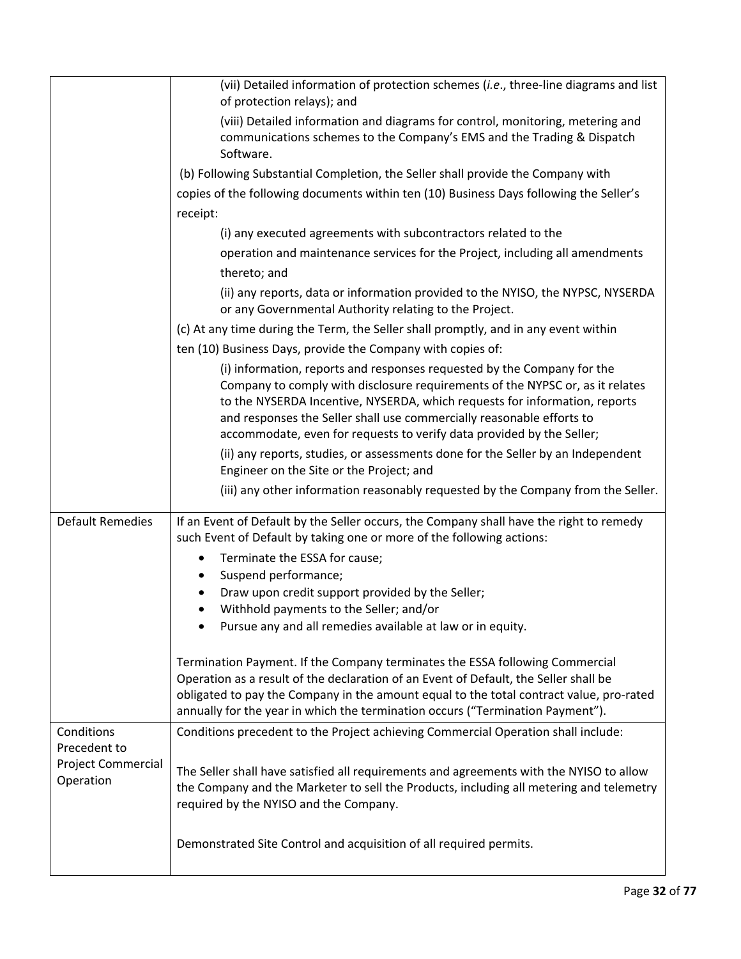|                                                 | (vii) Detailed information of protection schemes (i.e., three-line diagrams and list                                                                                                                                                                                                                                                                                                     |
|-------------------------------------------------|------------------------------------------------------------------------------------------------------------------------------------------------------------------------------------------------------------------------------------------------------------------------------------------------------------------------------------------------------------------------------------------|
|                                                 | of protection relays); and<br>(viii) Detailed information and diagrams for control, monitoring, metering and<br>communications schemes to the Company's EMS and the Trading & Dispatch<br>Software.                                                                                                                                                                                      |
|                                                 | (b) Following Substantial Completion, the Seller shall provide the Company with                                                                                                                                                                                                                                                                                                          |
|                                                 | copies of the following documents within ten (10) Business Days following the Seller's                                                                                                                                                                                                                                                                                                   |
|                                                 | receipt:                                                                                                                                                                                                                                                                                                                                                                                 |
|                                                 | (i) any executed agreements with subcontractors related to the                                                                                                                                                                                                                                                                                                                           |
|                                                 | operation and maintenance services for the Project, including all amendments                                                                                                                                                                                                                                                                                                             |
|                                                 | thereto; and                                                                                                                                                                                                                                                                                                                                                                             |
|                                                 | (ii) any reports, data or information provided to the NYISO, the NYPSC, NYSERDA<br>or any Governmental Authority relating to the Project.                                                                                                                                                                                                                                                |
|                                                 | (c) At any time during the Term, the Seller shall promptly, and in any event within                                                                                                                                                                                                                                                                                                      |
|                                                 | ten (10) Business Days, provide the Company with copies of:                                                                                                                                                                                                                                                                                                                              |
|                                                 | (i) information, reports and responses requested by the Company for the<br>Company to comply with disclosure requirements of the NYPSC or, as it relates<br>to the NYSERDA Incentive, NYSERDA, which requests for information, reports<br>and responses the Seller shall use commercially reasonable efforts to<br>accommodate, even for requests to verify data provided by the Seller; |
|                                                 | (ii) any reports, studies, or assessments done for the Seller by an Independent<br>Engineer on the Site or the Project; and                                                                                                                                                                                                                                                              |
|                                                 | (iii) any other information reasonably requested by the Company from the Seller.                                                                                                                                                                                                                                                                                                         |
| <b>Default Remedies</b>                         | If an Event of Default by the Seller occurs, the Company shall have the right to remedy<br>such Event of Default by taking one or more of the following actions:                                                                                                                                                                                                                         |
|                                                 | Terminate the ESSA for cause;                                                                                                                                                                                                                                                                                                                                                            |
|                                                 | Suspend performance;                                                                                                                                                                                                                                                                                                                                                                     |
|                                                 | Draw upon credit support provided by the Seller;                                                                                                                                                                                                                                                                                                                                         |
|                                                 | Withhold payments to the Seller; and/or<br>Pursue any and all remedies available at law or in equity.                                                                                                                                                                                                                                                                                    |
|                                                 |                                                                                                                                                                                                                                                                                                                                                                                          |
|                                                 | Termination Payment. If the Company terminates the ESSA following Commercial<br>Operation as a result of the declaration of an Event of Default, the Seller shall be<br>obligated to pay the Company in the amount equal to the total contract value, pro-rated<br>annually for the year in which the termination occurs ("Termination Payment").                                        |
| Conditions                                      | Conditions precedent to the Project achieving Commercial Operation shall include:                                                                                                                                                                                                                                                                                                        |
| Precedent to<br>Project Commercial<br>Operation | The Seller shall have satisfied all requirements and agreements with the NYISO to allow<br>the Company and the Marketer to sell the Products, including all metering and telemetry<br>required by the NYISO and the Company.                                                                                                                                                             |
|                                                 | Demonstrated Site Control and acquisition of all required permits.                                                                                                                                                                                                                                                                                                                       |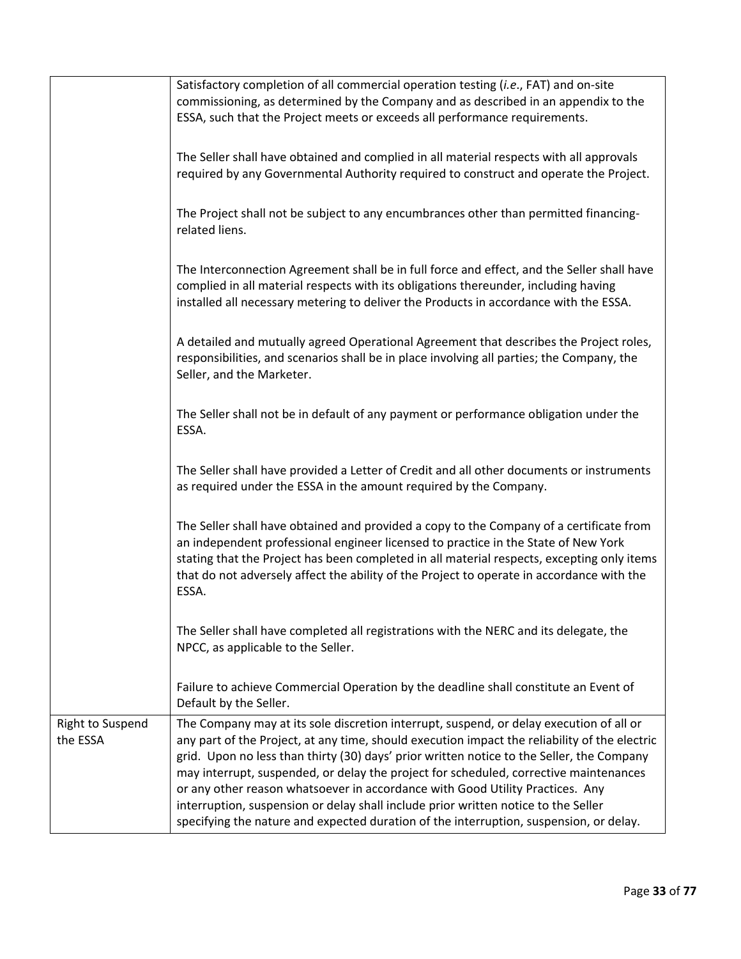|                                     | Satisfactory completion of all commercial operation testing (i.e., FAT) and on-site<br>commissioning, as determined by the Company and as described in an appendix to the<br>ESSA, such that the Project meets or exceeds all performance requirements.                                                                                                                                                                                                                                                                                                                                                                                         |
|-------------------------------------|-------------------------------------------------------------------------------------------------------------------------------------------------------------------------------------------------------------------------------------------------------------------------------------------------------------------------------------------------------------------------------------------------------------------------------------------------------------------------------------------------------------------------------------------------------------------------------------------------------------------------------------------------|
|                                     | The Seller shall have obtained and complied in all material respects with all approvals                                                                                                                                                                                                                                                                                                                                                                                                                                                                                                                                                         |
|                                     | required by any Governmental Authority required to construct and operate the Project.                                                                                                                                                                                                                                                                                                                                                                                                                                                                                                                                                           |
|                                     | The Project shall not be subject to any encumbrances other than permitted financing-<br>related liens.                                                                                                                                                                                                                                                                                                                                                                                                                                                                                                                                          |
|                                     | The Interconnection Agreement shall be in full force and effect, and the Seller shall have<br>complied in all material respects with its obligations thereunder, including having<br>installed all necessary metering to deliver the Products in accordance with the ESSA.                                                                                                                                                                                                                                                                                                                                                                      |
|                                     | A detailed and mutually agreed Operational Agreement that describes the Project roles,<br>responsibilities, and scenarios shall be in place involving all parties; the Company, the<br>Seller, and the Marketer.                                                                                                                                                                                                                                                                                                                                                                                                                                |
|                                     | The Seller shall not be in default of any payment or performance obligation under the<br>ESSA.                                                                                                                                                                                                                                                                                                                                                                                                                                                                                                                                                  |
|                                     | The Seller shall have provided a Letter of Credit and all other documents or instruments<br>as required under the ESSA in the amount required by the Company.                                                                                                                                                                                                                                                                                                                                                                                                                                                                                   |
|                                     | The Seller shall have obtained and provided a copy to the Company of a certificate from<br>an independent professional engineer licensed to practice in the State of New York<br>stating that the Project has been completed in all material respects, excepting only items<br>that do not adversely affect the ability of the Project to operate in accordance with the<br>ESSA.                                                                                                                                                                                                                                                               |
|                                     | The Seller shall have completed all registrations with the NERC and its delegate, the<br>NPCC, as applicable to the Seller.                                                                                                                                                                                                                                                                                                                                                                                                                                                                                                                     |
|                                     | Failure to achieve Commercial Operation by the deadline shall constitute an Event of<br>Default by the Seller.                                                                                                                                                                                                                                                                                                                                                                                                                                                                                                                                  |
| <b>Right to Suspend</b><br>the ESSA | The Company may at its sole discretion interrupt, suspend, or delay execution of all or<br>any part of the Project, at any time, should execution impact the reliability of the electric<br>grid. Upon no less than thirty (30) days' prior written notice to the Seller, the Company<br>may interrupt, suspended, or delay the project for scheduled, corrective maintenances<br>or any other reason whatsoever in accordance with Good Utility Practices. Any<br>interruption, suspension or delay shall include prior written notice to the Seller<br>specifying the nature and expected duration of the interruption, suspension, or delay. |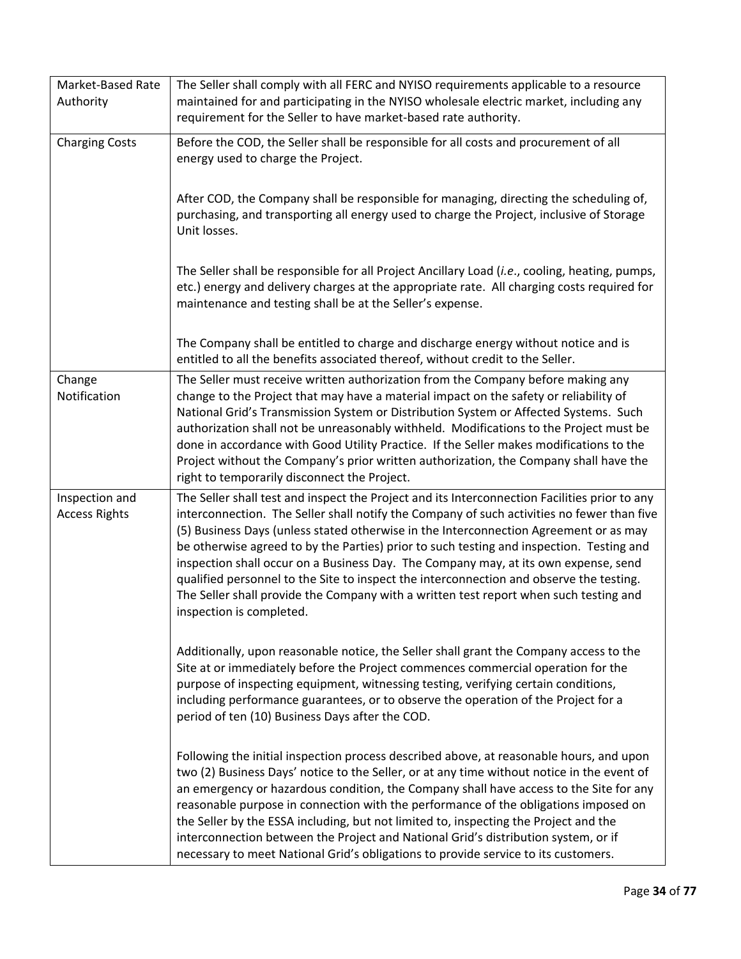| Market-Based Rate<br>Authority         | The Seller shall comply with all FERC and NYISO requirements applicable to a resource<br>maintained for and participating in the NYISO wholesale electric market, including any<br>requirement for the Seller to have market-based rate authority.                                                                                                                                                                                                                                                                                                                                                                                                                                      |
|----------------------------------------|-----------------------------------------------------------------------------------------------------------------------------------------------------------------------------------------------------------------------------------------------------------------------------------------------------------------------------------------------------------------------------------------------------------------------------------------------------------------------------------------------------------------------------------------------------------------------------------------------------------------------------------------------------------------------------------------|
| <b>Charging Costs</b>                  | Before the COD, the Seller shall be responsible for all costs and procurement of all<br>energy used to charge the Project.                                                                                                                                                                                                                                                                                                                                                                                                                                                                                                                                                              |
|                                        | After COD, the Company shall be responsible for managing, directing the scheduling of,<br>purchasing, and transporting all energy used to charge the Project, inclusive of Storage<br>Unit losses.                                                                                                                                                                                                                                                                                                                                                                                                                                                                                      |
|                                        | The Seller shall be responsible for all Project Ancillary Load (i.e., cooling, heating, pumps,<br>etc.) energy and delivery charges at the appropriate rate. All charging costs required for<br>maintenance and testing shall be at the Seller's expense.                                                                                                                                                                                                                                                                                                                                                                                                                               |
|                                        | The Company shall be entitled to charge and discharge energy without notice and is<br>entitled to all the benefits associated thereof, without credit to the Seller.                                                                                                                                                                                                                                                                                                                                                                                                                                                                                                                    |
| Change<br>Notification                 | The Seller must receive written authorization from the Company before making any<br>change to the Project that may have a material impact on the safety or reliability of<br>National Grid's Transmission System or Distribution System or Affected Systems. Such<br>authorization shall not be unreasonably withheld. Modifications to the Project must be<br>done in accordance with Good Utility Practice. If the Seller makes modifications to the<br>Project without the Company's prior written authorization, the Company shall have the<br>right to temporarily disconnect the Project.                                                                                         |
| Inspection and<br><b>Access Rights</b> | The Seller shall test and inspect the Project and its Interconnection Facilities prior to any<br>interconnection. The Seller shall notify the Company of such activities no fewer than five<br>(5) Business Days (unless stated otherwise in the Interconnection Agreement or as may<br>be otherwise agreed to by the Parties) prior to such testing and inspection. Testing and<br>inspection shall occur on a Business Day. The Company may, at its own expense, send<br>qualified personnel to the Site to inspect the interconnection and observe the testing.<br>The Seller shall provide the Company with a written test report when such testing and<br>inspection is completed. |
|                                        | Additionally, upon reasonable notice, the Seller shall grant the Company access to the<br>Site at or immediately before the Project commences commercial operation for the<br>purpose of inspecting equipment, witnessing testing, verifying certain conditions,<br>including performance guarantees, or to observe the operation of the Project for a<br>period of ten (10) Business Days after the COD.                                                                                                                                                                                                                                                                               |
|                                        | Following the initial inspection process described above, at reasonable hours, and upon<br>two (2) Business Days' notice to the Seller, or at any time without notice in the event of<br>an emergency or hazardous condition, the Company shall have access to the Site for any<br>reasonable purpose in connection with the performance of the obligations imposed on<br>the Seller by the ESSA including, but not limited to, inspecting the Project and the<br>interconnection between the Project and National Grid's distribution system, or if<br>necessary to meet National Grid's obligations to provide service to its customers.                                              |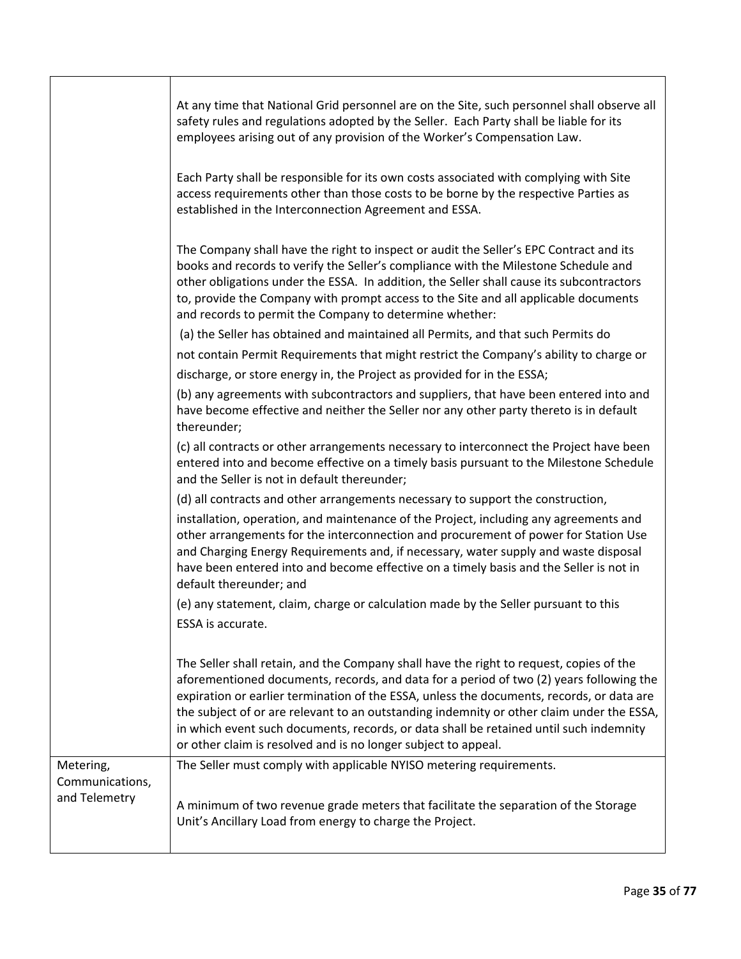|                                               | At any time that National Grid personnel are on the Site, such personnel shall observe all<br>safety rules and regulations adopted by the Seller. Each Party shall be liable for its<br>employees arising out of any provision of the Worker's Compensation Law.                                                                                                                                                                                                                                                                         |
|-----------------------------------------------|------------------------------------------------------------------------------------------------------------------------------------------------------------------------------------------------------------------------------------------------------------------------------------------------------------------------------------------------------------------------------------------------------------------------------------------------------------------------------------------------------------------------------------------|
|                                               | Each Party shall be responsible for its own costs associated with complying with Site<br>access requirements other than those costs to be borne by the respective Parties as<br>established in the Interconnection Agreement and ESSA.                                                                                                                                                                                                                                                                                                   |
|                                               | The Company shall have the right to inspect or audit the Seller's EPC Contract and its<br>books and records to verify the Seller's compliance with the Milestone Schedule and<br>other obligations under the ESSA. In addition, the Seller shall cause its subcontractors<br>to, provide the Company with prompt access to the Site and all applicable documents<br>and records to permit the Company to determine whether:                                                                                                              |
|                                               | (a) the Seller has obtained and maintained all Permits, and that such Permits do                                                                                                                                                                                                                                                                                                                                                                                                                                                         |
|                                               | not contain Permit Requirements that might restrict the Company's ability to charge or                                                                                                                                                                                                                                                                                                                                                                                                                                                   |
|                                               | discharge, or store energy in, the Project as provided for in the ESSA;                                                                                                                                                                                                                                                                                                                                                                                                                                                                  |
|                                               | (b) any agreements with subcontractors and suppliers, that have been entered into and<br>have become effective and neither the Seller nor any other party thereto is in default<br>thereunder;                                                                                                                                                                                                                                                                                                                                           |
|                                               | (c) all contracts or other arrangements necessary to interconnect the Project have been<br>entered into and become effective on a timely basis pursuant to the Milestone Schedule<br>and the Seller is not in default thereunder;                                                                                                                                                                                                                                                                                                        |
|                                               | (d) all contracts and other arrangements necessary to support the construction,                                                                                                                                                                                                                                                                                                                                                                                                                                                          |
|                                               | installation, operation, and maintenance of the Project, including any agreements and<br>other arrangements for the interconnection and procurement of power for Station Use<br>and Charging Energy Requirements and, if necessary, water supply and waste disposal<br>have been entered into and become effective on a timely basis and the Seller is not in<br>default thereunder; and                                                                                                                                                 |
|                                               | (e) any statement, claim, charge or calculation made by the Seller pursuant to this<br>ESSA is accurate.                                                                                                                                                                                                                                                                                                                                                                                                                                 |
|                                               | The Seller shall retain, and the Company shall have the right to request, copies of the<br>aforementioned documents, records, and data for a period of two (2) years following the<br>expiration or earlier termination of the ESSA, unless the documents, records, or data are<br>the subject of or are relevant to an outstanding indemnity or other claim under the ESSA,<br>in which event such documents, records, or data shall be retained until such indemnity<br>or other claim is resolved and is no longer subject to appeal. |
| Metering,<br>Communications,<br>and Telemetry | The Seller must comply with applicable NYISO metering requirements.<br>A minimum of two revenue grade meters that facilitate the separation of the Storage<br>Unit's Ancillary Load from energy to charge the Project.                                                                                                                                                                                                                                                                                                                   |
|                                               |                                                                                                                                                                                                                                                                                                                                                                                                                                                                                                                                          |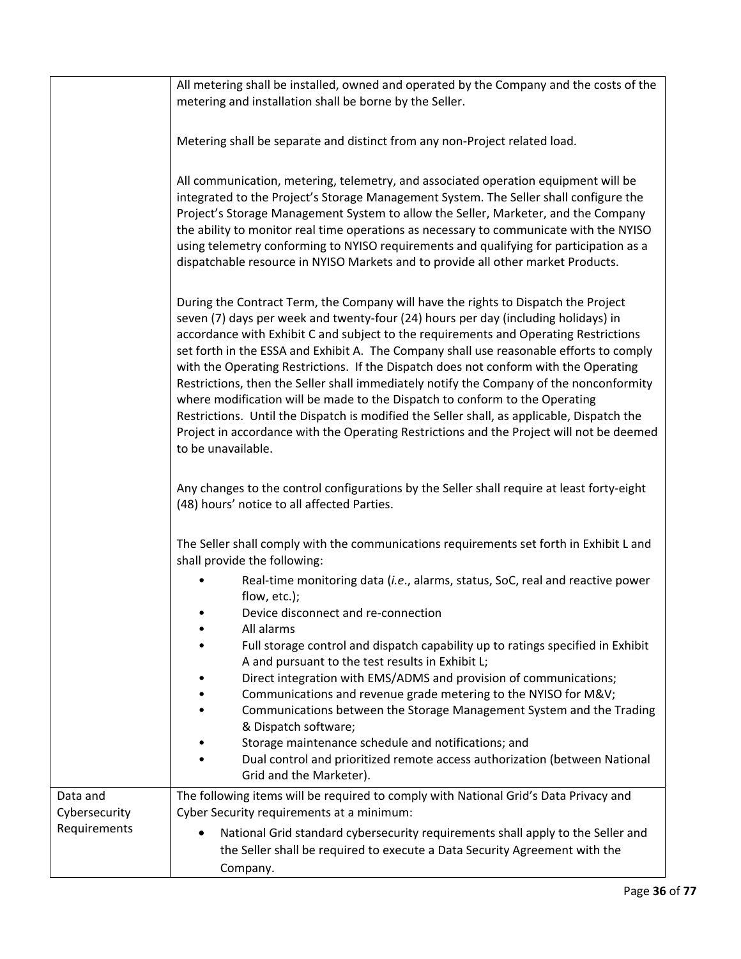|                                           | All metering shall be installed, owned and operated by the Company and the costs of the<br>metering and installation shall be borne by the Seller.                                                                                                                                                                                                                                                                                                                                                                                                                                                                                                                                                                                                                                                                                            |
|-------------------------------------------|-----------------------------------------------------------------------------------------------------------------------------------------------------------------------------------------------------------------------------------------------------------------------------------------------------------------------------------------------------------------------------------------------------------------------------------------------------------------------------------------------------------------------------------------------------------------------------------------------------------------------------------------------------------------------------------------------------------------------------------------------------------------------------------------------------------------------------------------------|
|                                           | Metering shall be separate and distinct from any non-Project related load.                                                                                                                                                                                                                                                                                                                                                                                                                                                                                                                                                                                                                                                                                                                                                                    |
|                                           | All communication, metering, telemetry, and associated operation equipment will be<br>integrated to the Project's Storage Management System. The Seller shall configure the<br>Project's Storage Management System to allow the Seller, Marketer, and the Company<br>the ability to monitor real time operations as necessary to communicate with the NYISO<br>using telemetry conforming to NYISO requirements and qualifying for participation as a<br>dispatchable resource in NYISO Markets and to provide all other market Products.                                                                                                                                                                                                                                                                                                     |
|                                           | During the Contract Term, the Company will have the rights to Dispatch the Project<br>seven (7) days per week and twenty-four (24) hours per day (including holidays) in<br>accordance with Exhibit C and subject to the requirements and Operating Restrictions<br>set forth in the ESSA and Exhibit A. The Company shall use reasonable efforts to comply<br>with the Operating Restrictions. If the Dispatch does not conform with the Operating<br>Restrictions, then the Seller shall immediately notify the Company of the nonconformity<br>where modification will be made to the Dispatch to conform to the Operating<br>Restrictions. Until the Dispatch is modified the Seller shall, as applicable, Dispatch the<br>Project in accordance with the Operating Restrictions and the Project will not be deemed<br>to be unavailable. |
|                                           | Any changes to the control configurations by the Seller shall require at least forty-eight<br>(48) hours' notice to all affected Parties.                                                                                                                                                                                                                                                                                                                                                                                                                                                                                                                                                                                                                                                                                                     |
|                                           | The Seller shall comply with the communications requirements set forth in Exhibit L and<br>shall provide the following:                                                                                                                                                                                                                                                                                                                                                                                                                                                                                                                                                                                                                                                                                                                       |
|                                           | Real-time monitoring data (i.e., alarms, status, SoC, real and reactive power<br>flow, etc.);<br>Device disconnect and re-connection<br>All alarms                                                                                                                                                                                                                                                                                                                                                                                                                                                                                                                                                                                                                                                                                            |
|                                           | Full storage control and dispatch capability up to ratings specified in Exhibit<br>A and pursuant to the test results in Exhibit L;<br>Direct integration with EMS/ADMS and provision of communications;<br>Communications and revenue grade metering to the NYISO for M&V<br>Communications between the Storage Management System and the Trading<br>& Dispatch software;<br>Storage maintenance schedule and notifications; and<br>Dual control and prioritized remote access authorization (between National<br>Grid and the Marketer).                                                                                                                                                                                                                                                                                                    |
| Data and<br>Cybersecurity<br>Requirements | The following items will be required to comply with National Grid's Data Privacy and<br>Cyber Security requirements at a minimum:<br>National Grid standard cybersecurity requirements shall apply to the Seller and                                                                                                                                                                                                                                                                                                                                                                                                                                                                                                                                                                                                                          |
|                                           | the Seller shall be required to execute a Data Security Agreement with the<br>Company.                                                                                                                                                                                                                                                                                                                                                                                                                                                                                                                                                                                                                                                                                                                                                        |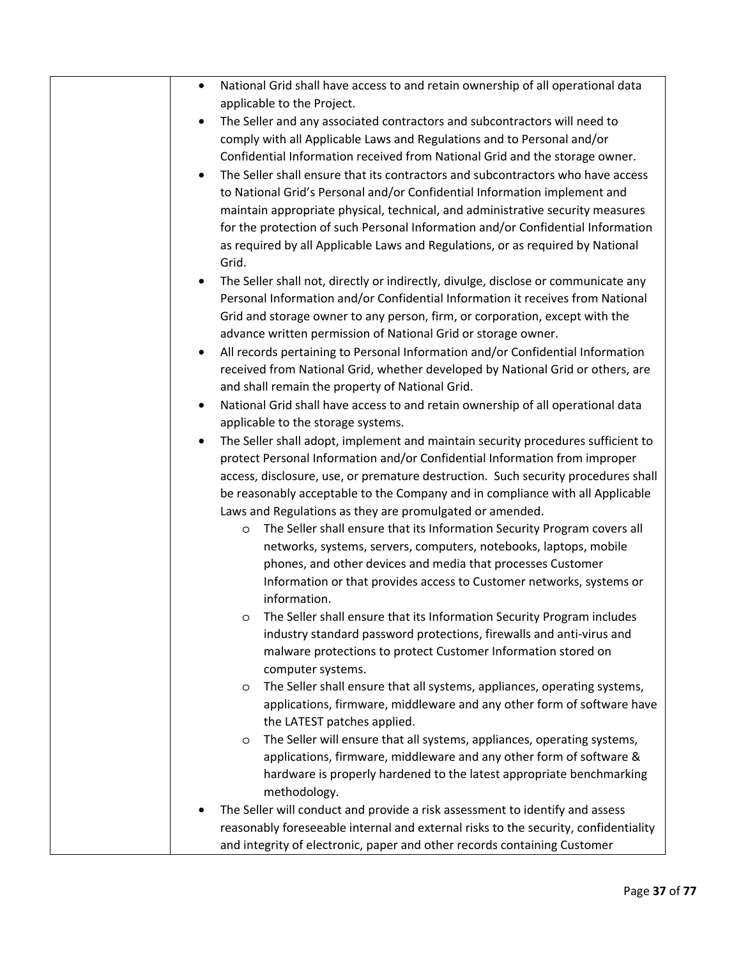| National Grid shall have access to and retain ownership of all operational data<br>$\bullet$                                                        |
|-----------------------------------------------------------------------------------------------------------------------------------------------------|
| applicable to the Project.                                                                                                                          |
| The Seller and any associated contractors and subcontractors will need to                                                                           |
| comply with all Applicable Laws and Regulations and to Personal and/or                                                                              |
| Confidential Information received from National Grid and the storage owner.                                                                         |
| The Seller shall ensure that its contractors and subcontractors who have access                                                                     |
| to National Grid's Personal and/or Confidential Information implement and                                                                           |
| maintain appropriate physical, technical, and administrative security measures                                                                      |
| for the protection of such Personal Information and/or Confidential Information                                                                     |
| as required by all Applicable Laws and Regulations, or as required by National                                                                      |
| Grid.                                                                                                                                               |
| The Seller shall not, directly or indirectly, divulge, disclose or communicate any                                                                  |
| Personal Information and/or Confidential Information it receives from National                                                                      |
| Grid and storage owner to any person, firm, or corporation, except with the                                                                         |
| advance written permission of National Grid or storage owner.                                                                                       |
| All records pertaining to Personal Information and/or Confidential Information<br>٠                                                                 |
| received from National Grid, whether developed by National Grid or others, are                                                                      |
| and shall remain the property of National Grid.                                                                                                     |
| National Grid shall have access to and retain ownership of all operational data<br>٠                                                                |
| applicable to the storage systems.                                                                                                                  |
| The Seller shall adopt, implement and maintain security procedures sufficient to                                                                    |
| protect Personal Information and/or Confidential Information from improper                                                                          |
| access, disclosure, use, or premature destruction. Such security procedures shall                                                                   |
| be reasonably acceptable to the Company and in compliance with all Applicable                                                                       |
| Laws and Regulations as they are promulgated or amended.                                                                                            |
| The Seller shall ensure that its Information Security Program covers all<br>O                                                                       |
| networks, systems, servers, computers, notebooks, laptops, mobile                                                                                   |
| phones, and other devices and media that processes Customer                                                                                         |
| Information or that provides access to Customer networks, systems or                                                                                |
| information.                                                                                                                                        |
| The Seller shall ensure that its Information Security Program includes                                                                              |
| O<br>industry standard password protections, firewalls and anti-virus and                                                                           |
| malware protections to protect Customer Information stored on                                                                                       |
| computer systems.                                                                                                                                   |
| The Seller shall ensure that all systems, appliances, operating systems,                                                                            |
| O<br>applications, firmware, middleware and any other form of software have                                                                         |
| the LATEST patches applied.                                                                                                                         |
|                                                                                                                                                     |
| The Seller will ensure that all systems, appliances, operating systems,<br>O<br>applications, firmware, middleware and any other form of software & |
| hardware is properly hardened to the latest appropriate benchmarking                                                                                |
|                                                                                                                                                     |
| methodology.                                                                                                                                        |
| The Seller will conduct and provide a risk assessment to identify and assess                                                                        |
| reasonably foreseeable internal and external risks to the security, confidentiality                                                                 |
| and integrity of electronic, paper and other records containing Customer                                                                            |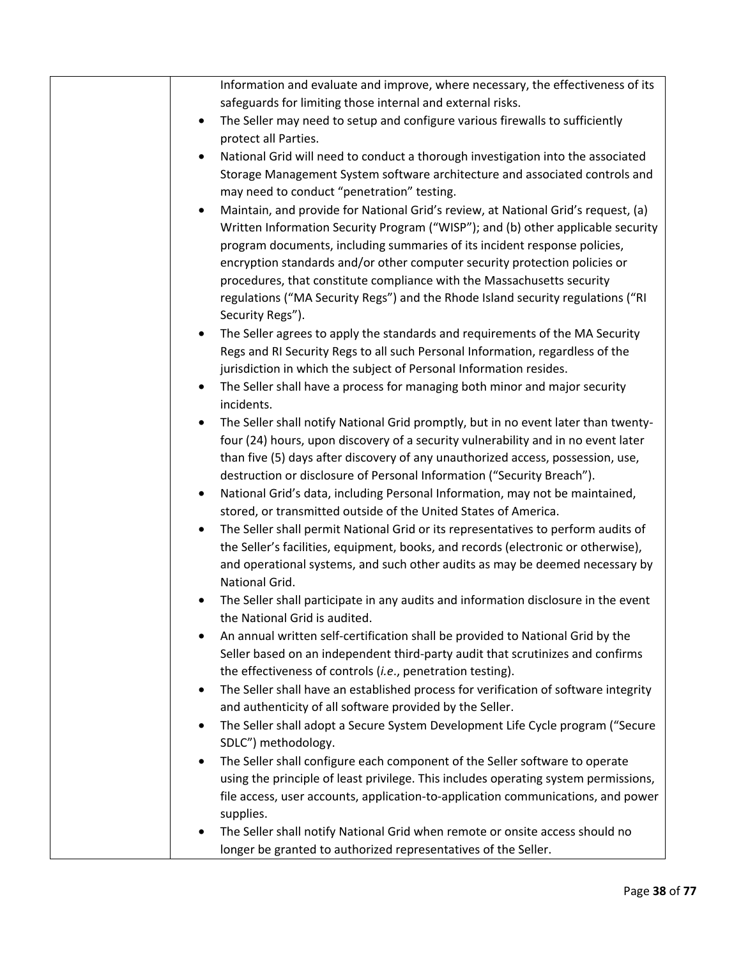| Information and evaluate and improve, where necessary, the effectiveness of its                  |
|--------------------------------------------------------------------------------------------------|
| safeguards for limiting those internal and external risks.                                       |
| The Seller may need to setup and configure various firewalls to sufficiently<br>$\bullet$        |
| protect all Parties.                                                                             |
| National Grid will need to conduct a thorough investigation into the associated<br>$\bullet$     |
| Storage Management System software architecture and associated controls and                      |
| may need to conduct "penetration" testing.                                                       |
| Maintain, and provide for National Grid's review, at National Grid's request, (a)<br>$\bullet$   |
| Written Information Security Program ("WISP"); and (b) other applicable security                 |
| program documents, including summaries of its incident response policies,                        |
| encryption standards and/or other computer security protection policies or                       |
| procedures, that constitute compliance with the Massachusetts security                           |
| regulations ("MA Security Regs") and the Rhode Island security regulations ("RI                  |
| Security Regs").                                                                                 |
| The Seller agrees to apply the standards and requirements of the MA Security<br>$\bullet$        |
| Regs and RI Security Regs to all such Personal Information, regardless of the                    |
| jurisdiction in which the subject of Personal Information resides.                               |
| The Seller shall have a process for managing both minor and major security<br>$\bullet$          |
| incidents.                                                                                       |
| The Seller shall notify National Grid promptly, but in no event later than twenty-<br>$\bullet$  |
| four (24) hours, upon discovery of a security vulnerability and in no event later                |
| than five (5) days after discovery of any unauthorized access, possession, use,                  |
| destruction or disclosure of Personal Information ("Security Breach").                           |
| National Grid's data, including Personal Information, may not be maintained,<br>$\bullet$        |
| stored, or transmitted outside of the United States of America.                                  |
| The Seller shall permit National Grid or its representatives to perform audits of                |
| the Seller's facilities, equipment, books, and records (electronic or otherwise),                |
| and operational systems, and such other audits as may be deemed necessary by                     |
| National Grid.                                                                                   |
| The Seller shall participate in any audits and information disclosure in the event               |
| the National Grid is audited.                                                                    |
| An annual written self-certification shall be provided to National Grid by the                   |
| Seller based on an independent third-party audit that scrutinizes and confirms                   |
| the effectiveness of controls (i.e., penetration testing).                                       |
| The Seller shall have an established process for verification of software integrity<br>$\bullet$ |
| and authenticity of all software provided by the Seller.                                         |
| The Seller shall adopt a Secure System Development Life Cycle program ("Secure<br>$\bullet$      |
| SDLC") methodology.                                                                              |
| The Seller shall configure each component of the Seller software to operate<br>$\bullet$         |
| using the principle of least privilege. This includes operating system permissions,              |
| file access, user accounts, application-to-application communications, and power                 |
| supplies.                                                                                        |
| The Seller shall notify National Grid when remote or onsite access should no                     |
| longer be granted to authorized representatives of the Seller.                                   |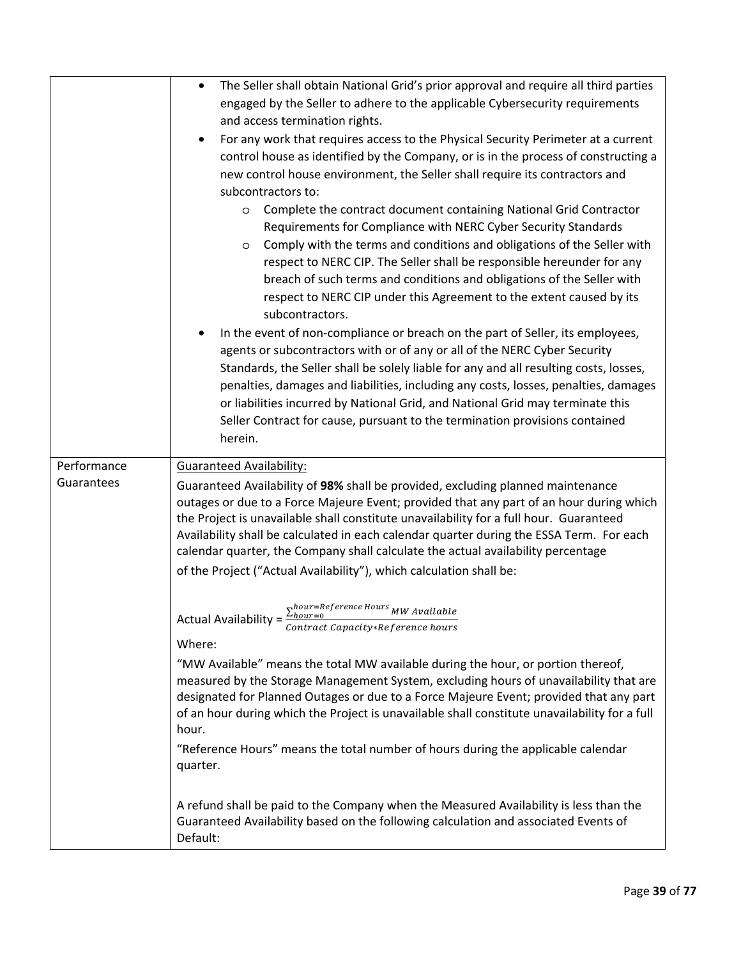|             | The Seller shall obtain National Grid's prior approval and require all third parties<br>$\bullet$                                                                                 |
|-------------|-----------------------------------------------------------------------------------------------------------------------------------------------------------------------------------|
|             | engaged by the Seller to adhere to the applicable Cybersecurity requirements                                                                                                      |
|             | and access termination rights.                                                                                                                                                    |
|             | For any work that requires access to the Physical Security Perimeter at a current<br>$\bullet$                                                                                    |
|             | control house as identified by the Company, or is in the process of constructing a                                                                                                |
|             | new control house environment, the Seller shall require its contractors and                                                                                                       |
|             | subcontractors to:                                                                                                                                                                |
|             | Complete the contract document containing National Grid Contractor<br>O                                                                                                           |
|             | Requirements for Compliance with NERC Cyber Security Standards                                                                                                                    |
|             | Comply with the terms and conditions and obligations of the Seller with<br>O                                                                                                      |
|             | respect to NERC CIP. The Seller shall be responsible hereunder for any                                                                                                            |
|             | breach of such terms and conditions and obligations of the Seller with                                                                                                            |
|             | respect to NERC CIP under this Agreement to the extent caused by its                                                                                                              |
|             | subcontractors.                                                                                                                                                                   |
|             | In the event of non-compliance or breach on the part of Seller, its employees,                                                                                                    |
|             | agents or subcontractors with or of any or all of the NERC Cyber Security                                                                                                         |
|             | Standards, the Seller shall be solely liable for any and all resulting costs, losses,                                                                                             |
|             | penalties, damages and liabilities, including any costs, losses, penalties, damages<br>or liabilities incurred by National Grid, and National Grid may terminate this             |
|             | Seller Contract for cause, pursuant to the termination provisions contained                                                                                                       |
|             | herein.                                                                                                                                                                           |
|             |                                                                                                                                                                                   |
| Performance | <b>Guaranteed Availability:</b>                                                                                                                                                   |
| Guarantees  | Guaranteed Availability of 98% shall be provided, excluding planned maintenance                                                                                                   |
|             | outages or due to a Force Majeure Event; provided that any part of an hour during which<br>the Project is unavailable shall constitute unavailability for a full hour. Guaranteed |
|             | Availability shall be calculated in each calendar quarter during the ESSA Term. For each                                                                                          |
|             | calendar quarter, the Company shall calculate the actual availability percentage                                                                                                  |
|             | of the Project ("Actual Availability"), which calculation shall be:                                                                                                               |
|             |                                                                                                                                                                                   |
|             | $\Sigma_{hour=0}^{hour=Reference\, Hours} \, MW \, Available$                                                                                                                     |
|             | Actual Availability = $\frac{\angle hour = 0}{Contract\, Capacity*Reference\, hours}$                                                                                             |
|             | Where:                                                                                                                                                                            |
|             | "MW Available" means the total MW available during the hour, or portion thereof,                                                                                                  |
|             | measured by the Storage Management System, excluding hours of unavailability that are                                                                                             |
|             | designated for Planned Outages or due to a Force Majeure Event; provided that any part                                                                                            |
|             | of an hour during which the Project is unavailable shall constitute unavailability for a full<br>hour.                                                                            |
|             |                                                                                                                                                                                   |
|             | "Reference Hours" means the total number of hours during the applicable calendar<br>quarter.                                                                                      |
|             |                                                                                                                                                                                   |
|             | A refund shall be paid to the Company when the Measured Availability is less than the                                                                                             |
|             | Guaranteed Availability based on the following calculation and associated Events of                                                                                               |
|             | Default:                                                                                                                                                                          |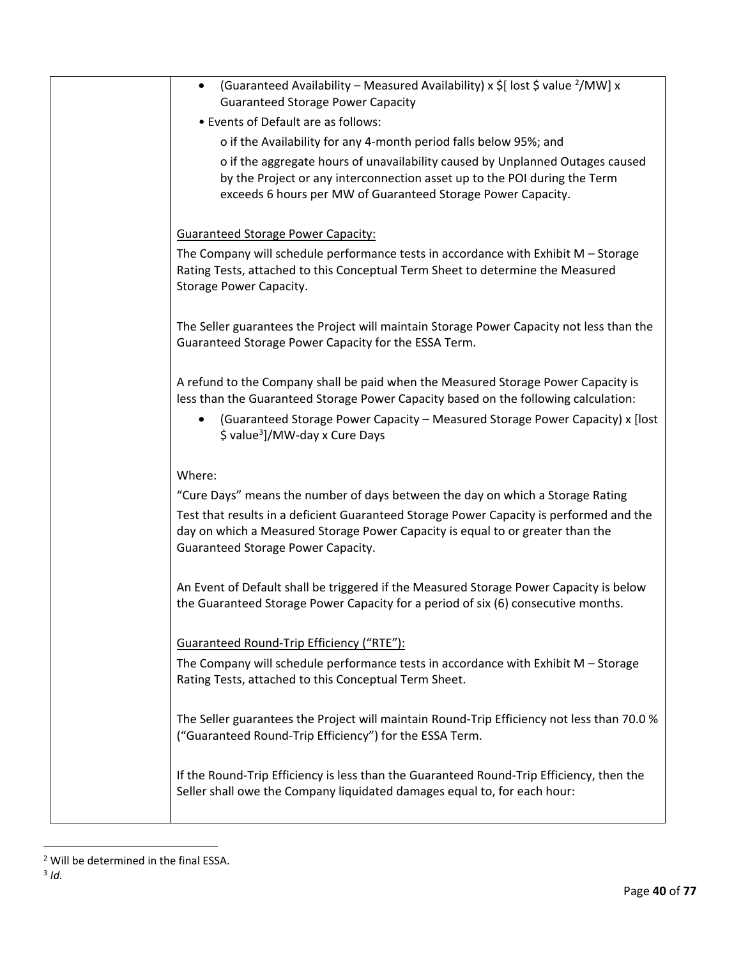| (Guaranteed Availability – Measured Availability) x $\frac{1}{2}$ [ lost $\frac{1}{2}$ value <sup>2</sup> /MW] x<br>٠<br><b>Guaranteed Storage Power Capacity</b>                                                          |
|----------------------------------------------------------------------------------------------------------------------------------------------------------------------------------------------------------------------------|
| • Events of Default are as follows:                                                                                                                                                                                        |
| o if the Availability for any 4-month period falls below 95%; and                                                                                                                                                          |
| o if the aggregate hours of unavailability caused by Unplanned Outages caused<br>by the Project or any interconnection asset up to the POI during the Term<br>exceeds 6 hours per MW of Guaranteed Storage Power Capacity. |
| <b>Guaranteed Storage Power Capacity:</b>                                                                                                                                                                                  |
| The Company will schedule performance tests in accordance with Exhibit $M -$ Storage<br>Rating Tests, attached to this Conceptual Term Sheet to determine the Measured<br>Storage Power Capacity.                          |
| The Seller guarantees the Project will maintain Storage Power Capacity not less than the<br>Guaranteed Storage Power Capacity for the ESSA Term.                                                                           |
| A refund to the Company shall be paid when the Measured Storage Power Capacity is<br>less than the Guaranteed Storage Power Capacity based on the following calculation:                                                   |
| (Guaranteed Storage Power Capacity - Measured Storage Power Capacity) x [lost<br>\$ value <sup>3</sup> ]/MW-day x Cure Days                                                                                                |
| Where:                                                                                                                                                                                                                     |
| "Cure Days" means the number of days between the day on which a Storage Rating                                                                                                                                             |
| Test that results in a deficient Guaranteed Storage Power Capacity is performed and the<br>day on which a Measured Storage Power Capacity is equal to or greater than the<br>Guaranteed Storage Power Capacity.            |
| An Event of Default shall be triggered if the Measured Storage Power Capacity is below<br>the Guaranteed Storage Power Capacity for a period of six (6) consecutive months.                                                |
| <b>Guaranteed Round-Trip Efficiency ("RTE"):</b>                                                                                                                                                                           |
| The Company will schedule performance tests in accordance with Exhibit M - Storage<br>Rating Tests, attached to this Conceptual Term Sheet.                                                                                |
| The Seller guarantees the Project will maintain Round-Trip Efficiency not less than 70.0 %<br>("Guaranteed Round-Trip Efficiency") for the ESSA Term.                                                                      |
| If the Round-Trip Efficiency is less than the Guaranteed Round-Trip Efficiency, then the<br>Seller shall owe the Company liquidated damages equal to, for each hour:                                                       |

 2 Will be determined in the final ESSA.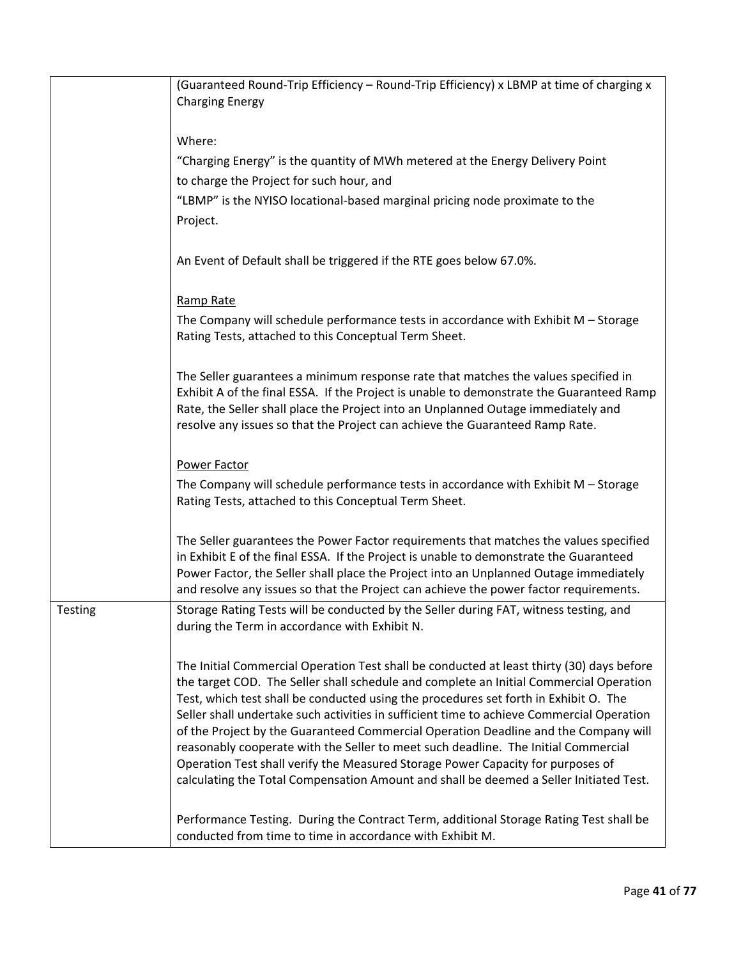|                | (Guaranteed Round-Trip Efficiency - Round-Trip Efficiency) x LBMP at time of charging x<br><b>Charging Energy</b>                                                                                                                                                                                                                                                                                                                                                                                                                                                                                                                                                                                                                  |
|----------------|------------------------------------------------------------------------------------------------------------------------------------------------------------------------------------------------------------------------------------------------------------------------------------------------------------------------------------------------------------------------------------------------------------------------------------------------------------------------------------------------------------------------------------------------------------------------------------------------------------------------------------------------------------------------------------------------------------------------------------|
|                | Where:                                                                                                                                                                                                                                                                                                                                                                                                                                                                                                                                                                                                                                                                                                                             |
|                | "Charging Energy" is the quantity of MWh metered at the Energy Delivery Point                                                                                                                                                                                                                                                                                                                                                                                                                                                                                                                                                                                                                                                      |
|                | to charge the Project for such hour, and                                                                                                                                                                                                                                                                                                                                                                                                                                                                                                                                                                                                                                                                                           |
|                | "LBMP" is the NYISO locational-based marginal pricing node proximate to the                                                                                                                                                                                                                                                                                                                                                                                                                                                                                                                                                                                                                                                        |
|                | Project.                                                                                                                                                                                                                                                                                                                                                                                                                                                                                                                                                                                                                                                                                                                           |
|                |                                                                                                                                                                                                                                                                                                                                                                                                                                                                                                                                                                                                                                                                                                                                    |
|                | An Event of Default shall be triggered if the RTE goes below 67.0%.                                                                                                                                                                                                                                                                                                                                                                                                                                                                                                                                                                                                                                                                |
|                | Ramp Rate                                                                                                                                                                                                                                                                                                                                                                                                                                                                                                                                                                                                                                                                                                                          |
|                | The Company will schedule performance tests in accordance with Exhibit M - Storage<br>Rating Tests, attached to this Conceptual Term Sheet.                                                                                                                                                                                                                                                                                                                                                                                                                                                                                                                                                                                        |
|                | The Seller guarantees a minimum response rate that matches the values specified in<br>Exhibit A of the final ESSA. If the Project is unable to demonstrate the Guaranteed Ramp<br>Rate, the Seller shall place the Project into an Unplanned Outage immediately and<br>resolve any issues so that the Project can achieve the Guaranteed Ramp Rate.                                                                                                                                                                                                                                                                                                                                                                                |
|                | Power Factor                                                                                                                                                                                                                                                                                                                                                                                                                                                                                                                                                                                                                                                                                                                       |
|                | The Company will schedule performance tests in accordance with Exhibit M - Storage<br>Rating Tests, attached to this Conceptual Term Sheet.                                                                                                                                                                                                                                                                                                                                                                                                                                                                                                                                                                                        |
|                | The Seller guarantees the Power Factor requirements that matches the values specified<br>in Exhibit E of the final ESSA. If the Project is unable to demonstrate the Guaranteed<br>Power Factor, the Seller shall place the Project into an Unplanned Outage immediately<br>and resolve any issues so that the Project can achieve the power factor requirements.                                                                                                                                                                                                                                                                                                                                                                  |
| <b>Testing</b> | Storage Rating Tests will be conducted by the Seller during FAT, witness testing, and<br>during the Term in accordance with Exhibit N.                                                                                                                                                                                                                                                                                                                                                                                                                                                                                                                                                                                             |
|                | The Initial Commercial Operation Test shall be conducted at least thirty (30) days before<br>the target COD. The Seller shall schedule and complete an Initial Commercial Operation<br>Test, which test shall be conducted using the procedures set forth in Exhibit O. The<br>Seller shall undertake such activities in sufficient time to achieve Commercial Operation<br>of the Project by the Guaranteed Commercial Operation Deadline and the Company will<br>reasonably cooperate with the Seller to meet such deadline. The Initial Commercial<br>Operation Test shall verify the Measured Storage Power Capacity for purposes of<br>calculating the Total Compensation Amount and shall be deemed a Seller Initiated Test. |
|                | Performance Testing. During the Contract Term, additional Storage Rating Test shall be<br>conducted from time to time in accordance with Exhibit M.                                                                                                                                                                                                                                                                                                                                                                                                                                                                                                                                                                                |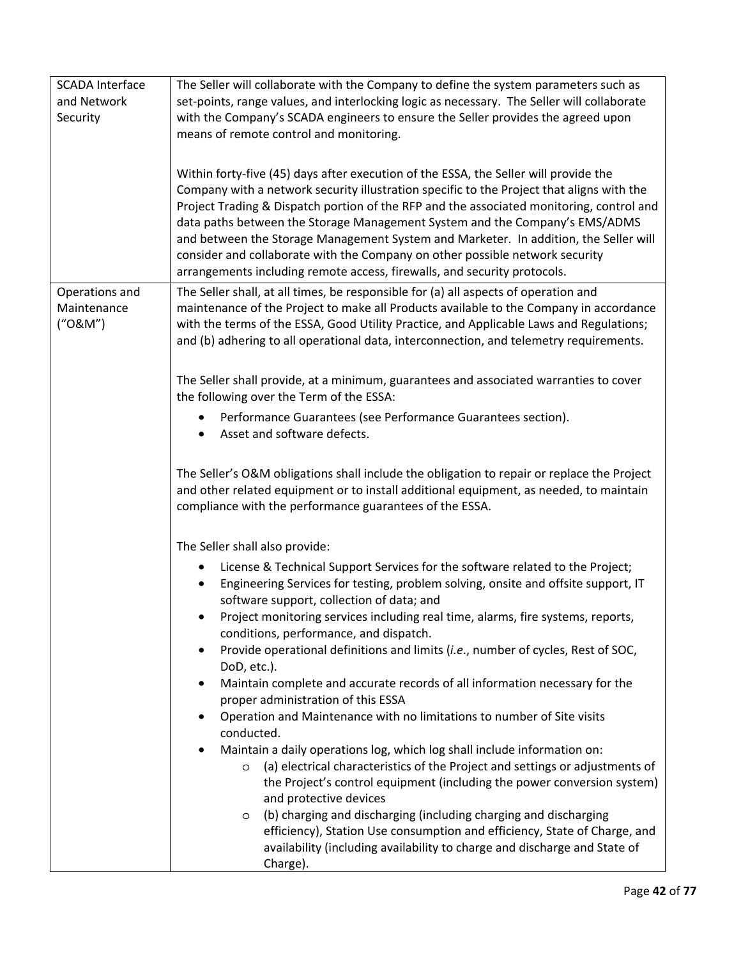| <b>SCADA Interface</b><br>and Network<br>Security | The Seller will collaborate with the Company to define the system parameters such as<br>set-points, range values, and interlocking logic as necessary. The Seller will collaborate<br>with the Company's SCADA engineers to ensure the Seller provides the agreed upon<br>means of remote control and monitoring.                                                                                                                                                                                                                                                                                                |
|---------------------------------------------------|------------------------------------------------------------------------------------------------------------------------------------------------------------------------------------------------------------------------------------------------------------------------------------------------------------------------------------------------------------------------------------------------------------------------------------------------------------------------------------------------------------------------------------------------------------------------------------------------------------------|
|                                                   | Within forty-five (45) days after execution of the ESSA, the Seller will provide the<br>Company with a network security illustration specific to the Project that aligns with the<br>Project Trading & Dispatch portion of the RFP and the associated monitoring, control and<br>data paths between the Storage Management System and the Company's EMS/ADMS<br>and between the Storage Management System and Marketer. In addition, the Seller will<br>consider and collaborate with the Company on other possible network security<br>arrangements including remote access, firewalls, and security protocols. |
| Operations and<br>Maintenance<br>("O&M")          | The Seller shall, at all times, be responsible for (a) all aspects of operation and<br>maintenance of the Project to make all Products available to the Company in accordance<br>with the terms of the ESSA, Good Utility Practice, and Applicable Laws and Regulations;<br>and (b) adhering to all operational data, interconnection, and telemetry requirements.                                                                                                                                                                                                                                               |
|                                                   | The Seller shall provide, at a minimum, guarantees and associated warranties to cover<br>the following over the Term of the ESSA:                                                                                                                                                                                                                                                                                                                                                                                                                                                                                |
|                                                   | Performance Guarantees (see Performance Guarantees section).<br>Asset and software defects.                                                                                                                                                                                                                                                                                                                                                                                                                                                                                                                      |
|                                                   | The Seller's O&M obligations shall include the obligation to repair or replace the Project<br>and other related equipment or to install additional equipment, as needed, to maintain<br>compliance with the performance guarantees of the ESSA.                                                                                                                                                                                                                                                                                                                                                                  |
|                                                   | The Seller shall also provide:                                                                                                                                                                                                                                                                                                                                                                                                                                                                                                                                                                                   |
|                                                   | License & Technical Support Services for the software related to the Project;<br>Engineering Services for testing, problem solving, onsite and offsite support, IT<br>٠<br>software support, collection of data; and                                                                                                                                                                                                                                                                                                                                                                                             |
|                                                   | Project monitoring services including real time, alarms, fire systems, reports,<br>conditions, performance, and dispatch.                                                                                                                                                                                                                                                                                                                                                                                                                                                                                        |
|                                                   | Provide operational definitions and limits (i.e., number of cycles, Rest of SOC,<br>DoD, etc.).                                                                                                                                                                                                                                                                                                                                                                                                                                                                                                                  |
|                                                   | Maintain complete and accurate records of all information necessary for the<br>٠<br>proper administration of this ESSA                                                                                                                                                                                                                                                                                                                                                                                                                                                                                           |
|                                                   | Operation and Maintenance with no limitations to number of Site visits<br>٠<br>conducted.                                                                                                                                                                                                                                                                                                                                                                                                                                                                                                                        |
|                                                   | Maintain a daily operations log, which log shall include information on:<br>(a) electrical characteristics of the Project and settings or adjustments of<br>$\circ$<br>the Project's control equipment (including the power conversion system)<br>and protective devices<br>(b) charging and discharging (including charging and discharging<br>$\circ$<br>efficiency), Station Use consumption and efficiency, State of Charge, and<br>availability (including availability to charge and discharge and State of<br>Charge).                                                                                    |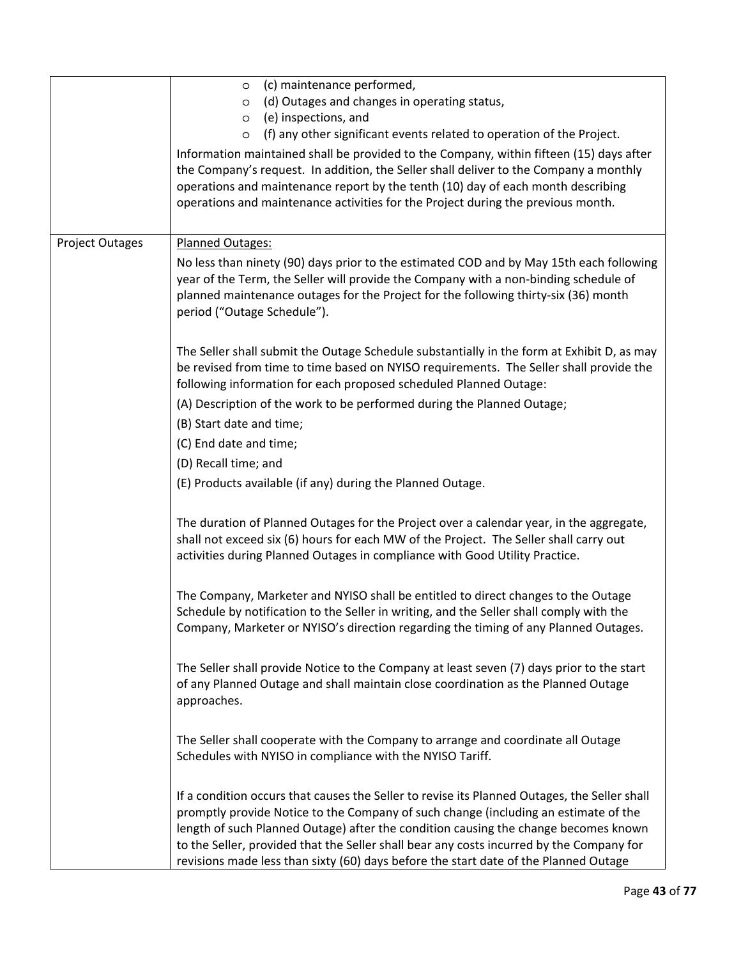|                        | (c) maintenance performed,<br>$\circ$<br>(d) Outages and changes in operating status,<br>$\circ$<br>(e) inspections, and<br>$\circ$<br>(f) any other significant events related to operation of the Project.<br>$\circ$<br>Information maintained shall be provided to the Company, within fifteen (15) days after<br>the Company's request. In addition, the Seller shall deliver to the Company a monthly<br>operations and maintenance report by the tenth (10) day of each month describing<br>operations and maintenance activities for the Project during the previous month. |
|------------------------|-------------------------------------------------------------------------------------------------------------------------------------------------------------------------------------------------------------------------------------------------------------------------------------------------------------------------------------------------------------------------------------------------------------------------------------------------------------------------------------------------------------------------------------------------------------------------------------|
| <b>Project Outages</b> | Planned Outages:<br>No less than ninety (90) days prior to the estimated COD and by May 15th each following<br>year of the Term, the Seller will provide the Company with a non-binding schedule of<br>planned maintenance outages for the Project for the following thirty-six (36) month<br>period ("Outage Schedule").                                                                                                                                                                                                                                                           |
|                        | The Seller shall submit the Outage Schedule substantially in the form at Exhibit D, as may<br>be revised from time to time based on NYISO requirements. The Seller shall provide the<br>following information for each proposed scheduled Planned Outage:                                                                                                                                                                                                                                                                                                                           |
|                        | (A) Description of the work to be performed during the Planned Outage;<br>(B) Start date and time;                                                                                                                                                                                                                                                                                                                                                                                                                                                                                  |
|                        | (C) End date and time;                                                                                                                                                                                                                                                                                                                                                                                                                                                                                                                                                              |
|                        | (D) Recall time; and                                                                                                                                                                                                                                                                                                                                                                                                                                                                                                                                                                |
|                        | (E) Products available (if any) during the Planned Outage.                                                                                                                                                                                                                                                                                                                                                                                                                                                                                                                          |
|                        | The duration of Planned Outages for the Project over a calendar year, in the aggregate,<br>shall not exceed six (6) hours for each MW of the Project. The Seller shall carry out<br>activities during Planned Outages in compliance with Good Utility Practice.                                                                                                                                                                                                                                                                                                                     |
|                        | The Company, Marketer and NYISO shall be entitled to direct changes to the Outage<br>Schedule by notification to the Seller in writing, and the Seller shall comply with the<br>Company, Marketer or NYISO's direction regarding the timing of any Planned Outages.                                                                                                                                                                                                                                                                                                                 |
|                        | The Seller shall provide Notice to the Company at least seven (7) days prior to the start<br>of any Planned Outage and shall maintain close coordination as the Planned Outage<br>approaches.                                                                                                                                                                                                                                                                                                                                                                                       |
|                        | The Seller shall cooperate with the Company to arrange and coordinate all Outage<br>Schedules with NYISO in compliance with the NYISO Tariff.                                                                                                                                                                                                                                                                                                                                                                                                                                       |
|                        | If a condition occurs that causes the Seller to revise its Planned Outages, the Seller shall<br>promptly provide Notice to the Company of such change (including an estimate of the<br>length of such Planned Outage) after the condition causing the change becomes known<br>to the Seller, provided that the Seller shall bear any costs incurred by the Company for<br>revisions made less than sixty (60) days before the start date of the Planned Outage                                                                                                                      |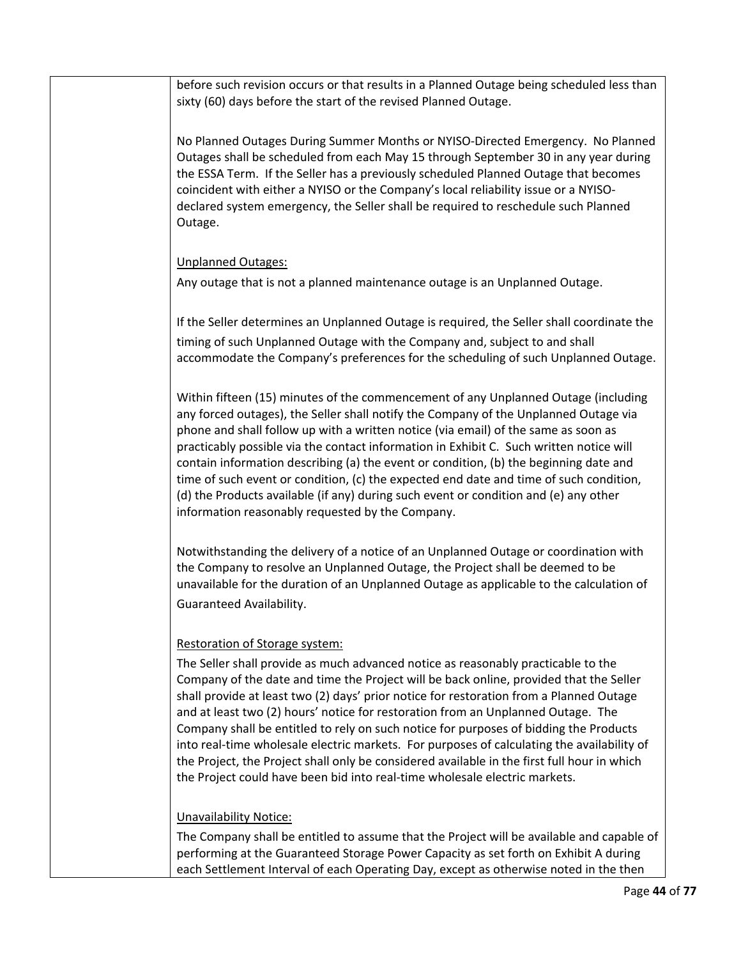before such revision occurs or that results in a Planned Outage being scheduled less than sixty (60) days before the start of the revised Planned Outage. No Planned Outages During Summer Months or NYISO-Directed Emergency. No Planned Outages shall be scheduled from each May 15 through September 30 in any year during the ESSA Term. If the Seller has a previously scheduled Planned Outage that becomes coincident with either a NYISO or the Company's local reliability issue or a NYISOdeclared system emergency, the Seller shall be required to reschedule such Planned Outage. Unplanned Outages: Any outage that is not a planned maintenance outage is an Unplanned Outage. If the Seller determines an Unplanned Outage is required, the Seller shall coordinate the timing of such Unplanned Outage with the Company and, subject to and shall accommodate the Company's preferences for the scheduling of such Unplanned Outage. Within fifteen (15) minutes of the commencement of any Unplanned Outage (including any forced outages), the Seller shall notify the Company of the Unplanned Outage via phone and shall follow up with a written notice (via email) of the same as soon as practicably possible via the contact information in Exhibit C. Such written notice will contain information describing (a) the event or condition, (b) the beginning date and time of such event or condition, (c) the expected end date and time of such condition, (d) the Products available (if any) during such event or condition and (e) any other information reasonably requested by the Company. Notwithstanding the delivery of a notice of an Unplanned Outage or coordination with the Company to resolve an Unplanned Outage, the Project shall be deemed to be unavailable for the duration of an Unplanned Outage as applicable to the calculation of Guaranteed Availability. Restoration of Storage system: The Seller shall provide as much advanced notice as reasonably practicable to the Company of the date and time the Project will be back online, provided that the Seller shall provide at least two (2) days' prior notice for restoration from a Planned Outage and at least two (2) hours' notice for restoration from an Unplanned Outage. The Company shall be entitled to rely on such notice for purposes of bidding the Products into real-time wholesale electric markets. For purposes of calculating the availability of the Project, the Project shall only be considered available in the first full hour in which the Project could have been bid into real-time wholesale electric markets. Unavailability Notice: The Company shall be entitled to assume that the Project will be available and capable of performing at the Guaranteed Storage Power Capacity as set forth on Exhibit A during each Settlement Interval of each Operating Day, except as otherwise noted in the then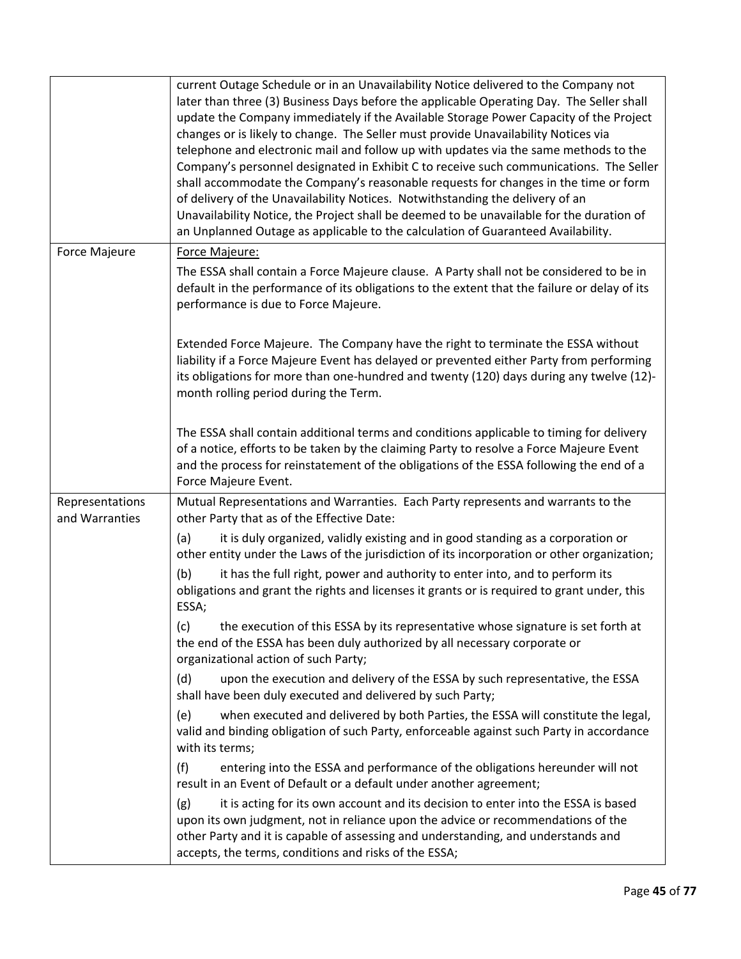|                                   | current Outage Schedule or in an Unavailability Notice delivered to the Company not<br>later than three (3) Business Days before the applicable Operating Day. The Seller shall<br>update the Company immediately if the Available Storage Power Capacity of the Project<br>changes or is likely to change. The Seller must provide Unavailability Notices via<br>telephone and electronic mail and follow up with updates via the same methods to the<br>Company's personnel designated in Exhibit C to receive such communications. The Seller<br>shall accommodate the Company's reasonable requests for changes in the time or form<br>of delivery of the Unavailability Notices. Notwithstanding the delivery of an<br>Unavailability Notice, the Project shall be deemed to be unavailable for the duration of<br>an Unplanned Outage as applicable to the calculation of Guaranteed Availability. |
|-----------------------------------|----------------------------------------------------------------------------------------------------------------------------------------------------------------------------------------------------------------------------------------------------------------------------------------------------------------------------------------------------------------------------------------------------------------------------------------------------------------------------------------------------------------------------------------------------------------------------------------------------------------------------------------------------------------------------------------------------------------------------------------------------------------------------------------------------------------------------------------------------------------------------------------------------------|
| Force Majeure                     | Force Majeure:                                                                                                                                                                                                                                                                                                                                                                                                                                                                                                                                                                                                                                                                                                                                                                                                                                                                                           |
|                                   | The ESSA shall contain a Force Majeure clause. A Party shall not be considered to be in<br>default in the performance of its obligations to the extent that the failure or delay of its<br>performance is due to Force Majeure.                                                                                                                                                                                                                                                                                                                                                                                                                                                                                                                                                                                                                                                                          |
|                                   | Extended Force Majeure. The Company have the right to terminate the ESSA without<br>liability if a Force Majeure Event has delayed or prevented either Party from performing<br>its obligations for more than one-hundred and twenty (120) days during any twelve (12)-<br>month rolling period during the Term.                                                                                                                                                                                                                                                                                                                                                                                                                                                                                                                                                                                         |
|                                   | The ESSA shall contain additional terms and conditions applicable to timing for delivery<br>of a notice, efforts to be taken by the claiming Party to resolve a Force Majeure Event<br>and the process for reinstatement of the obligations of the ESSA following the end of a<br>Force Majeure Event.                                                                                                                                                                                                                                                                                                                                                                                                                                                                                                                                                                                                   |
| Representations<br>and Warranties | Mutual Representations and Warranties. Each Party represents and warrants to the<br>other Party that as of the Effective Date:                                                                                                                                                                                                                                                                                                                                                                                                                                                                                                                                                                                                                                                                                                                                                                           |
|                                   | it is duly organized, validly existing and in good standing as a corporation or<br>(a)<br>other entity under the Laws of the jurisdiction of its incorporation or other organization;                                                                                                                                                                                                                                                                                                                                                                                                                                                                                                                                                                                                                                                                                                                    |
|                                   | (b)<br>it has the full right, power and authority to enter into, and to perform its<br>obligations and grant the rights and licenses it grants or is required to grant under, this<br>ESSA;                                                                                                                                                                                                                                                                                                                                                                                                                                                                                                                                                                                                                                                                                                              |
|                                   | the execution of this ESSA by its representative whose signature is set forth at<br>(c)<br>the end of the ESSA has been duly authorized by all necessary corporate or<br>organizational action of such Party;                                                                                                                                                                                                                                                                                                                                                                                                                                                                                                                                                                                                                                                                                            |
|                                   | (d)<br>upon the execution and delivery of the ESSA by such representative, the ESSA<br>shall have been duly executed and delivered by such Party;                                                                                                                                                                                                                                                                                                                                                                                                                                                                                                                                                                                                                                                                                                                                                        |
|                                   | when executed and delivered by both Parties, the ESSA will constitute the legal,<br>(e)<br>valid and binding obligation of such Party, enforceable against such Party in accordance<br>with its terms;                                                                                                                                                                                                                                                                                                                                                                                                                                                                                                                                                                                                                                                                                                   |
|                                   | entering into the ESSA and performance of the obligations hereunder will not<br>(f)<br>result in an Event of Default or a default under another agreement;                                                                                                                                                                                                                                                                                                                                                                                                                                                                                                                                                                                                                                                                                                                                               |
|                                   | it is acting for its own account and its decision to enter into the ESSA is based<br>(g)<br>upon its own judgment, not in reliance upon the advice or recommendations of the<br>other Party and it is capable of assessing and understanding, and understands and<br>accepts, the terms, conditions and risks of the ESSA;                                                                                                                                                                                                                                                                                                                                                                                                                                                                                                                                                                               |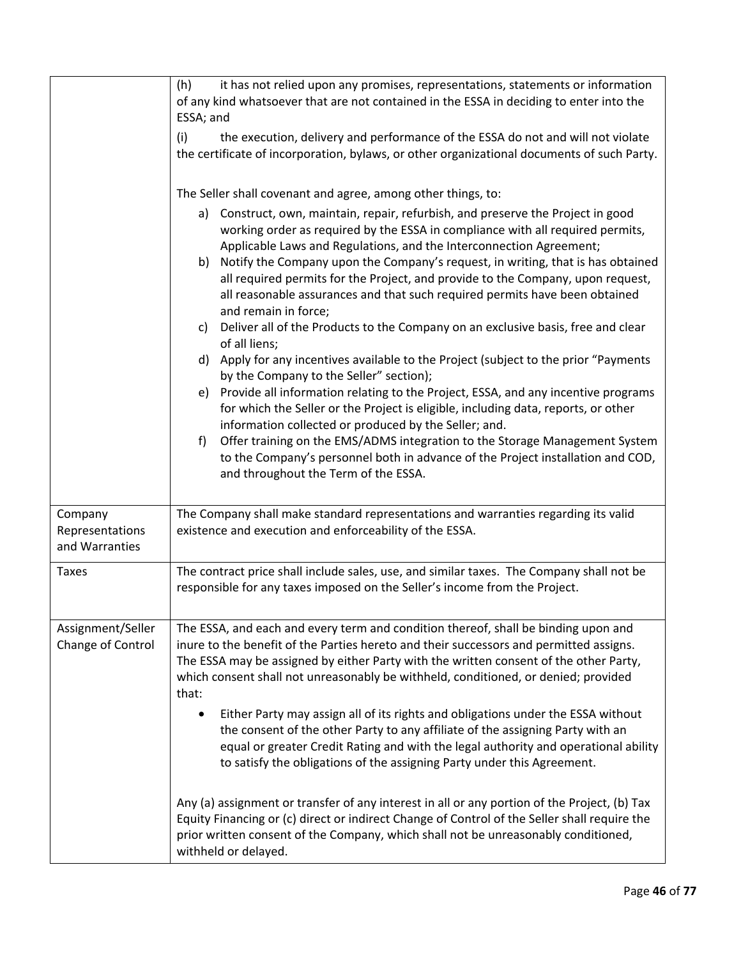|                                              | (h)<br>it has not relied upon any promises, representations, statements or information<br>of any kind whatsoever that are not contained in the ESSA in deciding to enter into the<br>ESSA; and                                                                                                                                                                                                                                                                                                                                                                                                                                                                                                                                                                                                                                                                                                                                                                                                                                                                                                                                                                                                                                                                                                          |
|----------------------------------------------|---------------------------------------------------------------------------------------------------------------------------------------------------------------------------------------------------------------------------------------------------------------------------------------------------------------------------------------------------------------------------------------------------------------------------------------------------------------------------------------------------------------------------------------------------------------------------------------------------------------------------------------------------------------------------------------------------------------------------------------------------------------------------------------------------------------------------------------------------------------------------------------------------------------------------------------------------------------------------------------------------------------------------------------------------------------------------------------------------------------------------------------------------------------------------------------------------------------------------------------------------------------------------------------------------------|
|                                              | (i)<br>the execution, delivery and performance of the ESSA do not and will not violate<br>the certificate of incorporation, bylaws, or other organizational documents of such Party.                                                                                                                                                                                                                                                                                                                                                                                                                                                                                                                                                                                                                                                                                                                                                                                                                                                                                                                                                                                                                                                                                                                    |
|                                              | The Seller shall covenant and agree, among other things, to:<br>Construct, own, maintain, repair, refurbish, and preserve the Project in good<br>a)<br>working order as required by the ESSA in compliance with all required permits,<br>Applicable Laws and Regulations, and the Interconnection Agreement;<br>Notify the Company upon the Company's request, in writing, that is has obtained<br>b)<br>all required permits for the Project, and provide to the Company, upon request,<br>all reasonable assurances and that such required permits have been obtained<br>and remain in force;<br>Deliver all of the Products to the Company on an exclusive basis, free and clear<br>c)<br>of all liens;<br>Apply for any incentives available to the Project (subject to the prior "Payments<br>d)<br>by the Company to the Seller" section);<br>e) Provide all information relating to the Project, ESSA, and any incentive programs<br>for which the Seller or the Project is eligible, including data, reports, or other<br>information collected or produced by the Seller; and.<br>Offer training on the EMS/ADMS integration to the Storage Management System<br>f)<br>to the Company's personnel both in advance of the Project installation and COD,<br>and throughout the Term of the ESSA. |
| Company<br>Representations<br>and Warranties | The Company shall make standard representations and warranties regarding its valid<br>existence and execution and enforceability of the ESSA.                                                                                                                                                                                                                                                                                                                                                                                                                                                                                                                                                                                                                                                                                                                                                                                                                                                                                                                                                                                                                                                                                                                                                           |
| <b>Taxes</b>                                 | The contract price shall include sales, use, and similar taxes. The Company shall not be<br>responsible for any taxes imposed on the Seller's income from the Project.                                                                                                                                                                                                                                                                                                                                                                                                                                                                                                                                                                                                                                                                                                                                                                                                                                                                                                                                                                                                                                                                                                                                  |
| Assignment/Seller<br>Change of Control       | The ESSA, and each and every term and condition thereof, shall be binding upon and<br>inure to the benefit of the Parties hereto and their successors and permitted assigns.<br>The ESSA may be assigned by either Party with the written consent of the other Party,<br>which consent shall not unreasonably be withheld, conditioned, or denied; provided<br>that:<br>Either Party may assign all of its rights and obligations under the ESSA without<br>$\bullet$<br>the consent of the other Party to any affiliate of the assigning Party with an<br>equal or greater Credit Rating and with the legal authority and operational ability<br>to satisfy the obligations of the assigning Party under this Agreement.<br>Any (a) assignment or transfer of any interest in all or any portion of the Project, (b) Tax                                                                                                                                                                                                                                                                                                                                                                                                                                                                               |
|                                              | Equity Financing or (c) direct or indirect Change of Control of the Seller shall require the<br>prior written consent of the Company, which shall not be unreasonably conditioned,<br>withheld or delayed.                                                                                                                                                                                                                                                                                                                                                                                                                                                                                                                                                                                                                                                                                                                                                                                                                                                                                                                                                                                                                                                                                              |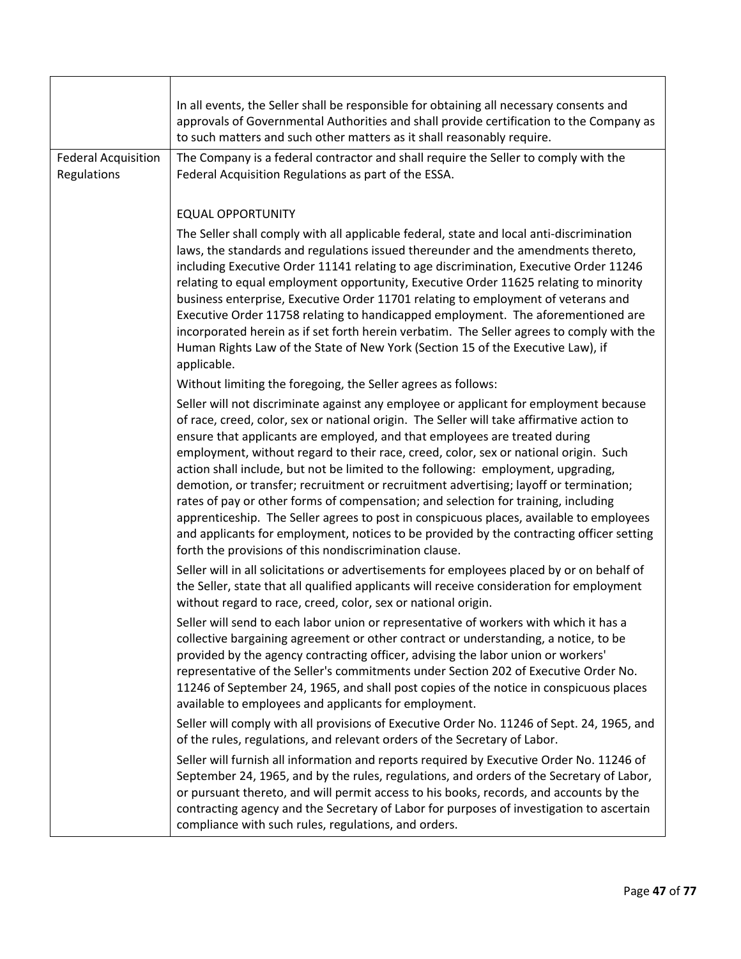|                                           | In all events, the Seller shall be responsible for obtaining all necessary consents and<br>approvals of Governmental Authorities and shall provide certification to the Company as<br>to such matters and such other matters as it shall reasonably require.                                                                                                                                                                                                                                                                                                                                                                                                                                                                                                                                                                                                                  |
|-------------------------------------------|-------------------------------------------------------------------------------------------------------------------------------------------------------------------------------------------------------------------------------------------------------------------------------------------------------------------------------------------------------------------------------------------------------------------------------------------------------------------------------------------------------------------------------------------------------------------------------------------------------------------------------------------------------------------------------------------------------------------------------------------------------------------------------------------------------------------------------------------------------------------------------|
| <b>Federal Acquisition</b><br>Regulations | The Company is a federal contractor and shall require the Seller to comply with the<br>Federal Acquisition Regulations as part of the ESSA.                                                                                                                                                                                                                                                                                                                                                                                                                                                                                                                                                                                                                                                                                                                                   |
|                                           | <b>EQUAL OPPORTUNITY</b>                                                                                                                                                                                                                                                                                                                                                                                                                                                                                                                                                                                                                                                                                                                                                                                                                                                      |
|                                           | The Seller shall comply with all applicable federal, state and local anti-discrimination<br>laws, the standards and regulations issued thereunder and the amendments thereto,<br>including Executive Order 11141 relating to age discrimination, Executive Order 11246<br>relating to equal employment opportunity, Executive Order 11625 relating to minority<br>business enterprise, Executive Order 11701 relating to employment of veterans and<br>Executive Order 11758 relating to handicapped employment. The aforementioned are<br>incorporated herein as if set forth herein verbatim. The Seller agrees to comply with the<br>Human Rights Law of the State of New York (Section 15 of the Executive Law), if<br>applicable.                                                                                                                                        |
|                                           | Without limiting the foregoing, the Seller agrees as follows:                                                                                                                                                                                                                                                                                                                                                                                                                                                                                                                                                                                                                                                                                                                                                                                                                 |
|                                           | Seller will not discriminate against any employee or applicant for employment because<br>of race, creed, color, sex or national origin. The Seller will take affirmative action to<br>ensure that applicants are employed, and that employees are treated during<br>employment, without regard to their race, creed, color, sex or national origin. Such<br>action shall include, but not be limited to the following: employment, upgrading,<br>demotion, or transfer; recruitment or recruitment advertising; layoff or termination;<br>rates of pay or other forms of compensation; and selection for training, including<br>apprenticeship. The Seller agrees to post in conspicuous places, available to employees<br>and applicants for employment, notices to be provided by the contracting officer setting<br>forth the provisions of this nondiscrimination clause. |
|                                           | Seller will in all solicitations or advertisements for employees placed by or on behalf of<br>the Seller, state that all qualified applicants will receive consideration for employment<br>without regard to race, creed, color, sex or national origin.                                                                                                                                                                                                                                                                                                                                                                                                                                                                                                                                                                                                                      |
|                                           | Seller will send to each labor union or representative of workers with which it has a<br>collective bargaining agreement or other contract or understanding, a notice, to be<br>provided by the agency contracting officer, advising the labor union or workers'<br>representative of the Seller's commitments under Section 202 of Executive Order No.<br>11246 of September 24, 1965, and shall post copies of the notice in conspicuous places<br>available to employees and applicants for employment.                                                                                                                                                                                                                                                                                                                                                                    |
|                                           | Seller will comply with all provisions of Executive Order No. 11246 of Sept. 24, 1965, and<br>of the rules, regulations, and relevant orders of the Secretary of Labor.                                                                                                                                                                                                                                                                                                                                                                                                                                                                                                                                                                                                                                                                                                       |
|                                           | Seller will furnish all information and reports required by Executive Order No. 11246 of<br>September 24, 1965, and by the rules, regulations, and orders of the Secretary of Labor,<br>or pursuant thereto, and will permit access to his books, records, and accounts by the<br>contracting agency and the Secretary of Labor for purposes of investigation to ascertain<br>compliance with such rules, regulations, and orders.                                                                                                                                                                                                                                                                                                                                                                                                                                            |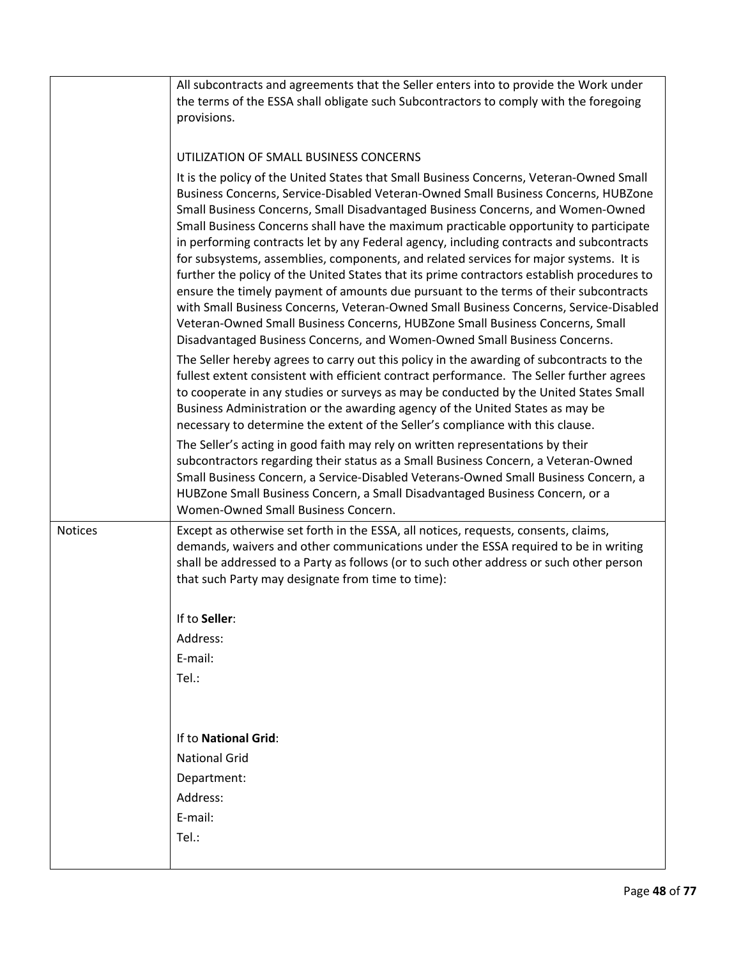|                | All subcontracts and agreements that the Seller enters into to provide the Work under<br>the terms of the ESSA shall obligate such Subcontractors to comply with the foregoing<br>provisions.                                                                                                                                                                                                                                                                                                                                                                                                                                                                                                                                                                                                                                                                                                                                                                                              |
|----------------|--------------------------------------------------------------------------------------------------------------------------------------------------------------------------------------------------------------------------------------------------------------------------------------------------------------------------------------------------------------------------------------------------------------------------------------------------------------------------------------------------------------------------------------------------------------------------------------------------------------------------------------------------------------------------------------------------------------------------------------------------------------------------------------------------------------------------------------------------------------------------------------------------------------------------------------------------------------------------------------------|
|                | UTILIZATION OF SMALL BUSINESS CONCERNS                                                                                                                                                                                                                                                                                                                                                                                                                                                                                                                                                                                                                                                                                                                                                                                                                                                                                                                                                     |
|                | It is the policy of the United States that Small Business Concerns, Veteran-Owned Small<br>Business Concerns, Service-Disabled Veteran-Owned Small Business Concerns, HUBZone<br>Small Business Concerns, Small Disadvantaged Business Concerns, and Women-Owned<br>Small Business Concerns shall have the maximum practicable opportunity to participate<br>in performing contracts let by any Federal agency, including contracts and subcontracts<br>for subsystems, assemblies, components, and related services for major systems. It is<br>further the policy of the United States that its prime contractors establish procedures to<br>ensure the timely payment of amounts due pursuant to the terms of their subcontracts<br>with Small Business Concerns, Veteran-Owned Small Business Concerns, Service-Disabled<br>Veteran-Owned Small Business Concerns, HUBZone Small Business Concerns, Small<br>Disadvantaged Business Concerns, and Women-Owned Small Business Concerns. |
|                | The Seller hereby agrees to carry out this policy in the awarding of subcontracts to the<br>fullest extent consistent with efficient contract performance. The Seller further agrees<br>to cooperate in any studies or surveys as may be conducted by the United States Small<br>Business Administration or the awarding agency of the United States as may be<br>necessary to determine the extent of the Seller's compliance with this clause.                                                                                                                                                                                                                                                                                                                                                                                                                                                                                                                                           |
|                | The Seller's acting in good faith may rely on written representations by their<br>subcontractors regarding their status as a Small Business Concern, a Veteran-Owned<br>Small Business Concern, a Service-Disabled Veterans-Owned Small Business Concern, a<br>HUBZone Small Business Concern, a Small Disadvantaged Business Concern, or a<br>Women-Owned Small Business Concern.                                                                                                                                                                                                                                                                                                                                                                                                                                                                                                                                                                                                         |
| <b>Notices</b> | Except as otherwise set forth in the ESSA, all notices, requests, consents, claims,<br>demands, waivers and other communications under the ESSA required to be in writing<br>shall be addressed to a Party as follows (or to such other address or such other person<br>that such Party may designate from time to time):                                                                                                                                                                                                                                                                                                                                                                                                                                                                                                                                                                                                                                                                  |
|                | If to Seller:                                                                                                                                                                                                                                                                                                                                                                                                                                                                                                                                                                                                                                                                                                                                                                                                                                                                                                                                                                              |
|                | Address:                                                                                                                                                                                                                                                                                                                                                                                                                                                                                                                                                                                                                                                                                                                                                                                                                                                                                                                                                                                   |
|                | E-mail:                                                                                                                                                                                                                                                                                                                                                                                                                                                                                                                                                                                                                                                                                                                                                                                                                                                                                                                                                                                    |
|                | Tel.:                                                                                                                                                                                                                                                                                                                                                                                                                                                                                                                                                                                                                                                                                                                                                                                                                                                                                                                                                                                      |
|                | If to National Grid:                                                                                                                                                                                                                                                                                                                                                                                                                                                                                                                                                                                                                                                                                                                                                                                                                                                                                                                                                                       |
|                | <b>National Grid</b>                                                                                                                                                                                                                                                                                                                                                                                                                                                                                                                                                                                                                                                                                                                                                                                                                                                                                                                                                                       |
|                | Department:                                                                                                                                                                                                                                                                                                                                                                                                                                                                                                                                                                                                                                                                                                                                                                                                                                                                                                                                                                                |
|                | Address:                                                                                                                                                                                                                                                                                                                                                                                                                                                                                                                                                                                                                                                                                                                                                                                                                                                                                                                                                                                   |
|                | E-mail:                                                                                                                                                                                                                                                                                                                                                                                                                                                                                                                                                                                                                                                                                                                                                                                                                                                                                                                                                                                    |
|                | Tel.:                                                                                                                                                                                                                                                                                                                                                                                                                                                                                                                                                                                                                                                                                                                                                                                                                                                                                                                                                                                      |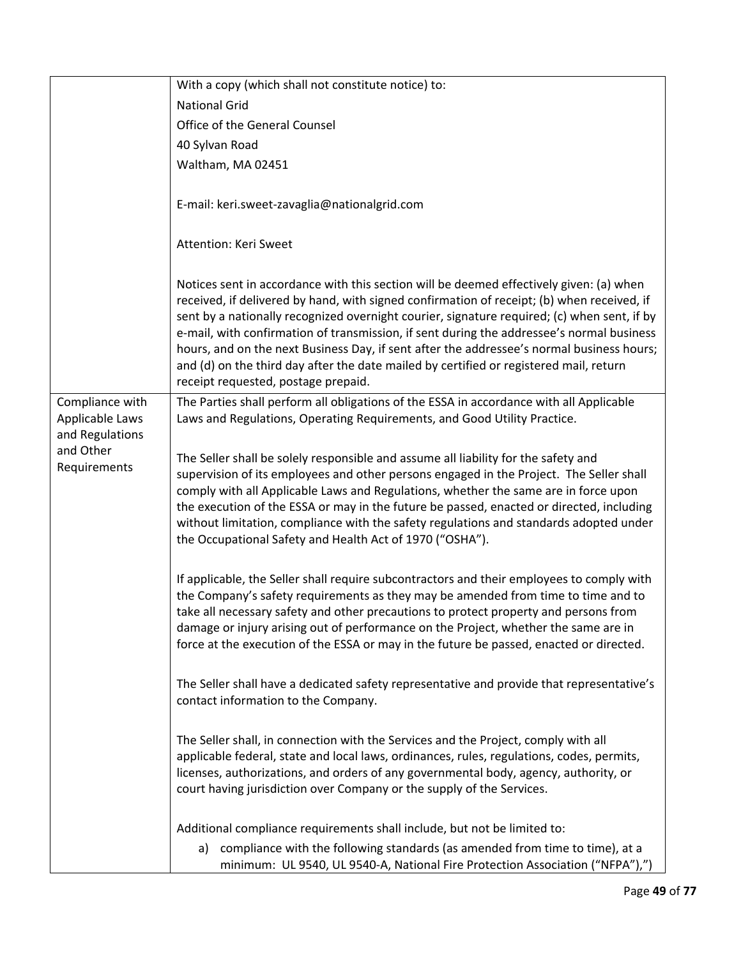|                              | With a copy (which shall not constitute notice) to:                                                                                                                                                                                                                                                                                                                                                                                                                                                                                                                                                             |
|------------------------------|-----------------------------------------------------------------------------------------------------------------------------------------------------------------------------------------------------------------------------------------------------------------------------------------------------------------------------------------------------------------------------------------------------------------------------------------------------------------------------------------------------------------------------------------------------------------------------------------------------------------|
|                              | <b>National Grid</b>                                                                                                                                                                                                                                                                                                                                                                                                                                                                                                                                                                                            |
|                              | Office of the General Counsel                                                                                                                                                                                                                                                                                                                                                                                                                                                                                                                                                                                   |
|                              | 40 Sylvan Road                                                                                                                                                                                                                                                                                                                                                                                                                                                                                                                                                                                                  |
|                              | Waltham, MA 02451                                                                                                                                                                                                                                                                                                                                                                                                                                                                                                                                                                                               |
|                              | E-mail: keri.sweet-zavaglia@nationalgrid.com                                                                                                                                                                                                                                                                                                                                                                                                                                                                                                                                                                    |
|                              | Attention: Keri Sweet                                                                                                                                                                                                                                                                                                                                                                                                                                                                                                                                                                                           |
|                              | Notices sent in accordance with this section will be deemed effectively given: (a) when<br>received, if delivered by hand, with signed confirmation of receipt; (b) when received, if<br>sent by a nationally recognized overnight courier, signature required; (c) when sent, if by<br>e-mail, with confirmation of transmission, if sent during the addressee's normal business<br>hours, and on the next Business Day, if sent after the addressee's normal business hours;<br>and (d) on the third day after the date mailed by certified or registered mail, return<br>receipt requested, postage prepaid. |
| Compliance with              | The Parties shall perform all obligations of the ESSA in accordance with all Applicable                                                                                                                                                                                                                                                                                                                                                                                                                                                                                                                         |
| Applicable Laws              | Laws and Regulations, Operating Requirements, and Good Utility Practice.                                                                                                                                                                                                                                                                                                                                                                                                                                                                                                                                        |
| and Regulations<br>and Other |                                                                                                                                                                                                                                                                                                                                                                                                                                                                                                                                                                                                                 |
| Requirements                 | The Seller shall be solely responsible and assume all liability for the safety and                                                                                                                                                                                                                                                                                                                                                                                                                                                                                                                              |
|                              | supervision of its employees and other persons engaged in the Project. The Seller shall                                                                                                                                                                                                                                                                                                                                                                                                                                                                                                                         |
|                              | comply with all Applicable Laws and Regulations, whether the same are in force upon                                                                                                                                                                                                                                                                                                                                                                                                                                                                                                                             |
|                              | the execution of the ESSA or may in the future be passed, enacted or directed, including                                                                                                                                                                                                                                                                                                                                                                                                                                                                                                                        |
|                              | without limitation, compliance with the safety regulations and standards adopted under<br>the Occupational Safety and Health Act of 1970 ("OSHA").                                                                                                                                                                                                                                                                                                                                                                                                                                                              |
|                              |                                                                                                                                                                                                                                                                                                                                                                                                                                                                                                                                                                                                                 |
|                              | If applicable, the Seller shall require subcontractors and their employees to comply with<br>the Company's safety requirements as they may be amended from time to time and to<br>take all necessary safety and other precautions to protect property and persons from<br>damage or injury arising out of performance on the Project, whether the same are in<br>force at the execution of the ESSA or may in the future be passed, enacted or directed.                                                                                                                                                        |
|                              | The Seller shall have a dedicated safety representative and provide that representative's<br>contact information to the Company.                                                                                                                                                                                                                                                                                                                                                                                                                                                                                |
|                              | The Seller shall, in connection with the Services and the Project, comply with all<br>applicable federal, state and local laws, ordinances, rules, regulations, codes, permits,<br>licenses, authorizations, and orders of any governmental body, agency, authority, or                                                                                                                                                                                                                                                                                                                                         |
|                              | court having jurisdiction over Company or the supply of the Services.                                                                                                                                                                                                                                                                                                                                                                                                                                                                                                                                           |
|                              |                                                                                                                                                                                                                                                                                                                                                                                                                                                                                                                                                                                                                 |
|                              | Additional compliance requirements shall include, but not be limited to:                                                                                                                                                                                                                                                                                                                                                                                                                                                                                                                                        |
|                              | compliance with the following standards (as amended from time to time), at a<br>a)<br>minimum: UL 9540, UL 9540-A, National Fire Protection Association ("NFPA"),")                                                                                                                                                                                                                                                                                                                                                                                                                                             |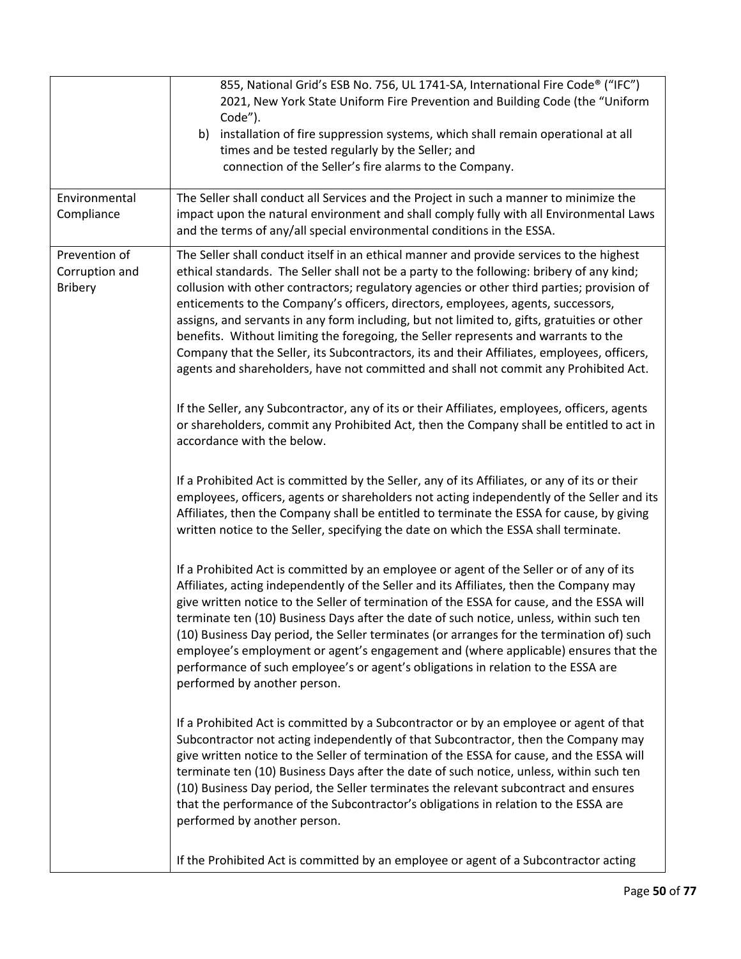|                                                   | 855, National Grid's ESB No. 756, UL 1741-SA, International Fire Code® ("IFC")<br>2021, New York State Uniform Fire Prevention and Building Code (the "Uniform<br>Code").<br>b) installation of fire suppression systems, which shall remain operational at all<br>times and be tested regularly by the Seller; and<br>connection of the Seller's fire alarms to the Company.                                                                                                                                                                                                                                                                                                                                                                        |
|---------------------------------------------------|------------------------------------------------------------------------------------------------------------------------------------------------------------------------------------------------------------------------------------------------------------------------------------------------------------------------------------------------------------------------------------------------------------------------------------------------------------------------------------------------------------------------------------------------------------------------------------------------------------------------------------------------------------------------------------------------------------------------------------------------------|
| Environmental<br>Compliance                       | The Seller shall conduct all Services and the Project in such a manner to minimize the<br>impact upon the natural environment and shall comply fully with all Environmental Laws<br>and the terms of any/all special environmental conditions in the ESSA.                                                                                                                                                                                                                                                                                                                                                                                                                                                                                           |
| Prevention of<br>Corruption and<br><b>Bribery</b> | The Seller shall conduct itself in an ethical manner and provide services to the highest<br>ethical standards. The Seller shall not be a party to the following: bribery of any kind;<br>collusion with other contractors; regulatory agencies or other third parties; provision of<br>enticements to the Company's officers, directors, employees, agents, successors,<br>assigns, and servants in any form including, but not limited to, gifts, gratuities or other<br>benefits. Without limiting the foregoing, the Seller represents and warrants to the<br>Company that the Seller, its Subcontractors, its and their Affiliates, employees, officers,<br>agents and shareholders, have not committed and shall not commit any Prohibited Act. |
|                                                   | If the Seller, any Subcontractor, any of its or their Affiliates, employees, officers, agents<br>or shareholders, commit any Prohibited Act, then the Company shall be entitled to act in<br>accordance with the below.                                                                                                                                                                                                                                                                                                                                                                                                                                                                                                                              |
|                                                   | If a Prohibited Act is committed by the Seller, any of its Affiliates, or any of its or their<br>employees, officers, agents or shareholders not acting independently of the Seller and its<br>Affiliates, then the Company shall be entitled to terminate the ESSA for cause, by giving<br>written notice to the Seller, specifying the date on which the ESSA shall terminate.                                                                                                                                                                                                                                                                                                                                                                     |
|                                                   | If a Prohibited Act is committed by an employee or agent of the Seller or of any of its<br>Affiliates, acting independently of the Seller and its Affiliates, then the Company may<br>give written notice to the Seller of termination of the ESSA for cause, and the ESSA will<br>terminate ten (10) Business Days after the date of such notice, unless, within such ten<br>(10) Business Day period, the Seller terminates (or arranges for the termination of) such<br>employee's employment or agent's engagement and (where applicable) ensures that the<br>performance of such employee's or agent's obligations in relation to the ESSA are<br>performed by another person.                                                                  |
|                                                   | If a Prohibited Act is committed by a Subcontractor or by an employee or agent of that<br>Subcontractor not acting independently of that Subcontractor, then the Company may<br>give written notice to the Seller of termination of the ESSA for cause, and the ESSA will<br>terminate ten (10) Business Days after the date of such notice, unless, within such ten<br>(10) Business Day period, the Seller terminates the relevant subcontract and ensures<br>that the performance of the Subcontractor's obligations in relation to the ESSA are<br>performed by another person.                                                                                                                                                                  |
|                                                   | If the Prohibited Act is committed by an employee or agent of a Subcontractor acting                                                                                                                                                                                                                                                                                                                                                                                                                                                                                                                                                                                                                                                                 |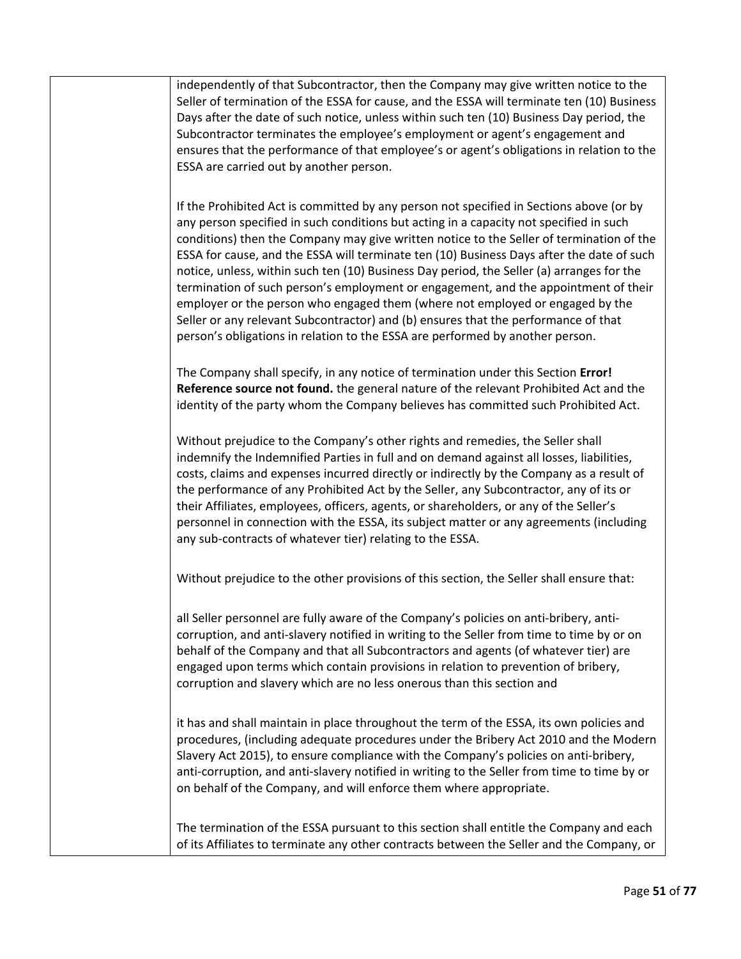independently of that Subcontractor, then the Company may give written notice to the Seller of termination of the ESSA for cause, and the ESSA will terminate ten (10) Business Days after the date of such notice, unless within such ten (10) Business Day period, the Subcontractor terminates the employee's employment or agent's engagement and ensures that the performance of that employee's or agent's obligations in relation to the ESSA are carried out by another person.

If the Prohibited Act is committed by any person not specified in Sections above (or by any person specified in such conditions but acting in a capacity not specified in such conditions) then the Company may give written notice to the Seller of termination of the ESSA for cause, and the ESSA will terminate ten (10) Business Days after the date of such notice, unless, within such ten (10) Business Day period, the Seller (a) arranges for the termination of such person's employment or engagement, and the appointment of their employer or the person who engaged them (where not employed or engaged by the Seller or any relevant Subcontractor) and (b) ensures that the performance of that person's obligations in relation to the ESSA are performed by another person.

The Company shall specify, in any notice of termination under this Section **Error! Reference source not found.** the general nature of the relevant Prohibited Act and the identity of the party whom the Company believes has committed such Prohibited Act.

Without prejudice to the Company's other rights and remedies, the Seller shall indemnify the Indemnified Parties in full and on demand against all losses, liabilities, costs, claims and expenses incurred directly or indirectly by the Company as a result of the performance of any Prohibited Act by the Seller, any Subcontractor, any of its or their Affiliates, employees, officers, agents, or shareholders, or any of the Seller's personnel in connection with the ESSA, its subject matter or any agreements (including any sub-contracts of whatever tier) relating to the ESSA.

Without prejudice to the other provisions of this section, the Seller shall ensure that:

all Seller personnel are fully aware of the Company's policies on anti-bribery, anticorruption, and anti-slavery notified in writing to the Seller from time to time by or on behalf of the Company and that all Subcontractors and agents (of whatever tier) are engaged upon terms which contain provisions in relation to prevention of bribery, corruption and slavery which are no less onerous than this section and

it has and shall maintain in place throughout the term of the ESSA, its own policies and procedures, (including adequate procedures under the Bribery Act 2010 and the Modern Slavery Act 2015), to ensure compliance with the Company's policies on anti-bribery, anti-corruption, and anti-slavery notified in writing to the Seller from time to time by or on behalf of the Company, and will enforce them where appropriate.

The termination of the ESSA pursuant to this section shall entitle the Company and each of its Affiliates to terminate any other contracts between the Seller and the Company, or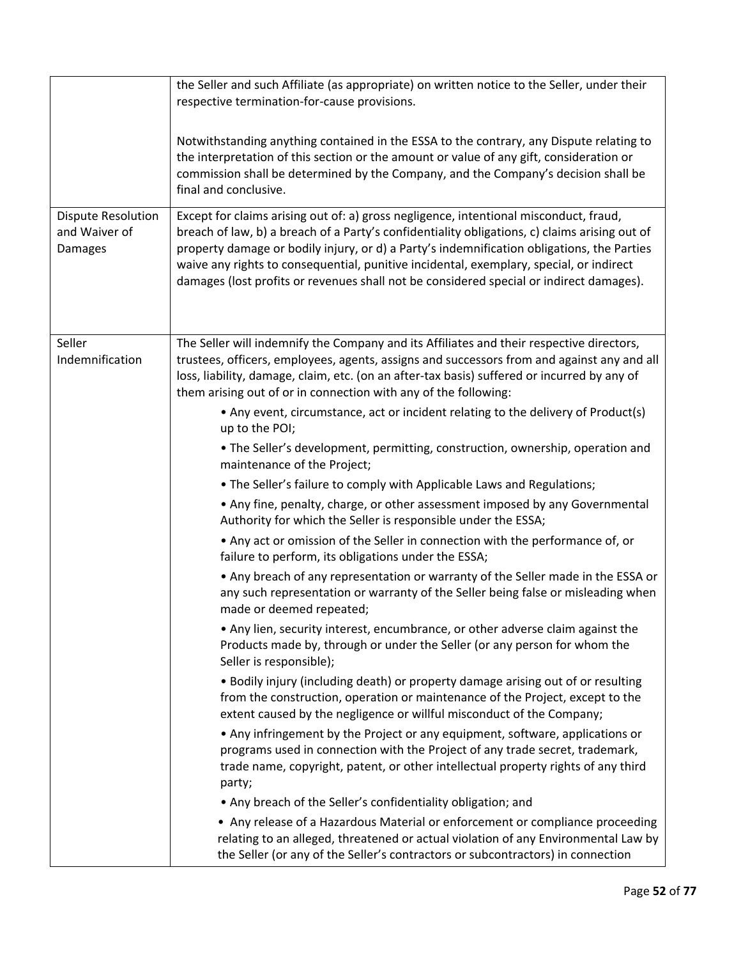|                                                              | the Seller and such Affiliate (as appropriate) on written notice to the Seller, under their<br>respective termination-for-cause provisions.                                                                                                                                                                                                                                                                                                                                |
|--------------------------------------------------------------|----------------------------------------------------------------------------------------------------------------------------------------------------------------------------------------------------------------------------------------------------------------------------------------------------------------------------------------------------------------------------------------------------------------------------------------------------------------------------|
|                                                              | Notwithstanding anything contained in the ESSA to the contrary, any Dispute relating to<br>the interpretation of this section or the amount or value of any gift, consideration or<br>commission shall be determined by the Company, and the Company's decision shall be<br>final and conclusive.                                                                                                                                                                          |
| <b>Dispute Resolution</b><br>and Waiver of<br><b>Damages</b> | Except for claims arising out of: a) gross negligence, intentional misconduct, fraud,<br>breach of law, b) a breach of a Party's confidentiality obligations, c) claims arising out of<br>property damage or bodily injury, or d) a Party's indemnification obligations, the Parties<br>waive any rights to consequential, punitive incidental, exemplary, special, or indirect<br>damages (lost profits or revenues shall not be considered special or indirect damages). |
| Seller<br>Indemnification                                    | The Seller will indemnify the Company and its Affiliates and their respective directors,<br>trustees, officers, employees, agents, assigns and successors from and against any and all<br>loss, liability, damage, claim, etc. (on an after-tax basis) suffered or incurred by any of<br>them arising out of or in connection with any of the following:                                                                                                                   |
|                                                              | • Any event, circumstance, act or incident relating to the delivery of Product(s)<br>up to the POI;                                                                                                                                                                                                                                                                                                                                                                        |
|                                                              | . The Seller's development, permitting, construction, ownership, operation and<br>maintenance of the Project;                                                                                                                                                                                                                                                                                                                                                              |
|                                                              | . The Seller's failure to comply with Applicable Laws and Regulations;                                                                                                                                                                                                                                                                                                                                                                                                     |
|                                                              | • Any fine, penalty, charge, or other assessment imposed by any Governmental<br>Authority for which the Seller is responsible under the ESSA;                                                                                                                                                                                                                                                                                                                              |
|                                                              | • Any act or omission of the Seller in connection with the performance of, or<br>failure to perform, its obligations under the ESSA;                                                                                                                                                                                                                                                                                                                                       |
|                                                              | • Any breach of any representation or warranty of the Seller made in the ESSA or<br>any such representation or warranty of the Seller being false or misleading when<br>made or deemed repeated;                                                                                                                                                                                                                                                                           |
|                                                              | • Any lien, security interest, encumbrance, or other adverse claim against the<br>Products made by, through or under the Seller (or any person for whom the<br>Seller is responsible);                                                                                                                                                                                                                                                                                     |
|                                                              | . Bodily injury (including death) or property damage arising out of or resulting<br>from the construction, operation or maintenance of the Project, except to the<br>extent caused by the negligence or willful misconduct of the Company;                                                                                                                                                                                                                                 |
|                                                              | • Any infringement by the Project or any equipment, software, applications or<br>programs used in connection with the Project of any trade secret, trademark,<br>trade name, copyright, patent, or other intellectual property rights of any third<br>party;                                                                                                                                                                                                               |
|                                                              | • Any breach of the Seller's confidentiality obligation; and                                                                                                                                                                                                                                                                                                                                                                                                               |
|                                                              | • Any release of a Hazardous Material or enforcement or compliance proceeding<br>relating to an alleged, threatened or actual violation of any Environmental Law by<br>the Seller (or any of the Seller's contractors or subcontractors) in connection                                                                                                                                                                                                                     |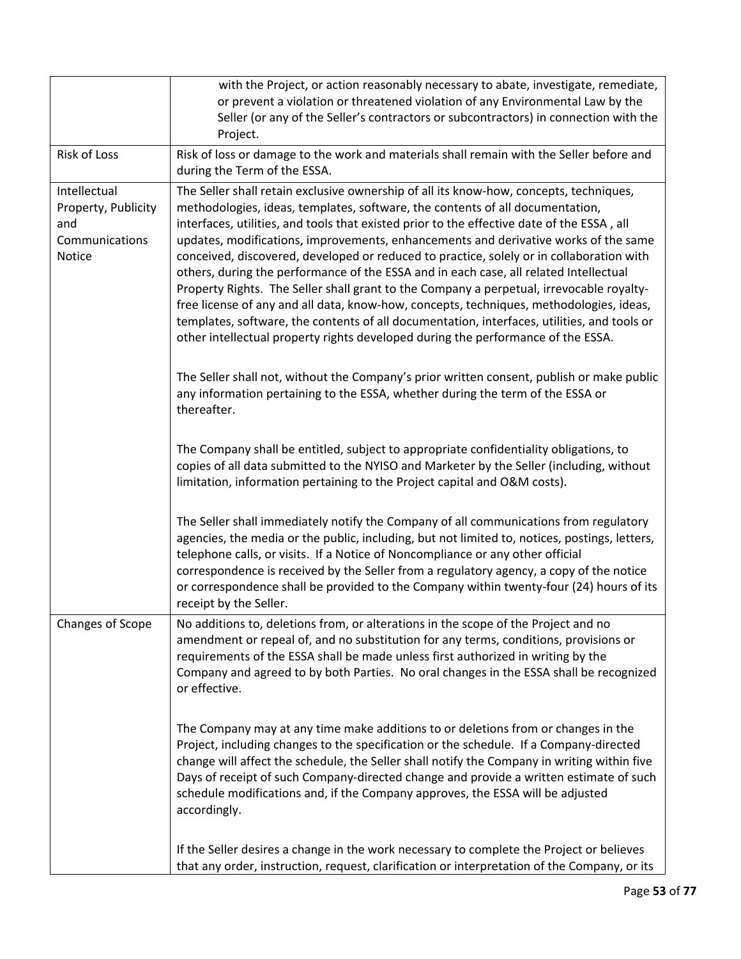|                                                                               | with the Project, or action reasonably necessary to abate, investigate, remediate,<br>or prevent a violation or threatened violation of any Environmental Law by the<br>Seller (or any of the Seller's contractors or subcontractors) in connection with the<br>Project.                                                                                                                                                                                                                                                                                                                                                                                                                                                                                                                                                                                                                                                    |
|-------------------------------------------------------------------------------|-----------------------------------------------------------------------------------------------------------------------------------------------------------------------------------------------------------------------------------------------------------------------------------------------------------------------------------------------------------------------------------------------------------------------------------------------------------------------------------------------------------------------------------------------------------------------------------------------------------------------------------------------------------------------------------------------------------------------------------------------------------------------------------------------------------------------------------------------------------------------------------------------------------------------------|
| Risk of Loss                                                                  | Risk of loss or damage to the work and materials shall remain with the Seller before and<br>during the Term of the ESSA.                                                                                                                                                                                                                                                                                                                                                                                                                                                                                                                                                                                                                                                                                                                                                                                                    |
| Intellectual<br>Property, Publicity<br>and<br>Communications<br><b>Notice</b> | The Seller shall retain exclusive ownership of all its know-how, concepts, techniques,<br>methodologies, ideas, templates, software, the contents of all documentation,<br>interfaces, utilities, and tools that existed prior to the effective date of the ESSA, all<br>updates, modifications, improvements, enhancements and derivative works of the same<br>conceived, discovered, developed or reduced to practice, solely or in collaboration with<br>others, during the performance of the ESSA and in each case, all related Intellectual<br>Property Rights. The Seller shall grant to the Company a perpetual, irrevocable royalty-<br>free license of any and all data, know-how, concepts, techniques, methodologies, ideas,<br>templates, software, the contents of all documentation, interfaces, utilities, and tools or<br>other intellectual property rights developed during the performance of the ESSA. |
|                                                                               | The Seller shall not, without the Company's prior written consent, publish or make public<br>any information pertaining to the ESSA, whether during the term of the ESSA or<br>thereafter.                                                                                                                                                                                                                                                                                                                                                                                                                                                                                                                                                                                                                                                                                                                                  |
|                                                                               | The Company shall be entitled, subject to appropriate confidentiality obligations, to<br>copies of all data submitted to the NYISO and Marketer by the Seller (including, without<br>limitation, information pertaining to the Project capital and O&M costs).                                                                                                                                                                                                                                                                                                                                                                                                                                                                                                                                                                                                                                                              |
|                                                                               | The Seller shall immediately notify the Company of all communications from regulatory<br>agencies, the media or the public, including, but not limited to, notices, postings, letters,<br>telephone calls, or visits. If a Notice of Noncompliance or any other official<br>correspondence is received by the Seller from a regulatory agency, a copy of the notice<br>or correspondence shall be provided to the Company within twenty-four (24) hours of its<br>receipt by the Seller.                                                                                                                                                                                                                                                                                                                                                                                                                                    |
| Changes of Scope                                                              | No additions to, deletions from, or alterations in the scope of the Project and no<br>amendment or repeal of, and no substitution for any terms, conditions, provisions or<br>requirements of the ESSA shall be made unless first authorized in writing by the<br>Company and agreed to by both Parties. No oral changes in the ESSA shall be recognized<br>or effective.                                                                                                                                                                                                                                                                                                                                                                                                                                                                                                                                                   |
|                                                                               | The Company may at any time make additions to or deletions from or changes in the<br>Project, including changes to the specification or the schedule. If a Company-directed<br>change will affect the schedule, the Seller shall notify the Company in writing within five<br>Days of receipt of such Company-directed change and provide a written estimate of such<br>schedule modifications and, if the Company approves, the ESSA will be adjusted<br>accordingly.                                                                                                                                                                                                                                                                                                                                                                                                                                                      |
|                                                                               | If the Seller desires a change in the work necessary to complete the Project or believes<br>that any order, instruction, request, clarification or interpretation of the Company, or its                                                                                                                                                                                                                                                                                                                                                                                                                                                                                                                                                                                                                                                                                                                                    |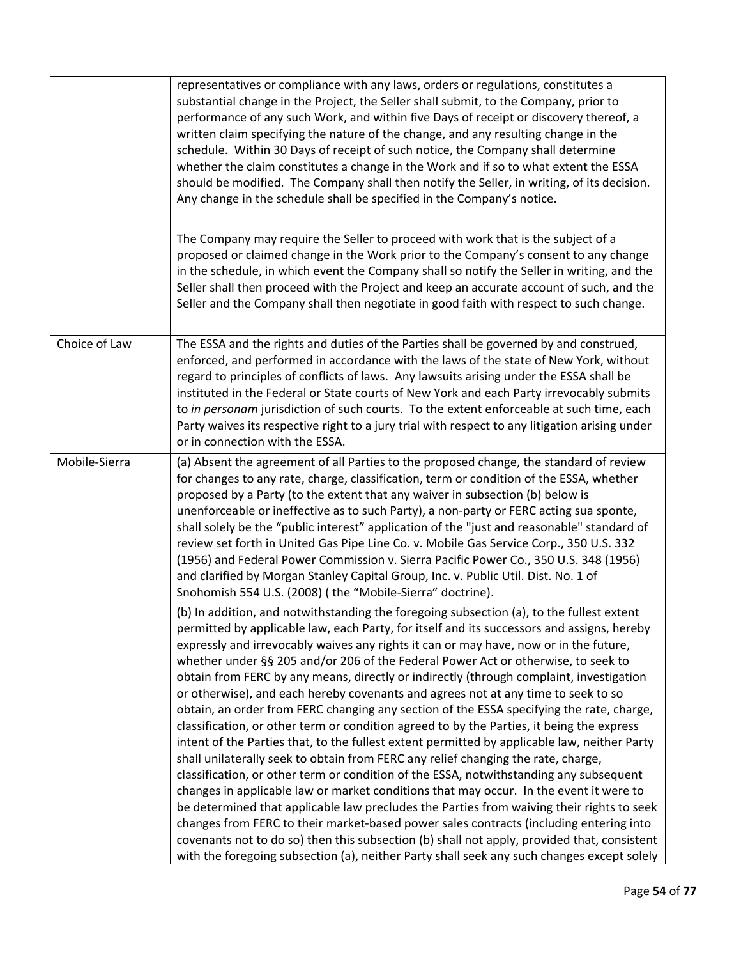| representatives or compliance with any laws, orders or regulations, constitutes a<br>substantial change in the Project, the Seller shall submit, to the Company, prior to<br>performance of any such Work, and within five Days of receipt or discovery thereof, a<br>written claim specifying the nature of the change, and any resulting change in the<br>schedule. Within 30 Days of receipt of such notice, the Company shall determine<br>whether the claim constitutes a change in the Work and if so to what extent the ESSA<br>should be modified. The Company shall then notify the Seller, in writing, of its decision.<br>Any change in the schedule shall be specified in the Company's notice.<br>The Company may require the Seller to proceed with work that is the subject of a<br>proposed or claimed change in the Work prior to the Company's consent to any change<br>in the schedule, in which event the Company shall so notify the Seller in writing, and the<br>Seller shall then proceed with the Project and keep an accurate account of such, and the<br>Seller and the Company shall then negotiate in good faith with respect to such change.                                                                                                                                                                                                                                                                                                                                                                                                                                                                                                                                                                                                                                                                                                                                                                                                                                                                                                                                       |
|------------------------------------------------------------------------------------------------------------------------------------------------------------------------------------------------------------------------------------------------------------------------------------------------------------------------------------------------------------------------------------------------------------------------------------------------------------------------------------------------------------------------------------------------------------------------------------------------------------------------------------------------------------------------------------------------------------------------------------------------------------------------------------------------------------------------------------------------------------------------------------------------------------------------------------------------------------------------------------------------------------------------------------------------------------------------------------------------------------------------------------------------------------------------------------------------------------------------------------------------------------------------------------------------------------------------------------------------------------------------------------------------------------------------------------------------------------------------------------------------------------------------------------------------------------------------------------------------------------------------------------------------------------------------------------------------------------------------------------------------------------------------------------------------------------------------------------------------------------------------------------------------------------------------------------------------------------------------------------------------------------------------------------------------------------------------------------------------------------------|
| The ESSA and the rights and duties of the Parties shall be governed by and construed,<br>enforced, and performed in accordance with the laws of the state of New York, without<br>regard to principles of conflicts of laws. Any lawsuits arising under the ESSA shall be<br>instituted in the Federal or State courts of New York and each Party irrevocably submits<br>to in personam jurisdiction of such courts. To the extent enforceable at such time, each<br>Party waives its respective right to a jury trial with respect to any litigation arising under<br>or in connection with the ESSA.                                                                                                                                                                                                                                                                                                                                                                                                                                                                                                                                                                                                                                                                                                                                                                                                                                                                                                                                                                                                                                                                                                                                                                                                                                                                                                                                                                                                                                                                                                           |
| (a) Absent the agreement of all Parties to the proposed change, the standard of review<br>for changes to any rate, charge, classification, term or condition of the ESSA, whether<br>proposed by a Party (to the extent that any waiver in subsection (b) below is<br>unenforceable or ineffective as to such Party), a non-party or FERC acting sua sponte,<br>shall solely be the "public interest" application of the "just and reasonable" standard of<br>review set forth in United Gas Pipe Line Co. v. Mobile Gas Service Corp., 350 U.S. 332<br>(1956) and Federal Power Commission v. Sierra Pacific Power Co., 350 U.S. 348 (1956)<br>and clarified by Morgan Stanley Capital Group, Inc. v. Public Util. Dist. No. 1 of<br>Snohomish 554 U.S. (2008) (the "Mobile-Sierra" doctrine).<br>(b) In addition, and notwithstanding the foregoing subsection (a), to the fullest extent<br>permitted by applicable law, each Party, for itself and its successors and assigns, hereby<br>expressly and irrevocably waives any rights it can or may have, now or in the future,<br>whether under §§ 205 and/or 206 of the Federal Power Act or otherwise, to seek to<br>obtain from FERC by any means, directly or indirectly (through complaint, investigation<br>or otherwise), and each hereby covenants and agrees not at any time to seek to so<br>obtain, an order from FERC changing any section of the ESSA specifying the rate, charge,<br>classification, or other term or condition agreed to by the Parties, it being the express<br>intent of the Parties that, to the fullest extent permitted by applicable law, neither Party<br>shall unilaterally seek to obtain from FERC any relief changing the rate, charge,<br>classification, or other term or condition of the ESSA, notwithstanding any subsequent<br>changes in applicable law or market conditions that may occur. In the event it were to<br>be determined that applicable law precludes the Parties from waiving their rights to seek<br>changes from FERC to their market-based power sales contracts (including entering into |
|                                                                                                                                                                                                                                                                                                                                                                                                                                                                                                                                                                                                                                                                                                                                                                                                                                                                                                                                                                                                                                                                                                                                                                                                                                                                                                                                                                                                                                                                                                                                                                                                                                                                                                                                                                                                                                                                                                                                                                                                                                                                                                                  |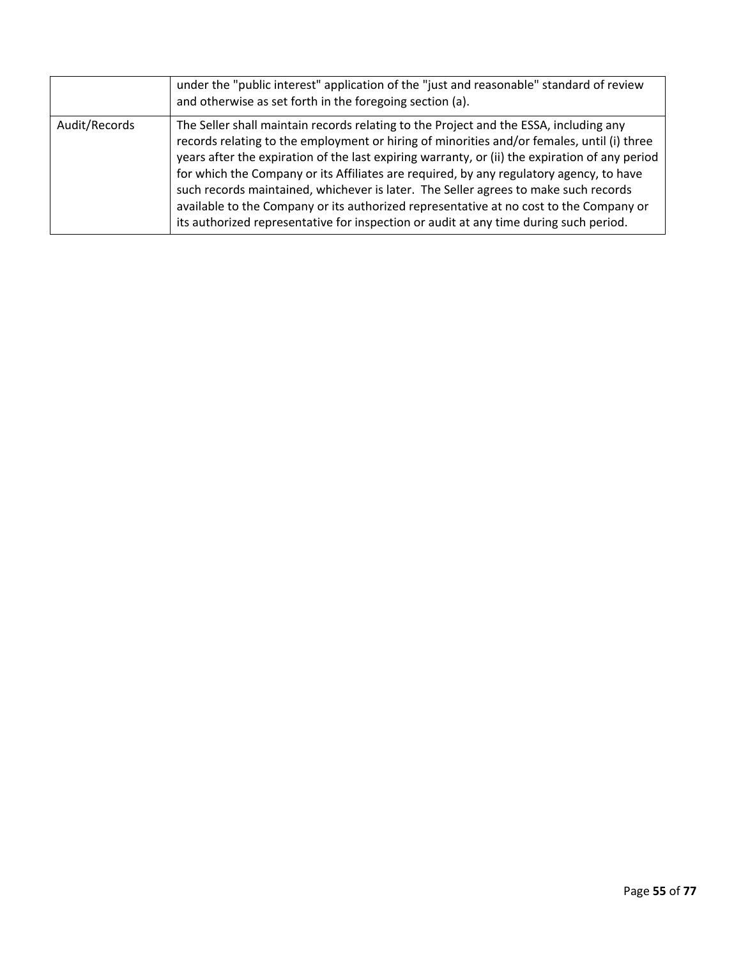|               | under the "public interest" application of the "just and reasonable" standard of review<br>and otherwise as set forth in the foregoing section (a).                                                                                                                                                                                                                                                                                                                                                                                                                                                                                                        |
|---------------|------------------------------------------------------------------------------------------------------------------------------------------------------------------------------------------------------------------------------------------------------------------------------------------------------------------------------------------------------------------------------------------------------------------------------------------------------------------------------------------------------------------------------------------------------------------------------------------------------------------------------------------------------------|
| Audit/Records | The Seller shall maintain records relating to the Project and the ESSA, including any<br>records relating to the employment or hiring of minorities and/or females, until (i) three<br>years after the expiration of the last expiring warranty, or (ii) the expiration of any period<br>for which the Company or its Affiliates are required, by any regulatory agency, to have<br>such records maintained, whichever is later. The Seller agrees to make such records<br>available to the Company or its authorized representative at no cost to the Company or<br>its authorized representative for inspection or audit at any time during such period. |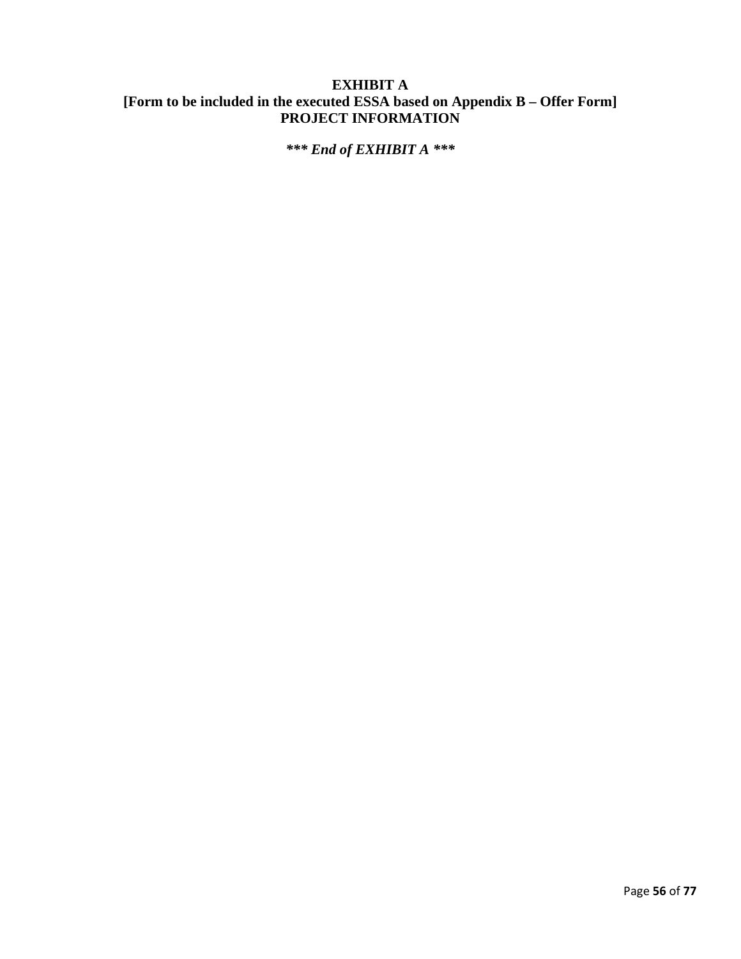# **EXHIBIT A [Form to be included in the executed ESSA based on Appendix B – Offer Form] PROJECT INFORMATION**

*\*\*\* End of EXHIBIT A \*\*\**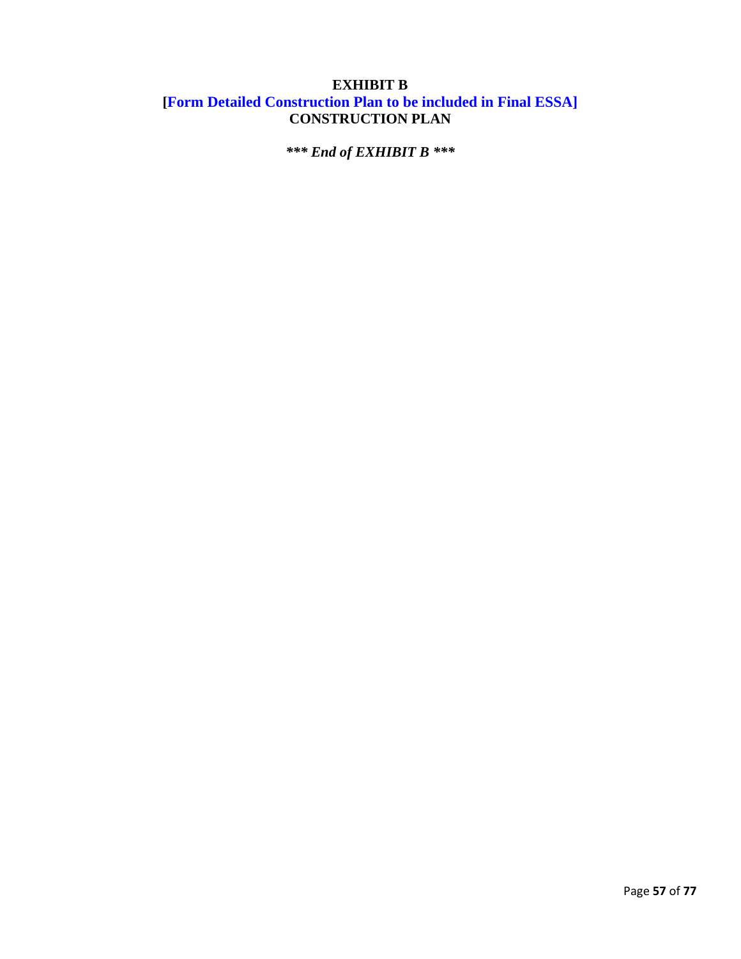# **EXHIBIT B [Form Detailed Construction Plan to be included in Final ESSA] CONSTRUCTION PLAN**

*\*\*\* End of EXHIBIT B \*\*\**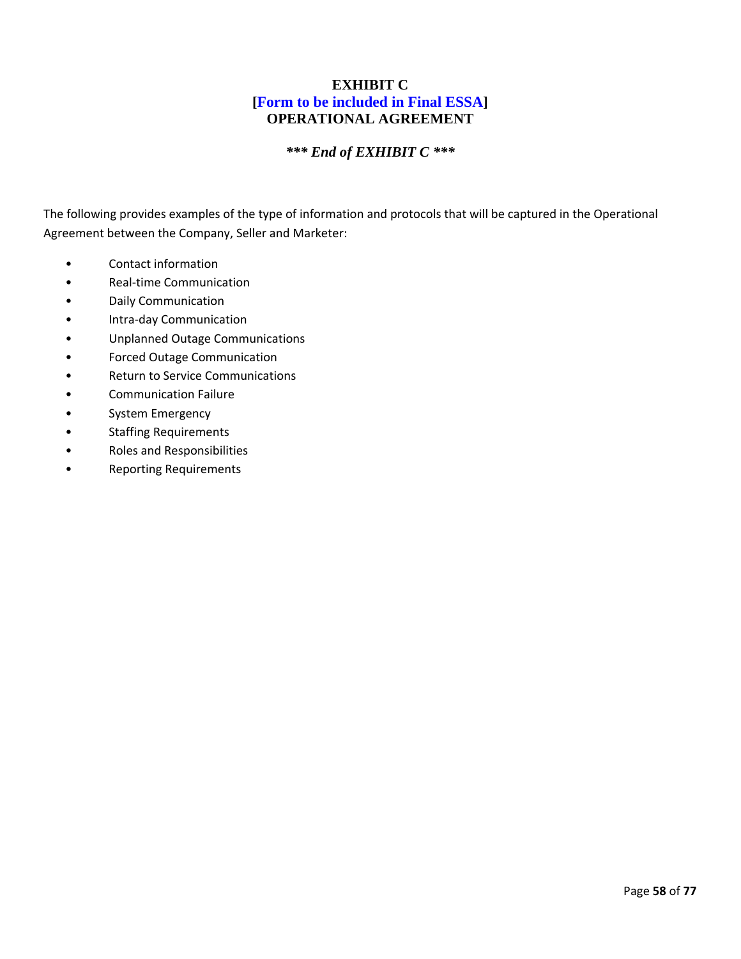### **EXHIBIT C [Form to be included in Final ESSA] OPERATIONAL AGREEMENT**

### *\*\*\* End of EXHIBIT C \*\*\**

The following provides examples of the type of information and protocols that will be captured in the Operational Agreement between the Company, Seller and Marketer:

- Contact information
- Real-time Communication
- Daily Communication
- Intra-day Communication
- Unplanned Outage Communications
- Forced Outage Communication
- Return to Service Communications
- Communication Failure
- System Emergency
- Staffing Requirements
- Roles and Responsibilities
- Reporting Requirements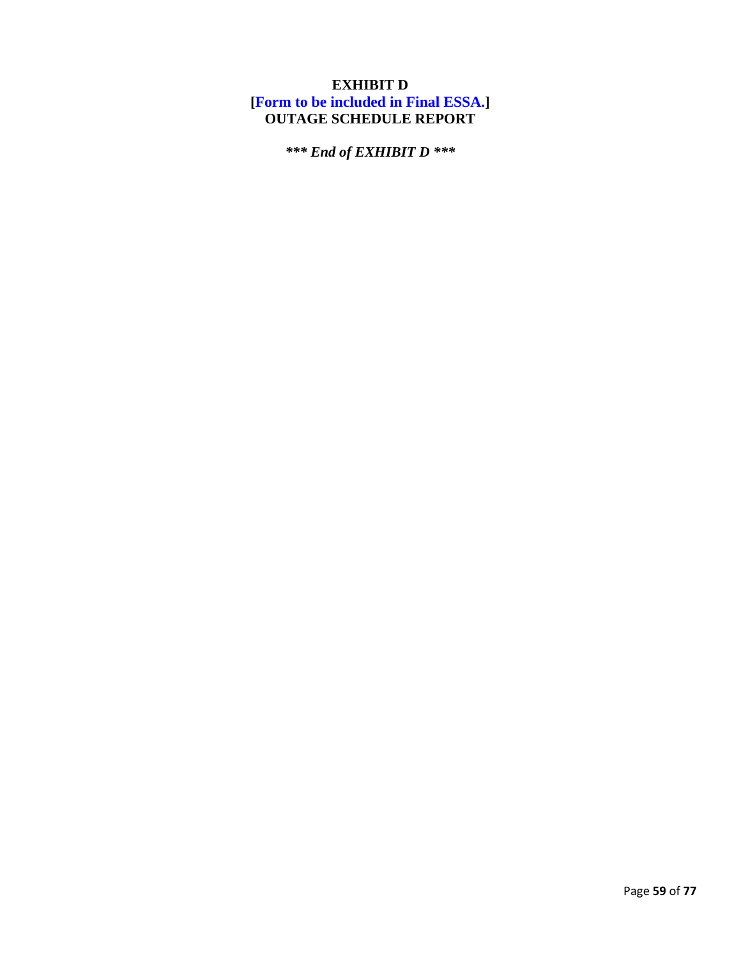# **EXHIBIT D [Form to be included in Final ESSA.] OUTAGE SCHEDULE REPORT**

*\*\*\* End of EXHIBIT D \*\*\**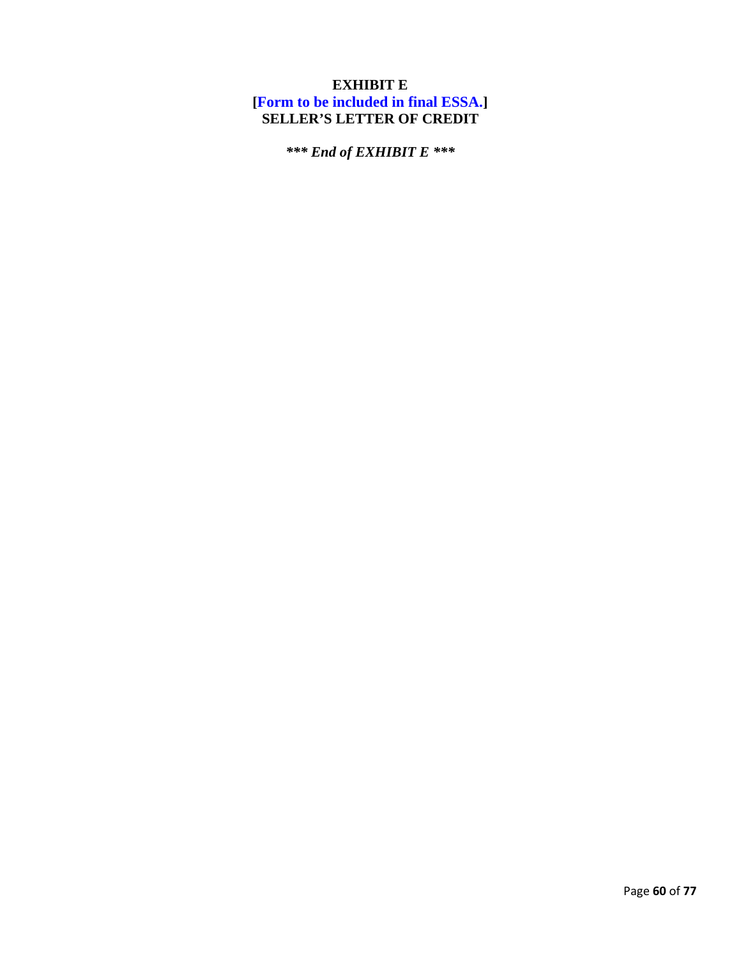# **EXHIBIT E [Form to be included in final ESSA.] SELLER'S LETTER OF CREDIT**

*\*\*\* End of EXHIBIT E \*\*\**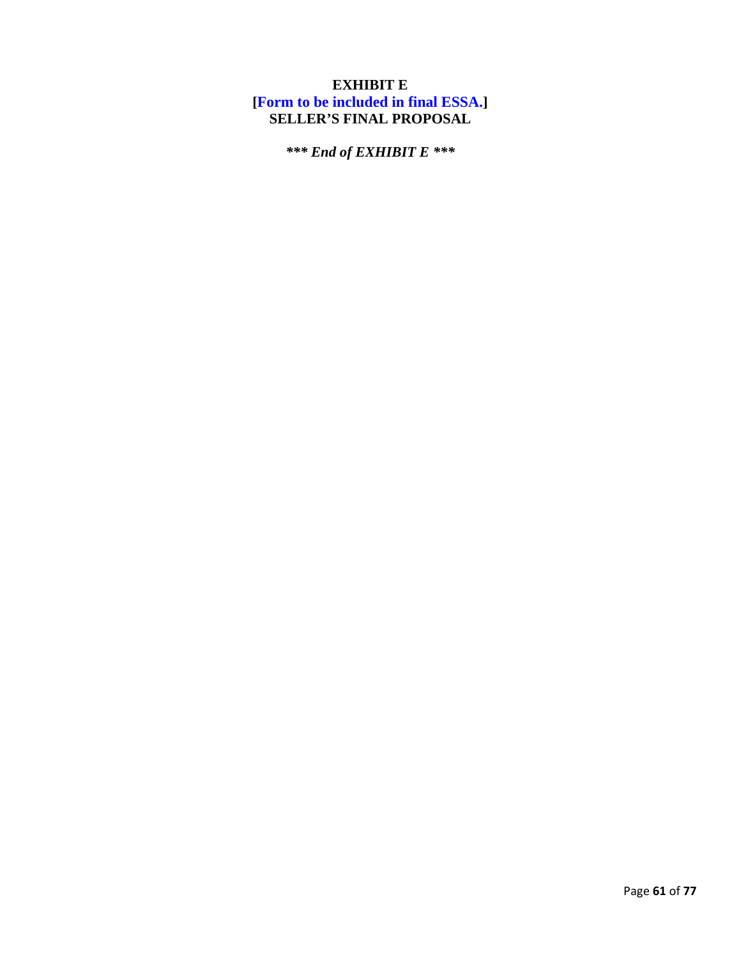# **EXHIBIT E [Form to be included in final ESSA.] SELLER'S FINAL PROPOSAL**

*\*\*\* End of EXHIBIT E \*\*\**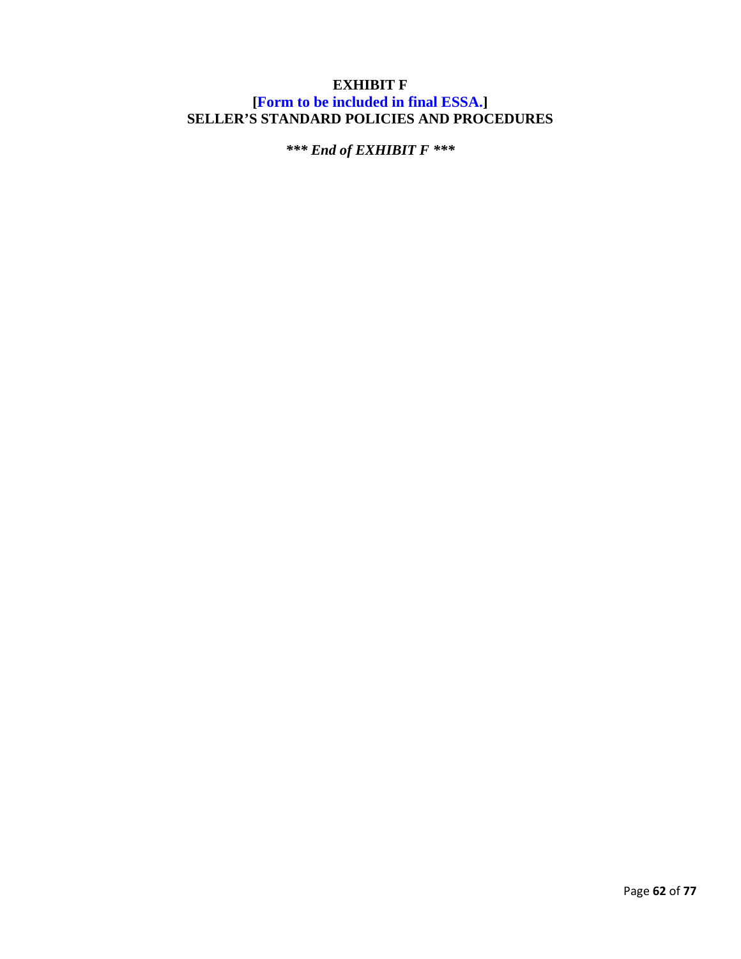### **EXHIBIT F [Form to be included in final ESSA.] SELLER'S STANDARD POLICIES AND PROCEDURES**

*\*\*\* End of EXHIBIT F \*\*\**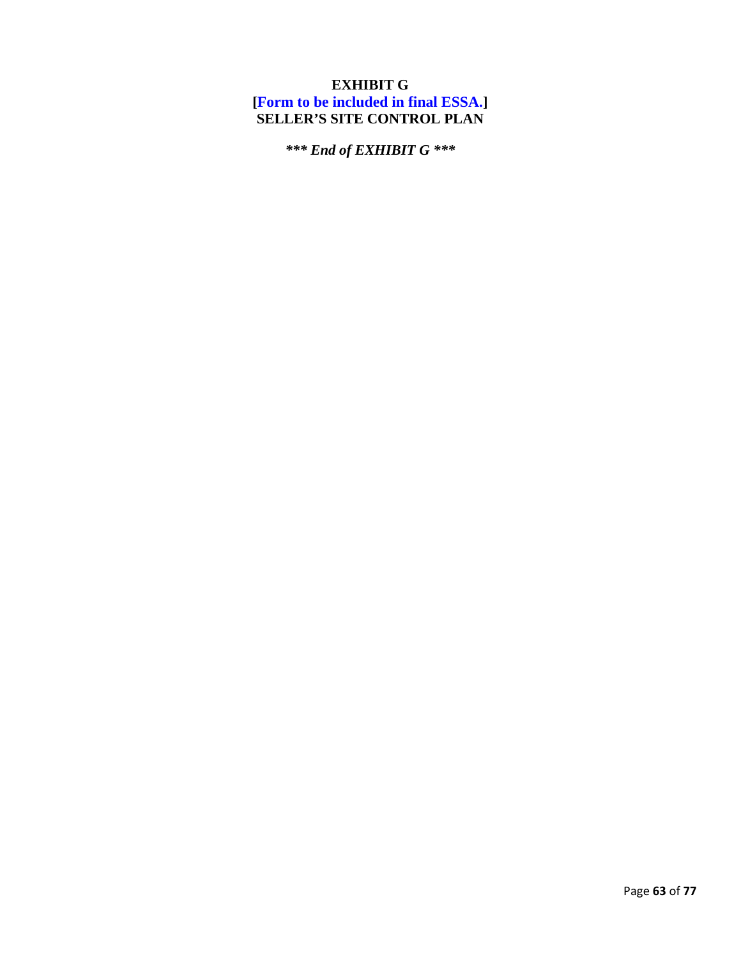# **EXHIBIT G [Form to be included in final ESSA.] SELLER'S SITE CONTROL PLAN**

*\*\*\* End of EXHIBIT G \*\*\**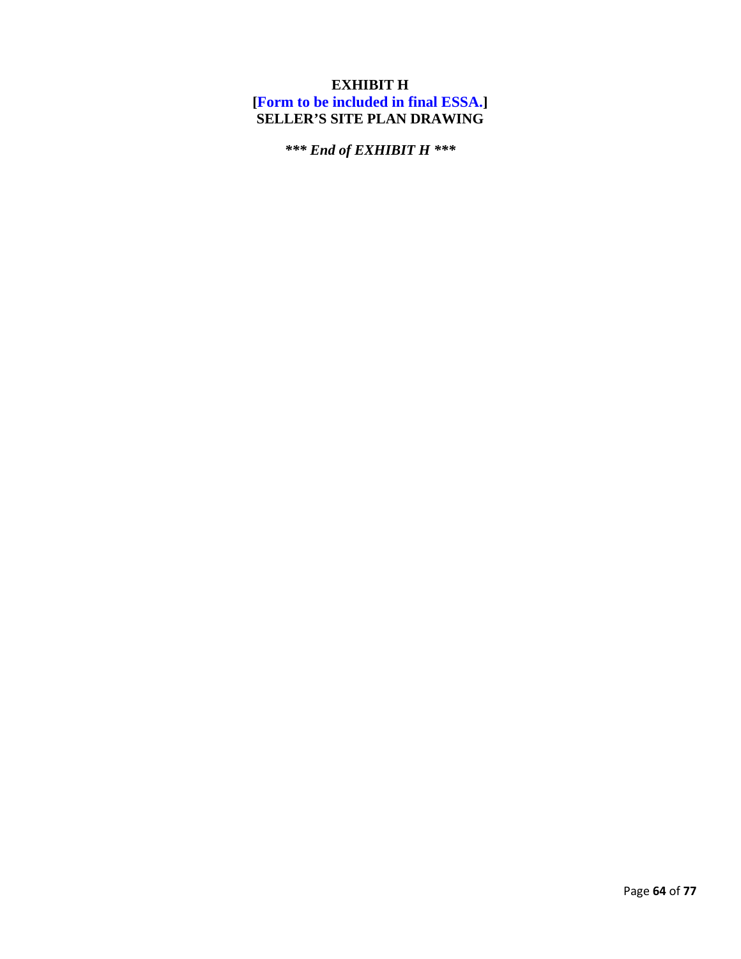# **EXHIBIT H [Form to be included in final ESSA.] SELLER'S SITE PLAN DRAWING**

*\*\*\* End of EXHIBIT H \*\*\**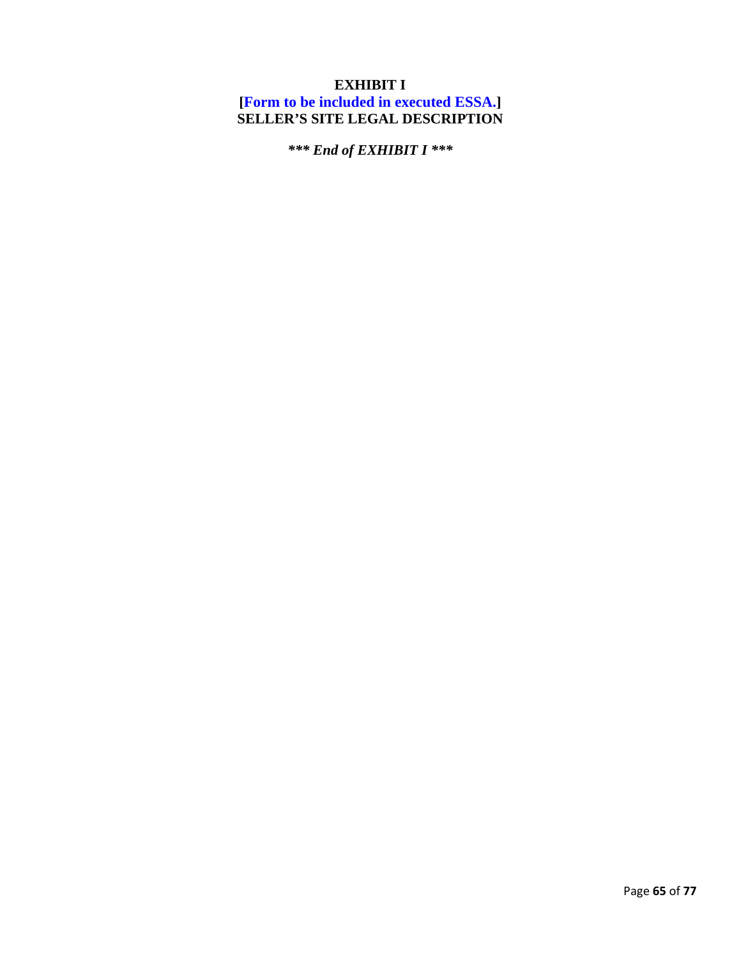# **EXHIBIT I**

**[Form to be included in executed ESSA.] SELLER'S SITE LEGAL DESCRIPTION** 

*\*\*\* End of EXHIBIT I \*\*\**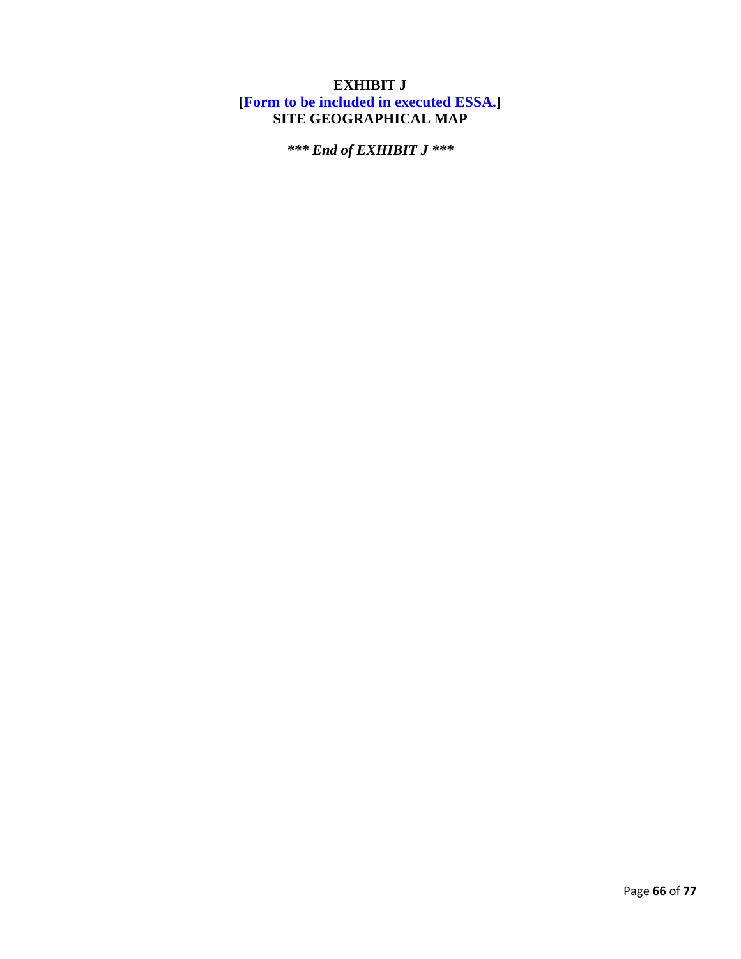# **EXHIBIT J [Form to be included in executed ESSA.] SITE GEOGRAPHICAL MAP**

*\*\*\* End of EXHIBIT J \*\*\**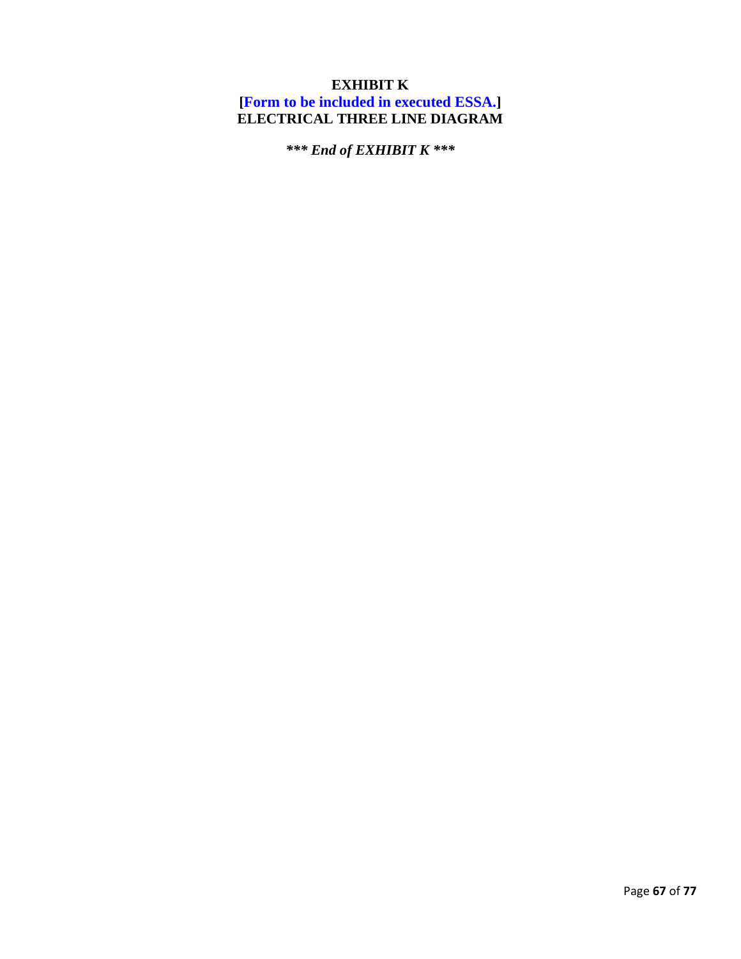# **EXHIBIT K**

**[Form to be included in executed ESSA.] ELECTRICAL THREE LINE DIAGRAM** 

*\*\*\* End of EXHIBIT K \*\*\**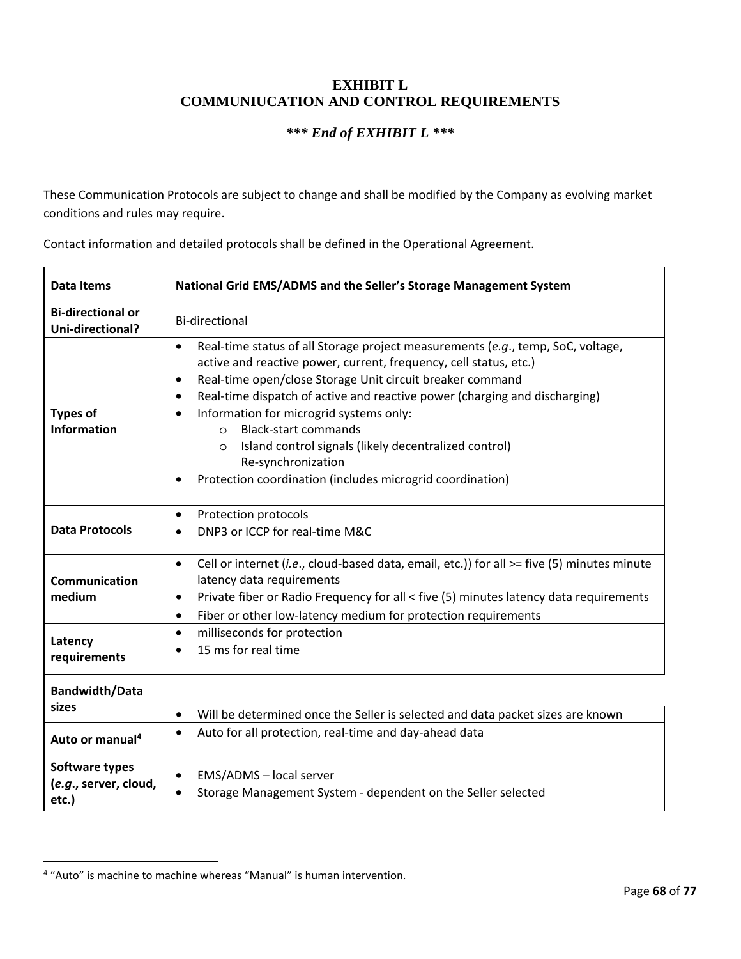### **EXHIBIT L COMMUNIUCATION AND CONTROL REQUIREMENTS**

### *\*\*\* End of EXHIBIT L \*\*\**

These Communication Protocols are subject to change and shall be modified by the Company as evolving market conditions and rules may require.

Contact information and detailed protocols shall be defined in the Operational Agreement.

| <b>Data Items</b>                                             | National Grid EMS/ADMS and the Seller's Storage Management System                                                                                                                                                                                                                                                                                                                                                                                                                                                                                                                                             |
|---------------------------------------------------------------|---------------------------------------------------------------------------------------------------------------------------------------------------------------------------------------------------------------------------------------------------------------------------------------------------------------------------------------------------------------------------------------------------------------------------------------------------------------------------------------------------------------------------------------------------------------------------------------------------------------|
| <b>Bi-directional or</b><br>Uni-directional?                  | <b>Bi-directional</b>                                                                                                                                                                                                                                                                                                                                                                                                                                                                                                                                                                                         |
| <b>Types of</b><br><b>Information</b>                         | Real-time status of all Storage project measurements (e.g., temp, SoC, voltage,<br>$\bullet$<br>active and reactive power, current, frequency, cell status, etc.)<br>Real-time open/close Storage Unit circuit breaker command<br>$\bullet$<br>Real-time dispatch of active and reactive power (charging and discharging)<br>$\bullet$<br>Information for microgrid systems only:<br>$\bullet$<br><b>Black-start commands</b><br>$\Omega$<br>Island control signals (likely decentralized control)<br>$\circ$<br>Re-synchronization<br>Protection coordination (includes microgrid coordination)<br>$\bullet$ |
| <b>Data Protocols</b>                                         | Protection protocols<br>$\bullet$<br>DNP3 or ICCP for real-time M&C                                                                                                                                                                                                                                                                                                                                                                                                                                                                                                                                           |
| Communication<br>medium                                       | Cell or internet (i.e., cloud-based data, email, etc.)) for all $\geq$ = five (5) minutes minute<br>$\bullet$<br>latency data requirements<br>Private fiber or Radio Frequency for all < five (5) minutes latency data requirements<br>$\bullet$<br>Fiber or other low-latency medium for protection requirements<br>$\bullet$                                                                                                                                                                                                                                                                                |
| Latency<br>requirements                                       | milliseconds for protection<br>$\bullet$<br>15 ms for real time<br>$\bullet$                                                                                                                                                                                                                                                                                                                                                                                                                                                                                                                                  |
| <b>Bandwidth/Data</b><br>sizes<br>Auto or manual <sup>4</sup> | Will be determined once the Seller is selected and data packet sizes are known<br>$\bullet$<br>Auto for all protection, real-time and day-ahead data<br>$\bullet$                                                                                                                                                                                                                                                                                                                                                                                                                                             |
| Software types<br>(e.g., server, cloud,<br>etc.)              | EMS/ADMS - local server<br>٠<br>Storage Management System - dependent on the Seller selected                                                                                                                                                                                                                                                                                                                                                                                                                                                                                                                  |

 4 "Auto" is machine to machine whereas "Manual" is human intervention.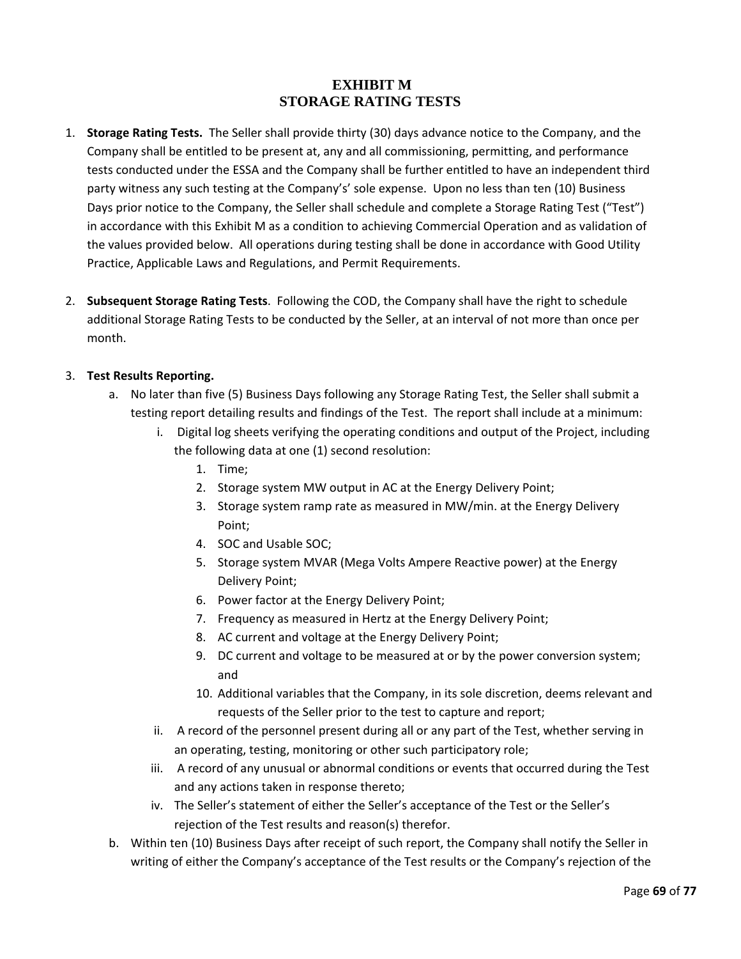# **EXHIBIT M STORAGE RATING TESTS**

- 1. **Storage Rating Tests.** The Seller shall provide thirty (30) days advance notice to the Company, and the Company shall be entitled to be present at, any and all commissioning, permitting, and performance tests conducted under the ESSA and the Company shall be further entitled to have an independent third party witness any such testing at the Company's' sole expense. Upon no less than ten (10) Business Days prior notice to the Company, the Seller shall schedule and complete a Storage Rating Test ("Test") in accordance with this Exhibit M as a condition to achieving Commercial Operation and as validation of the values provided below. All operations during testing shall be done in accordance with Good Utility Practice, Applicable Laws and Regulations, and Permit Requirements.
- 2. **Subsequent Storage Rating Tests**. Following the COD, the Company shall have the right to schedule additional Storage Rating Tests to be conducted by the Seller, at an interval of not more than once per month.

### 3. **Test Results Reporting.**

- a. No later than five (5) Business Days following any Storage Rating Test, the Seller shall submit a testing report detailing results and findings of the Test. The report shall include at a minimum:
	- i. Digital log sheets verifying the operating conditions and output of the Project, including the following data at one (1) second resolution:
		- 1. Time;
		- 2. Storage system MW output in AC at the Energy Delivery Point;
		- 3. Storage system ramp rate as measured in MW/min. at the Energy Delivery Point;
		- 4. SOC and Usable SOC;
		- 5. Storage system MVAR (Mega Volts Ampere Reactive power) at the Energy Delivery Point;
		- 6. Power factor at the Energy Delivery Point;
		- 7. Frequency as measured in Hertz at the Energy Delivery Point;
		- 8. AC current and voltage at the Energy Delivery Point;
		- 9. DC current and voltage to be measured at or by the power conversion system; and
		- 10. Additional variables that the Company, in its sole discretion, deems relevant and requests of the Seller prior to the test to capture and report;
	- ii. A record of the personnel present during all or any part of the Test, whether serving in an operating, testing, monitoring or other such participatory role;
	- iii. A record of any unusual or abnormal conditions or events that occurred during the Test and any actions taken in response thereto;
	- iv. The Seller's statement of either the Seller's acceptance of the Test or the Seller's rejection of the Test results and reason(s) therefor.
- b. Within ten (10) Business Days after receipt of such report, the Company shall notify the Seller in writing of either the Company's acceptance of the Test results or the Company's rejection of the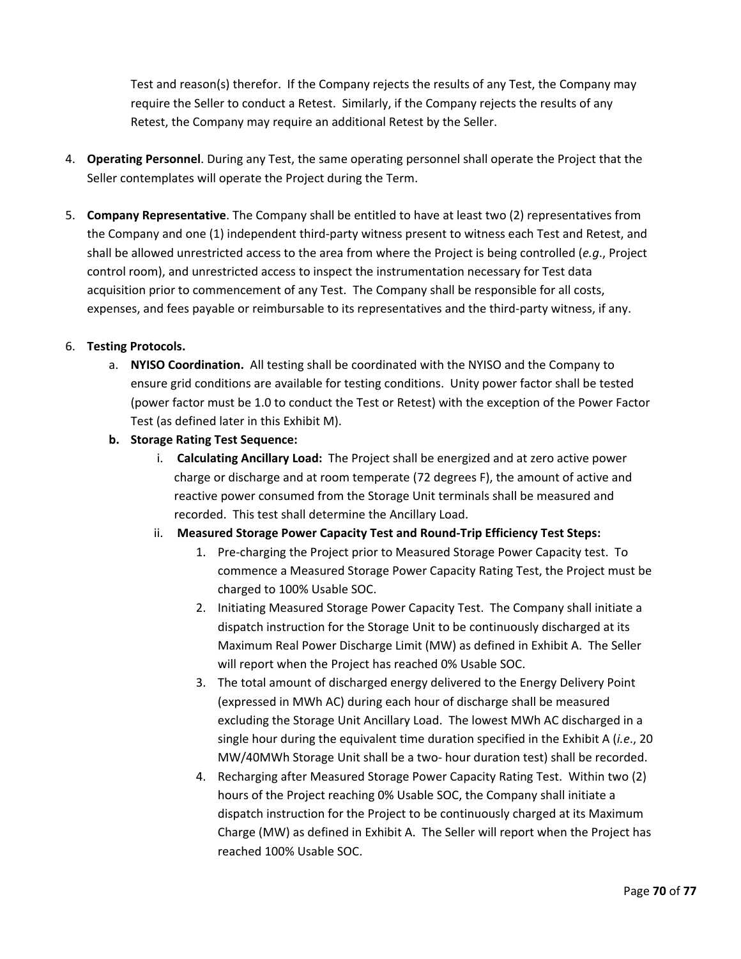Test and reason(s) therefor. If the Company rejects the results of any Test, the Company may require the Seller to conduct a Retest. Similarly, if the Company rejects the results of any Retest, the Company may require an additional Retest by the Seller.

- 4. **Operating Personnel**. During any Test, the same operating personnel shall operate the Project that the Seller contemplates will operate the Project during the Term.
- 5. **Company Representative**. The Company shall be entitled to have at least two (2) representatives from the Company and one (1) independent third-party witness present to witness each Test and Retest, and shall be allowed unrestricted access to the area from where the Project is being controlled (*e.g*., Project control room), and unrestricted access to inspect the instrumentation necessary for Test data acquisition prior to commencement of any Test. The Company shall be responsible for all costs, expenses, and fees payable or reimbursable to its representatives and the third-party witness, if any.

### 6. **Testing Protocols.**

- a. **NYISO Coordination.** All testing shall be coordinated with the NYISO and the Company to ensure grid conditions are available for testing conditions. Unity power factor shall be tested (power factor must be 1.0 to conduct the Test or Retest) with the exception of the Power Factor Test (as defined later in this Exhibit M).
- **b. Storage Rating Test Sequence:** 
	- i. **Calculating Ancillary Load:** The Project shall be energized and at zero active power charge or discharge and at room temperate (72 degrees F), the amount of active and reactive power consumed from the Storage Unit terminals shall be measured and recorded. This test shall determine the Ancillary Load.
	- ii. **Measured Storage Power Capacity Test and Round-Trip Efficiency Test Steps:** 
		- 1. Pre-charging the Project prior to Measured Storage Power Capacity test. To commence a Measured Storage Power Capacity Rating Test, the Project must be charged to 100% Usable SOC.
		- 2. Initiating Measured Storage Power Capacity Test. The Company shall initiate a dispatch instruction for the Storage Unit to be continuously discharged at its Maximum Real Power Discharge Limit (MW) as defined in Exhibit A. The Seller will report when the Project has reached 0% Usable SOC.
		- 3. The total amount of discharged energy delivered to the Energy Delivery Point (expressed in MWh AC) during each hour of discharge shall be measured excluding the Storage Unit Ancillary Load. The lowest MWh AC discharged in a single hour during the equivalent time duration specified in the Exhibit A (*i.e*., 20 MW/40MWh Storage Unit shall be a two- hour duration test) shall be recorded.
		- 4. Recharging after Measured Storage Power Capacity Rating Test. Within two (2) hours of the Project reaching 0% Usable SOC, the Company shall initiate a dispatch instruction for the Project to be continuously charged at its Maximum Charge (MW) as defined in Exhibit A. The Seller will report when the Project has reached 100% Usable SOC.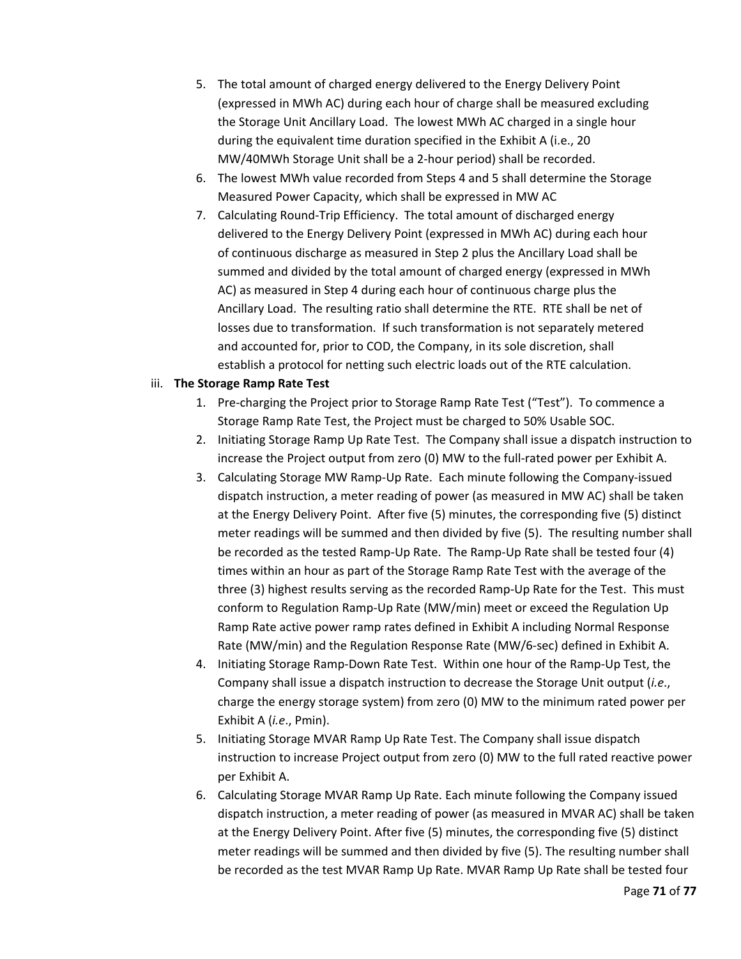- 5. The total amount of charged energy delivered to the Energy Delivery Point (expressed in MWh AC) during each hour of charge shall be measured excluding the Storage Unit Ancillary Load. The lowest MWh AC charged in a single hour during the equivalent time duration specified in the Exhibit A (i.e., 20 MW/40MWh Storage Unit shall be a 2-hour period) shall be recorded.
- 6. The lowest MWh value recorded from Steps 4 and 5 shall determine the Storage Measured Power Capacity, which shall be expressed in MW AC
- 7. Calculating Round-Trip Efficiency. The total amount of discharged energy delivered to the Energy Delivery Point (expressed in MWh AC) during each hour of continuous discharge as measured in Step 2 plus the Ancillary Load shall be summed and divided by the total amount of charged energy (expressed in MWh AC) as measured in Step 4 during each hour of continuous charge plus the Ancillary Load. The resulting ratio shall determine the RTE. RTE shall be net of losses due to transformation. If such transformation is not separately metered and accounted for, prior to COD, the Company, in its sole discretion, shall establish a protocol for netting such electric loads out of the RTE calculation.

### iii. **The Storage Ramp Rate Test**

- 1. Pre-charging the Project prior to Storage Ramp Rate Test ("Test"). To commence a Storage Ramp Rate Test, the Project must be charged to 50% Usable SOC.
- 2. Initiating Storage Ramp Up Rate Test. The Company shall issue a dispatch instruction to increase the Project output from zero (0) MW to the full-rated power per Exhibit A.
- 3. Calculating Storage MW Ramp-Up Rate. Each minute following the Company-issued dispatch instruction, a meter reading of power (as measured in MW AC) shall be taken at the Energy Delivery Point. After five (5) minutes, the corresponding five (5) distinct meter readings will be summed and then divided by five (5). The resulting number shall be recorded as the tested Ramp-Up Rate. The Ramp-Up Rate shall be tested four (4) times within an hour as part of the Storage Ramp Rate Test with the average of the three (3) highest results serving as the recorded Ramp-Up Rate for the Test. This must conform to Regulation Ramp-Up Rate (MW/min) meet or exceed the Regulation Up Ramp Rate active power ramp rates defined in Exhibit A including Normal Response Rate (MW/min) and the Regulation Response Rate (MW/6-sec) defined in Exhibit A.
- 4. Initiating Storage Ramp-Down Rate Test. Within one hour of the Ramp-Up Test, the Company shall issue a dispatch instruction to decrease the Storage Unit output (*i.e*., charge the energy storage system) from zero (0) MW to the minimum rated power per Exhibit A (*i.e*., Pmin).
- 5. Initiating Storage MVAR Ramp Up Rate Test. The Company shall issue dispatch instruction to increase Project output from zero (0) MW to the full rated reactive power per Exhibit A.
- 6. Calculating Storage MVAR Ramp Up Rate. Each minute following the Company issued dispatch instruction, a meter reading of power (as measured in MVAR AC) shall be taken at the Energy Delivery Point. After five (5) minutes, the corresponding five (5) distinct meter readings will be summed and then divided by five (5). The resulting number shall be recorded as the test MVAR Ramp Up Rate. MVAR Ramp Up Rate shall be tested four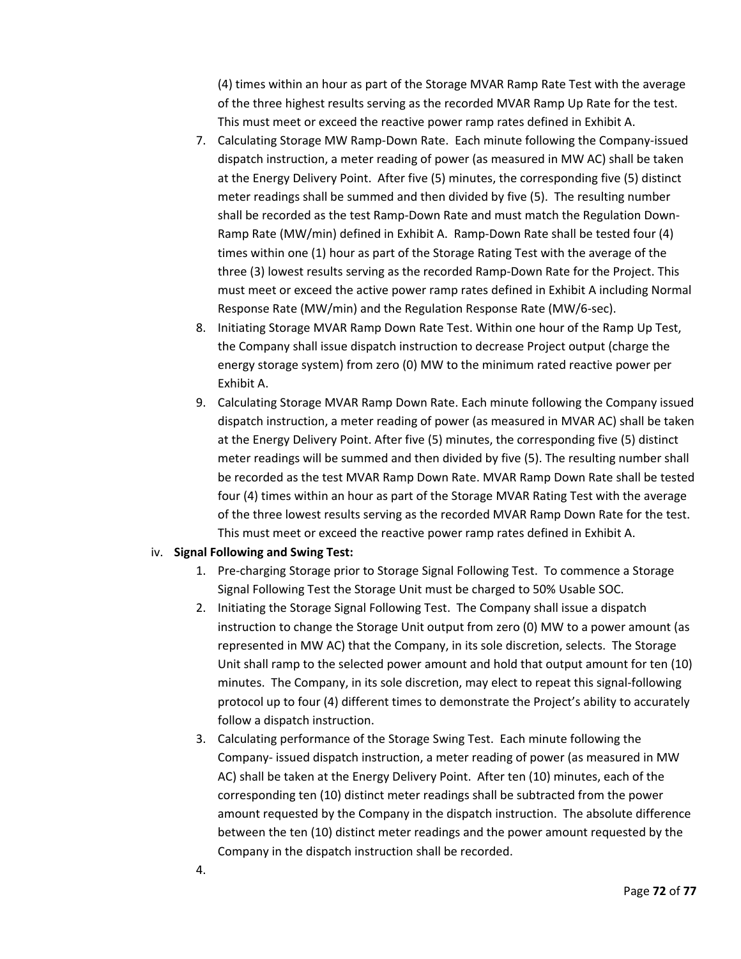(4) times within an hour as part of the Storage MVAR Ramp Rate Test with the average of the three highest results serving as the recorded MVAR Ramp Up Rate for the test. This must meet or exceed the reactive power ramp rates defined in Exhibit A.

- 7. Calculating Storage MW Ramp-Down Rate. Each minute following the Company-issued dispatch instruction, a meter reading of power (as measured in MW AC) shall be taken at the Energy Delivery Point. After five (5) minutes, the corresponding five (5) distinct meter readings shall be summed and then divided by five (5). The resulting number shall be recorded as the test Ramp-Down Rate and must match the Regulation Down-Ramp Rate (MW/min) defined in Exhibit A. Ramp-Down Rate shall be tested four (4) times within one (1) hour as part of the Storage Rating Test with the average of the three (3) lowest results serving as the recorded Ramp-Down Rate for the Project. This must meet or exceed the active power ramp rates defined in Exhibit A including Normal Response Rate (MW/min) and the Regulation Response Rate (MW/6-sec).
- 8. Initiating Storage MVAR Ramp Down Rate Test. Within one hour of the Ramp Up Test, the Company shall issue dispatch instruction to decrease Project output (charge the energy storage system) from zero (0) MW to the minimum rated reactive power per Exhibit A.
- 9. Calculating Storage MVAR Ramp Down Rate. Each minute following the Company issued dispatch instruction, a meter reading of power (as measured in MVAR AC) shall be taken at the Energy Delivery Point. After five (5) minutes, the corresponding five (5) distinct meter readings will be summed and then divided by five (5). The resulting number shall be recorded as the test MVAR Ramp Down Rate. MVAR Ramp Down Rate shall be tested four (4) times within an hour as part of the Storage MVAR Rating Test with the average of the three lowest results serving as the recorded MVAR Ramp Down Rate for the test. This must meet or exceed the reactive power ramp rates defined in Exhibit A.

#### iv. **Signal Following and Swing Test:**

- 1. Pre-charging Storage prior to Storage Signal Following Test. To commence a Storage Signal Following Test the Storage Unit must be charged to 50% Usable SOC.
- 2. Initiating the Storage Signal Following Test. The Company shall issue a dispatch instruction to change the Storage Unit output from zero (0) MW to a power amount (as represented in MW AC) that the Company, in its sole discretion, selects. The Storage Unit shall ramp to the selected power amount and hold that output amount for ten (10) minutes. The Company, in its sole discretion, may elect to repeat this signal-following protocol up to four (4) different times to demonstrate the Project's ability to accurately follow a dispatch instruction.
- 3. Calculating performance of the Storage Swing Test. Each minute following the Company- issued dispatch instruction, a meter reading of power (as measured in MW AC) shall be taken at the Energy Delivery Point. After ten (10) minutes, each of the corresponding ten (10) distinct meter readings shall be subtracted from the power amount requested by the Company in the dispatch instruction. The absolute difference between the ten (10) distinct meter readings and the power amount requested by the Company in the dispatch instruction shall be recorded.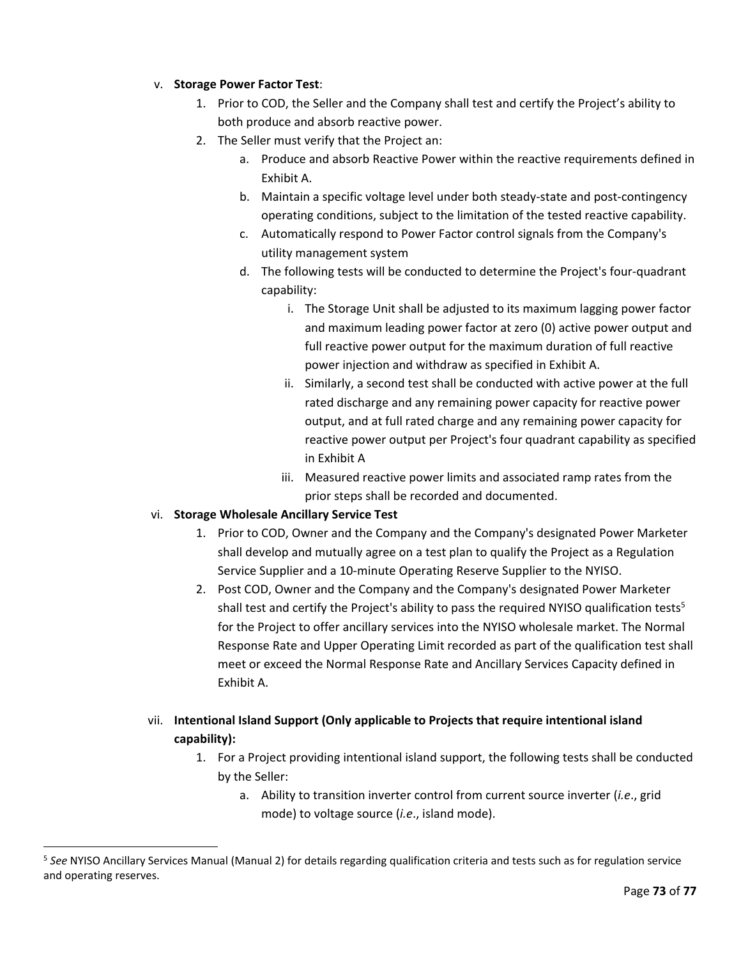#### v. **Storage Power Factor Test**:

- 1. Prior to COD, the Seller and the Company shall test and certify the Project's ability to both produce and absorb reactive power.
- 2. The Seller must verify that the Project an:
	- a. Produce and absorb Reactive Power within the reactive requirements defined in Exhibit A.
	- b. Maintain a specific voltage level under both steady-state and post-contingency operating conditions, subject to the limitation of the tested reactive capability.
	- c. Automatically respond to Power Factor control signals from the Company's utility management system
	- d. The following tests will be conducted to determine the Project's four-quadrant capability:
		- i. The Storage Unit shall be adjusted to its maximum lagging power factor and maximum leading power factor at zero (0) active power output and full reactive power output for the maximum duration of full reactive power injection and withdraw as specified in Exhibit A.
		- ii. Similarly, a second test shall be conducted with active power at the full rated discharge and any remaining power capacity for reactive power output, and at full rated charge and any remaining power capacity for reactive power output per Project's four quadrant capability as specified in Exhibit A
		- iii. Measured reactive power limits and associated ramp rates from the prior steps shall be recorded and documented.

#### vi. **Storage Wholesale Ancillary Service Test**

 $\overline{\phantom{a}}$ 

- 1. Prior to COD, Owner and the Company and the Company's designated Power Marketer shall develop and mutually agree on a test plan to qualify the Project as a Regulation Service Supplier and a 10-minute Operating Reserve Supplier to the NYISO.
- 2. Post COD, Owner and the Company and the Company's designated Power Marketer shall test and certify the Project's ability to pass the required NYISO qualification tests<sup>5</sup> for the Project to offer ancillary services into the NYISO wholesale market. The Normal Response Rate and Upper Operating Limit recorded as part of the qualification test shall meet or exceed the Normal Response Rate and Ancillary Services Capacity defined in Exhibit A.
- vii. **Intentional Island Support (Only applicable to Projects that require intentional island capability):**
	- 1. For a Project providing intentional island support, the following tests shall be conducted by the Seller:
		- a. Ability to transition inverter control from current source inverter (*i.e*., grid mode) to voltage source (*i.e*., island mode).

<sup>5</sup> *See* NYISO Ancillary Services Manual (Manual 2) for details regarding qualification criteria and tests such as for regulation service and operating reserves.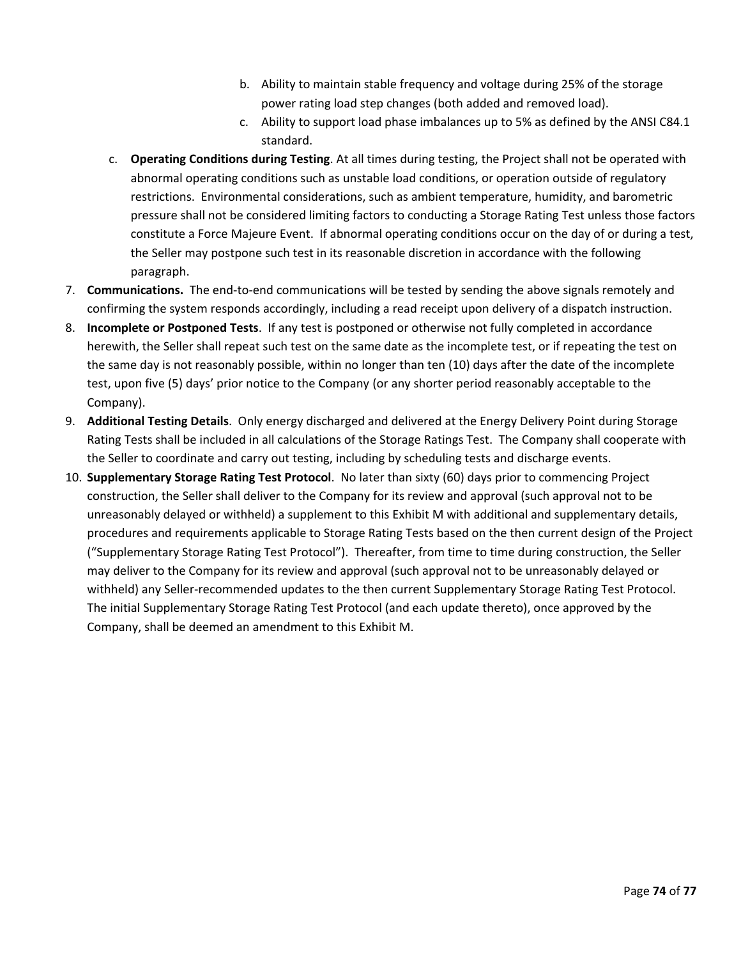- b. Ability to maintain stable frequency and voltage during 25% of the storage power rating load step changes (both added and removed load).
- c. Ability to support load phase imbalances up to 5% as defined by the ANSI C84.1 standard.
- c. **Operating Conditions during Testing**. At all times during testing, the Project shall not be operated with abnormal operating conditions such as unstable load conditions, or operation outside of regulatory restrictions. Environmental considerations, such as ambient temperature, humidity, and barometric pressure shall not be considered limiting factors to conducting a Storage Rating Test unless those factors constitute a Force Majeure Event. If abnormal operating conditions occur on the day of or during a test, the Seller may postpone such test in its reasonable discretion in accordance with the following paragraph.
- 7. **Communications.** The end-to-end communications will be tested by sending the above signals remotely and confirming the system responds accordingly, including a read receipt upon delivery of a dispatch instruction.
- 8. **Incomplete or Postponed Tests**. If any test is postponed or otherwise not fully completed in accordance herewith, the Seller shall repeat such test on the same date as the incomplete test, or if repeating the test on the same day is not reasonably possible, within no longer than ten (10) days after the date of the incomplete test, upon five (5) days' prior notice to the Company (or any shorter period reasonably acceptable to the Company).
- 9. **Additional Testing Details**. Only energy discharged and delivered at the Energy Delivery Point during Storage Rating Tests shall be included in all calculations of the Storage Ratings Test. The Company shall cooperate with the Seller to coordinate and carry out testing, including by scheduling tests and discharge events.
- 10. **Supplementary Storage Rating Test Protocol**. No later than sixty (60) days prior to commencing Project construction, the Seller shall deliver to the Company for its review and approval (such approval not to be unreasonably delayed or withheld) a supplement to this Exhibit M with additional and supplementary details, procedures and requirements applicable to Storage Rating Tests based on the then current design of the Project ("Supplementary Storage Rating Test Protocol"). Thereafter, from time to time during construction, the Seller may deliver to the Company for its review and approval (such approval not to be unreasonably delayed or withheld) any Seller-recommended updates to the then current Supplementary Storage Rating Test Protocol. The initial Supplementary Storage Rating Test Protocol (and each update thereto), once approved by the Company, shall be deemed an amendment to this Exhibit M.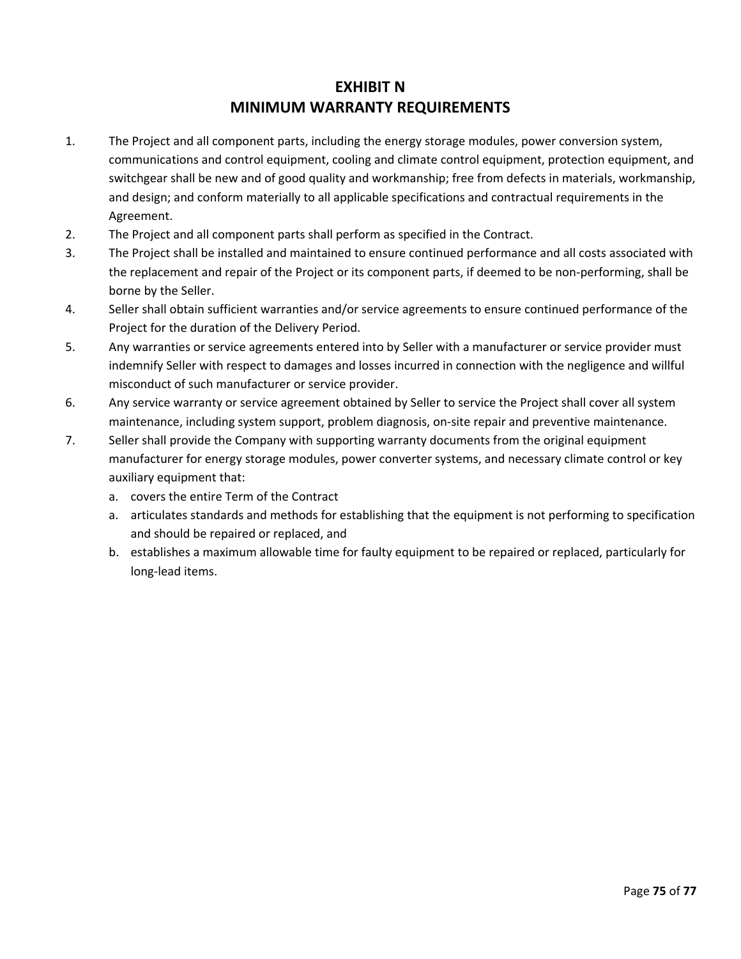#### **EXHIBIT N MINIMUM WARRANTY REQUIREMENTS**

- 1. The Project and all component parts, including the energy storage modules, power conversion system, communications and control equipment, cooling and climate control equipment, protection equipment, and switchgear shall be new and of good quality and workmanship; free from defects in materials, workmanship, and design; and conform materially to all applicable specifications and contractual requirements in the Agreement.
- 2. The Project and all component parts shall perform as specified in the Contract.
- 3. The Project shall be installed and maintained to ensure continued performance and all costs associated with the replacement and repair of the Project or its component parts, if deemed to be non-performing, shall be borne by the Seller.
- 4. Seller shall obtain sufficient warranties and/or service agreements to ensure continued performance of the Project for the duration of the Delivery Period.
- 5. Any warranties or service agreements entered into by Seller with a manufacturer or service provider must indemnify Seller with respect to damages and losses incurred in connection with the negligence and willful misconduct of such manufacturer or service provider.
- 6. Any service warranty or service agreement obtained by Seller to service the Project shall cover all system maintenance, including system support, problem diagnosis, on-site repair and preventive maintenance.
- 7. Seller shall provide the Company with supporting warranty documents from the original equipment manufacturer for energy storage modules, power converter systems, and necessary climate control or key auxiliary equipment that:
	- a. covers the entire Term of the Contract
	- a. articulates standards and methods for establishing that the equipment is not performing to specification and should be repaired or replaced, and
	- b. establishes a maximum allowable time for faulty equipment to be repaired or replaced, particularly for long-lead items.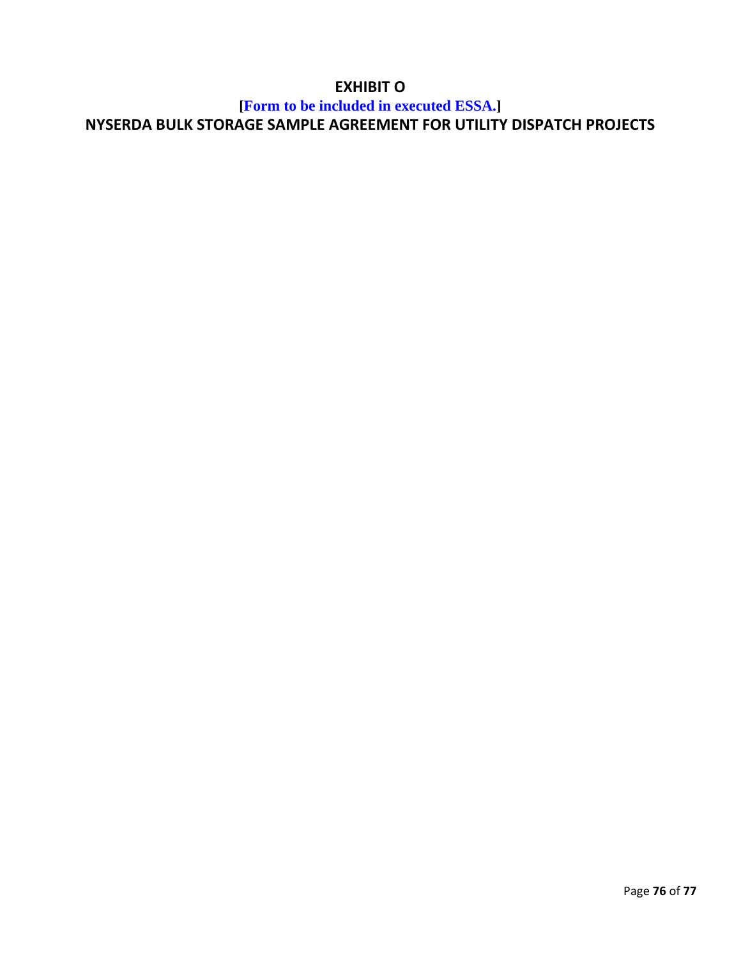## **EXHIBIT O**

# **[Form to be included in executed ESSA.] NYSERDA BULK STORAGE SAMPLE AGREEMENT FOR UTILITY DISPATCH PROJECTS**